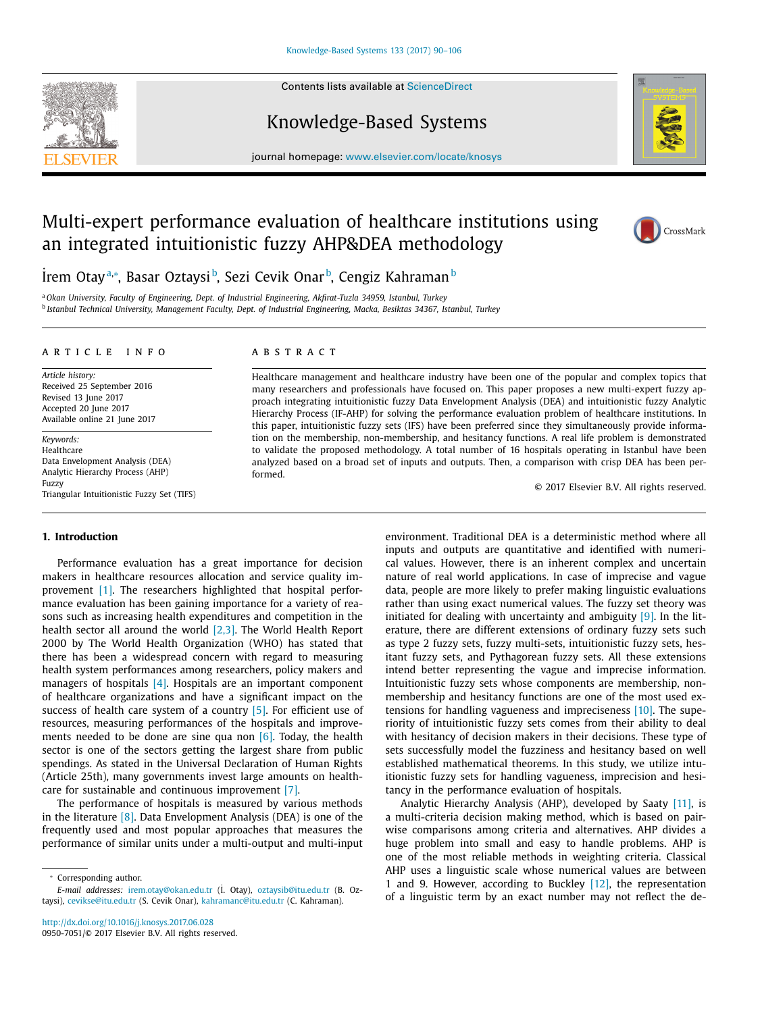Contents lists available at [ScienceDirect](http://www.ScienceDirect.com)



# Knowledge-Based Systems



journal homepage: [www.elsevier.com/locate/knosys](http://www.elsevier.com/locate/knosys)

# Multi-expert performance evaluation of healthcare institutions using an integrated intuitionistic fuzzy AHP&DEA methodology



˙ İrem Otayª,\*, Basar Oztaysi b, Sezi Cevik Onar b, Cengiz Kahraman b

<sup>a</sup> *Okan University, Faculty of Engineering, Dept. of Industrial Engineering, Akfirat-Tuzla 34959, Istanbul, Turkey* <sup>b</sup> *Istanbul Technical University, Management Faculty, Dept. of Industrial Engineering, Macka, Besiktas 34367, Istanbul, Turkey*

#### a r t i c l e i n f o

*Article history:* Received 25 September 2016 Revised 13 June 2017 Accepted 20 June 2017 Available online 21 June 2017

*Keywords:* Healthcare Data Envelopment Analysis (DEA) Analytic Hierarchy Process (AHP) Fuzzy Triangular Intuitionistic Fuzzy Set (TIFS)

#### a b s t r a c t

Healthcare management and healthcare industry have been one of the popular and complex topics that many researchers and professionals have focused on. This paper proposes a new multi-expert fuzzy approach integrating intuitionistic fuzzy Data Envelopment Analysis (DEA) and intuitionistic fuzzy Analytic Hierarchy Process (IF-AHP) for solving the performance evaluation problem of healthcare institutions. In this paper, intuitionistic fuzzy sets (IFS) have been preferred since they simultaneously provide information on the membership, non-membership, and hesitancy functions. A real life problem is demonstrated to validate the proposed methodology. A total number of 16 hospitals operating in Istanbul have been analyzed based on a broad set of inputs and outputs. Then, a comparison with crisp DEA has been performed.

© 2017 Elsevier B.V. All rights reserved.

## **1. Introduction**

Performance evaluation has a great importance for decision makers in healthcare resources allocation and service quality improvement [\[1\].](#page-15-0) The researchers highlighted that hospital performance evaluation has been gaining importance for a variety of reasons such as increasing health expenditures and competition in the health sector all around the world [\[2,3\].](#page-15-0) The World Health Report 2000 by The World Health Organization (WHO) has stated that there has been a widespread concern with regard to measuring health system performances among researchers, policy makers and managers of hospitals  $[4]$ . Hospitals are an important component of healthcare organizations and have a significant impact on the success of health care system of a country [\[5\].](#page-15-0) For efficient use of resources, measuring performances of the hospitals and improvements needed to be done are sine qua non  $[6]$ . Today, the health sector is one of the sectors getting the largest share from public spendings. As stated in the Universal Declaration of Human Rights (Article 25th), many governments invest large amounts on healthcare for sustainable and continuous improvement [\[7\].](#page-15-0)

The performance of hospitals is measured by various methods in the literature [\[8\].](#page-15-0) Data Envelopment Analysis (DEA) is one of the frequently used and most popular approaches that measures the performance of similar units under a multi-output and multi-input

<sup>∗</sup> Corresponding author.

environment. Traditional DEA is a deterministic method where all inputs and outputs are quantitative and identified with numerical values. However, there is an inherent complex and uncertain nature of real world applications. In case of imprecise and vague data, people are more likely to prefer making linguistic evaluations rather than using exact numerical values. The fuzzy set theory was initiated for dealing with uncertainty and ambiguity  $[9]$ . In the literature, there are different extensions of ordinary fuzzy sets such as type 2 fuzzy sets, fuzzy multi-sets, intuitionistic fuzzy sets, hesitant fuzzy sets, and Pythagorean fuzzy sets. All these extensions intend better representing the vague and imprecise information. Intuitionistic fuzzy sets whose components are membership, nonmembership and hesitancy functions are one of the most used extensions for handling vagueness and impreciseness [\[10\].](#page-15-0) The superiority of intuitionistic fuzzy sets comes from their ability to deal with hesitancy of decision makers in their decisions. These type of sets successfully model the fuzziness and hesitancy based on well established mathematical theorems. In this study, we utilize intuitionistic fuzzy sets for handling vagueness, imprecision and hesitancy in the performance evaluation of hospitals.

Analytic Hierarchy Analysis (AHP), developed by Saaty [\[11\],](#page-15-0) is a multi-criteria decision making method, which is based on pairwise comparisons among criteria and alternatives. AHP divides a huge problem into small and easy to handle problems. AHP is one of the most reliable methods in weighting criteria. Classical AHP uses a linguistic scale whose numerical values are between 1 and 9. However, according to Buckley [\[12\],](#page-15-0) the representation of a linguistic term by an exact number may not reflect the de-

*E-mail addresses:* [irem.otay@okan.edu.tr](mailto:irem.otay@okan.edu.tr) (˙ I. Otay), [oztaysib@itu.edu.tr](mailto:oztaysib@itu.edu.tr) (B. Oztaysi), [cevikse@itu.edu.tr](mailto:cevikse@itu.edu.tr) (S. Cevik Onar), [kahramanc@itu.edu.tr](mailto:kahramanc@itu.edu.tr) (C. Kahraman).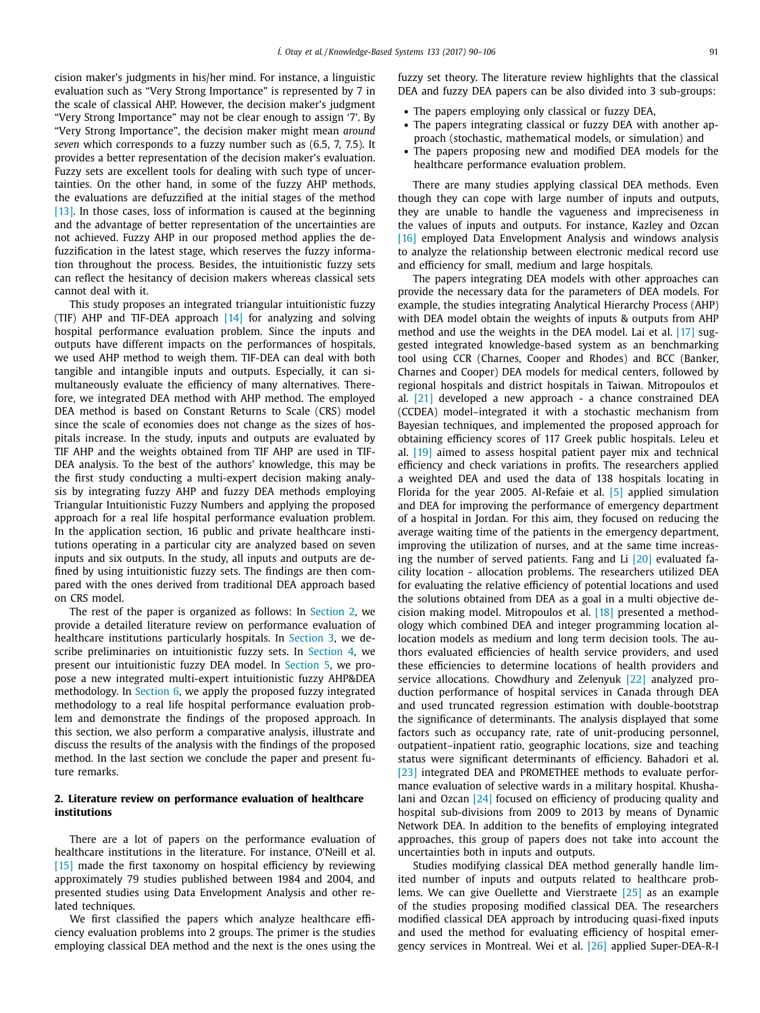cision maker's judgments in his/her mind. For instance, a linguistic evaluation such as "Very Strong Importance" is represented by 7 in the scale of classical AHP. However, the decision maker's judgment "Very Strong Importance" may not be clear enough to assign '7'. By "Very Strong Importance", the decision maker might mean *around seven* which corresponds to a fuzzy number such as (6.5, 7, 7.5). It provides a better representation of the decision maker's evaluation. Fuzzy sets are excellent tools for dealing with such type of uncertainties. On the other hand, in some of the fuzzy AHP methods, the evaluations are defuzzified at the initial stages of the method [\[13\].](#page-15-0) In those cases, loss of information is caused at the beginning and the advantage of better representation of the uncertainties are not achieved. Fuzzy AHP in our proposed method applies the defuzzification in the latest stage, which reserves the fuzzy information throughout the process. Besides, the intuitionistic fuzzy sets can reflect the hesitancy of decision makers whereas classical sets cannot deal with it.

This study proposes an integrated triangular intuitionistic fuzzy (TIF) AHP and TIF-DEA approach [\[14\]](#page-15-0) for analyzing and solving hospital performance evaluation problem. Since the inputs and outputs have different impacts on the performances of hospitals, we used AHP method to weigh them. TIF-DEA can deal with both tangible and intangible inputs and outputs. Especially, it can simultaneously evaluate the efficiency of many alternatives. Therefore, we integrated DEA method with AHP method. The employed DEA method is based on Constant Returns to Scale (CRS) model since the scale of economies does not change as the sizes of hospitals increase. In the study, inputs and outputs are evaluated by TIF AHP and the weights obtained from TIF AHP are used in TIF-DEA analysis. To the best of the authors' knowledge, this may be the first study conducting a multi-expert decision making analysis by integrating fuzzy AHP and fuzzy DEA methods employing Triangular Intuitionistic Fuzzy Numbers and applying the proposed approach for a real life hospital performance evaluation problem. In the application section, 16 public and private healthcare institutions operating in a particular city are analyzed based on seven inputs and six outputs. In the study, all inputs and outputs are defined by using intuitionistic fuzzy sets. The findings are then compared with the ones derived from traditional DEA approach based on CRS model.

The rest of the paper is organized as follows: In Section 2, we provide a detailed literature review on performance evaluation of healthcare institutions particularly hospitals. In [Section](#page-2-0) 3, we describe preliminaries on intuitionistic fuzzy sets. In [Section](#page-5-0) 4, we present our intuitionistic fuzzy DEA model. In [Section](#page-11-0) 5, we propose a new integrated multi-expert intuitionistic fuzzy AHP&DEA methodology. In [Section](#page-13-0) 6, we apply the proposed fuzzy integrated methodology to a real life hospital performance evaluation problem and demonstrate the findings of the proposed approach. In this section, we also perform a comparative analysis, illustrate and discuss the results of the analysis with the findings of the proposed method. In the last section we conclude the paper and present future remarks.

#### **2. Literature review on performance evaluation of healthcare institutions**

There are a lot of papers on the performance evaluation of healthcare institutions in the literature. For instance, O'Neill et al. [\[15\]](#page-15-0) made the first taxonomy on hospital efficiency by reviewing approximately 79 studies published between 1984 and 2004, and presented studies using Data Envelopment Analysis and other related techniques.

We first classified the papers which analyze healthcare efficiency evaluation problems into 2 groups. The primer is the studies employing classical DEA method and the next is the ones using the fuzzy set theory. The literature review highlights that the classical DEA and fuzzy DEA papers can be also divided into 3 sub-groups:

- The papers employing only classical or fuzzy DEA,
- The papers integrating classical or fuzzy DEA with another approach (stochastic, mathematical models, or simulation) and
- The papers proposing new and modified DEA models for the healthcare performance evaluation problem.

There are many studies applying classical DEA methods. Even though they can cope with large number of inputs and outputs, they are unable to handle the vagueness and impreciseness in the values of inputs and outputs. For instance, Kazley and Ozcan [\[16\]](#page-15-0) employed Data Envelopment Analysis and windows analysis to analyze the relationship between electronic medical record use and efficiency for small, medium and large hospitals.

The papers integrating DEA models with other approaches can provide the necessary data for the parameters of DEA models. For example, the studies integrating Analytical Hierarchy Process (AHP) with DEA model obtain the weights of inputs & outputs from AHP method and use the weights in the DEA model. Lai et al. [\[17\]](#page-15-0) suggested integrated knowledge-based system as an benchmarking tool using CCR (Charnes, Cooper and Rhodes) and BCC (Banker, Charnes and Cooper) DEA models for medical centers, followed by regional hospitals and district hospitals in Taiwan. Mitropoulos et al. [\[21\]](#page-15-0) developed a new approach - a chance constrained DEA (CCDEA) model–integrated it with a stochastic mechanism from Bayesian techniques, and implemented the proposed approach for obtaining efficiency scores of 117 Greek public hospitals. Leleu et al. [\[19\]](#page-15-0) aimed to assess hospital patient payer mix and technical efficiency and check variations in profits. The researchers applied a weighted DEA and used the data of 138 hospitals locating in Florida for the year 2005. Al-Refaie et al. [\[5\]](#page-15-0) applied simulation and DEA for improving the performance of emergency department of a hospital in Jordan. For this aim, they focused on reducing the average waiting time of the patients in the emergency department, improving the utilization of nurses, and at the same time increasing the number of served patients. Fang and Li  $[20]$  evaluated facility location - allocation problems. The researchers utilized DEA for evaluating the relative efficiency of potential locations and used the solutions obtained from DEA as a goal in a multi objective decision making model. Mitropoulos et al. [\[18\]](#page-15-0) presented a methodology which combined DEA and integer programming location allocation models as medium and long term decision tools. The authors evaluated efficiencies of health service providers, and used these efficiencies to determine locations of health providers and service allocations. Chowdhury and Zelenyuk [\[22\]](#page-15-0) analyzed production performance of hospital services in Canada through DEA and used truncated regression estimation with double-bootstrap the significance of determinants. The analysis displayed that some factors such as occupancy rate, rate of unit-producing personnel, outpatient–inpatient ratio, geographic locations, size and teaching status were significant determinants of efficiency. Bahadori et al. [\[23\]](#page-15-0) integrated DEA and PROMETHEE methods to evaluate performance evaluation of selective wards in a military hospital. Khushalani and Ozcan [\[24\]](#page-15-0) focused on efficiency of producing quality and hospital sub-divisions from 2009 to 2013 by means of Dynamic Network DEA. In addition to the benefits of employing integrated approaches, this group of papers does not take into account the uncertainties both in inputs and outputs.

Studies modifying classical DEA method generally handle limited number of inputs and outputs related to healthcare problems. We can give Ouellette and Vierstraete [\[25\]](#page-15-0) as an example of the studies proposing modified classical DEA. The researchers modified classical DEA approach by introducing quasi-fixed inputs and used the method for evaluating efficiency of hospital emergency services in Montreal. Wei et al. [\[26\]](#page-15-0) applied Super-DEA-R-I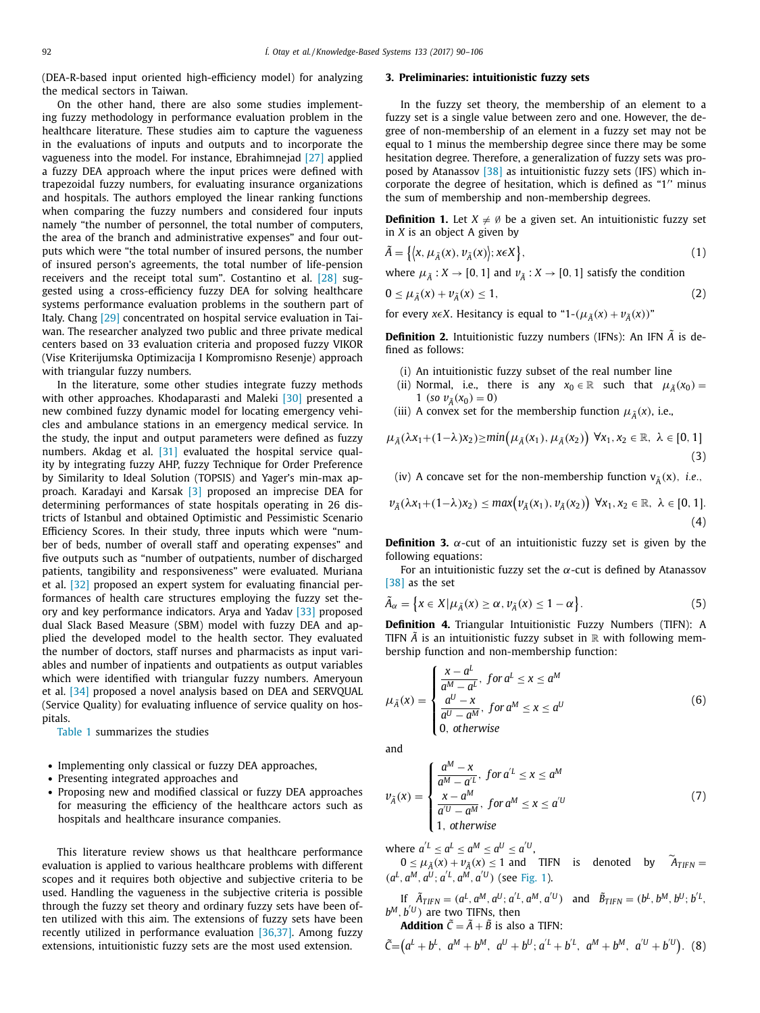<span id="page-2-0"></span>(DEA-R-based input oriented high-efficiency model) for analyzing the medical sectors in Taiwan.

On the other hand, there are also some studies implementing fuzzy methodology in performance evaluation problem in the healthcare literature. These studies aim to capture the vagueness in the evaluations of inputs and outputs and to incorporate the vagueness into the model. For instance, Ebrahimnejad [\[27\]](#page-15-0) applied a fuzzy DEA approach where the input prices were defined with trapezoidal fuzzy numbers, for evaluating insurance organizations and hospitals. The authors employed the linear ranking functions when comparing the fuzzy numbers and considered four inputs namely "the number of personnel, the total number of computers, the area of the branch and administrative expenses" and four outputs which were "the total number of insured persons, the number of insured person's agreements, the total number of life-pension receivers and the receipt total sum". Costantino et al. [\[28\]](#page-15-0) suggested using a cross-efficiency fuzzy DEA for solving healthcare systems performance evaluation problems in the southern part of Italy. Chang [\[29\]](#page-15-0) concentrated on hospital service evaluation in Taiwan. The researcher analyzed two public and three private medical centers based on 33 evaluation criteria and proposed fuzzy VIKOR (Vise Kriterijumska Optimizacija I Kompromisno Resenje) approach with triangular fuzzy numbers.

In the literature, some other studies integrate fuzzy methods with other approaches. Khodaparasti and Maleki [\[30\]](#page-15-0) presented a new combined fuzzy dynamic model for locating emergency vehicles and ambulance stations in an emergency medical service. In the study, the input and output parameters were defined as fuzzy numbers. Akdag et al. [\[31\]](#page-15-0) evaluated the hospital service quality by integrating fuzzy AHP, fuzzy Technique for Order Preference by Similarity to Ideal Solution (TOPSIS) and Yager's min-max approach. Karadayi and Karsak [\[3\]](#page-15-0) proposed an imprecise DEA for determining performances of state hospitals operating in 26 districts of Istanbul and obtained Optimistic and Pessimistic Scenario Efficiency Scores. In their study, three inputs which were "number of beds, number of overall staff and operating expenses" and five outputs such as "number of outpatients, number of discharged patients, tangibility and responsiveness" were evaluated. Muriana et al. [\[32\]](#page-15-0) proposed an expert system for evaluating financial performances of health care structures employing the fuzzy set theory and key performance indicators. Arya and Yadav [\[33\]](#page-15-0) proposed dual Slack Based Measure (SBM) model with fuzzy DEA and applied the developed model to the health sector. They evaluated the number of doctors, staff nurses and pharmacists as input variables and number of inpatients and outpatients as output variables which were identified with triangular fuzzy numbers. Ameryoun et al. [\[34\]](#page-15-0) proposed a novel analysis based on DEA and SERVQUAL (Service Quality) for evaluating influence of service quality on hospitals.

[Table](#page-3-0) 1 summarizes the studies

- Implementing only classical or fuzzy DEA approaches,
- Presenting integrated approaches and
- Proposing new and modified classical or fuzzy DEA approaches for measuring the efficiency of the healthcare actors such as hospitals and healthcare insurance companies.

This literature review shows us that healthcare performance evaluation is applied to various healthcare problems with different scopes and it requires both objective and subjective criteria to be used. Handling the vagueness in the subjective criteria is possible through the fuzzy set theory and ordinary fuzzy sets have been often utilized with this aim. The extensions of fuzzy sets have been recently utilized in performance evaluation [\[36,37\].](#page-16-0) Among fuzzy extensions, intuitionistic fuzzy sets are the most used extension.

#### **3. Preliminaries: intuitionistic fuzzy sets**

In the fuzzy set theory, the membership of an element to a fuzzy set is a single value between zero and one. However, the degree of non-membership of an element in a fuzzy set may not be equal to 1 minus the membership degree since there may be some hesitation degree. Therefore, a generalization of fuzzy sets was proposed by Atanassov [\[38\]](#page-16-0) as intuitionistic fuzzy sets (IFS) which incorporate the degree of hesitation, which is defined as "1 ' minus the sum of membership and non-membership degrees.

**Definition 1.** Let  $X \neq \emptyset$  be a given set. An intuitionistic fuzzy set in *X* is an object A given by

$$
\tilde{A} = \left\{ \left\langle x, \mu_{\tilde{A}}(x), \nu_{\tilde{A}}(x) \right\rangle; x \in X \right\},\tag{1}
$$

where  $\mu_{\tilde{A}} : X \to [0, 1]$  and  $\nu_{\tilde{A}} : X \to [0, 1]$  satisfy the condition

$$
0 \le \mu_{\tilde{A}}(x) + \nu_{\tilde{A}}(x) \le 1, \tag{2}
$$

for every *x* $\epsilon X$ . Hesitancy is equal to "1-( $\mu_{\tilde{A}}(x) + \nu_{\tilde{A}}(x)$ )"

**Definition 2.** Intuitionistic fuzzy numbers (IFNs): An IFN  $\tilde{A}$  is defined as follows:

(i) An intuitionistic fuzzy subset of the real number line

- (ii) Normal, i.e., there is any  $x_0 \in \mathbb{R}$  such that  $\mu_{\tilde{A}}(x_0) =$ 1 (*so*  $v_{\tilde{A}}(x_0) = 0$ )
- (iii) A convex set for the membership function  $\mu_{\tilde{A}}(x)$ , i.e.,

$$
\mu_{\tilde{A}}(\lambda x_1 + (1-\lambda)x_2) \ge \min\left(\mu_{\tilde{A}}(x_1), \mu_{\tilde{A}}(x_2)\right) \ \forall x_1, x_2 \in \mathbb{R}, \ \lambda \in [0, 1]
$$
\n(3)

(iv) A concave set for the non-membership function  $v_{\tilde{\lambda}}(x)$ , *i.e.*,

$$
\nu_{\tilde{A}}(\lambda x_1 + (1-\lambda)x_2) \le \max(\nu_{\tilde{A}}(x_1), \nu_{\tilde{A}}(x_2)) \ \forall x_1, x_2 \in \mathbb{R}, \ \lambda \in [0, 1].
$$
\n(4)

**Definition 3.**  $\alpha$ -cut of an intuitionistic fuzzy set is given by the following equations:

For an intuitionistic fuzzy set the  $\alpha$ -cut is defined by Atanassov [\[38\]](#page-16-0) as the set

$$
\tilde{A}_{\alpha} = \left\{ x \in X | \mu_{\tilde{A}}(x) \ge \alpha, \nu_{\tilde{A}}(x) \le 1 - \alpha \right\}.
$$
\n(5)

**Definition 4.** Triangular Intuitionistic Fuzzy Numbers (TIFN): A TIFN  $\tilde{A}$  is an intuitionistic fuzzy subset in  $\mathbb R$  with following membership function and non-membership function:

$$
\mu_{\tilde{A}}(x) = \begin{cases}\n\frac{x - a^L}{a^M - a^L}, & \text{for } a^L \le x \le a^M \\
\frac{a^U - x}{a^U - a^M}, & \text{for } a^M \le x \le a^U \\
0, & \text{otherwise}\n\end{cases}
$$
\n(6)

and

$$
\nu_{\tilde{A}}(x) = \begin{cases}\n\frac{a^M - x}{a^M - a^L}, & \text{for } a^L \le x \le a^M \\
\frac{x - a^M}{a^U - a^M}, & \text{for } a^M \le x \le a^U \\
1, & \text{otherwise}\n\end{cases}
$$
\n(7)

where  $a^{L} \le a^{L} \le a^{M} \le a^{U} \le a^{U}$ ,

 $0 \leq \mu_{\tilde{A}}(x) + \nu_{\tilde{A}}(x) \leq 1$  and TIFN is denoted by  $\tilde{A}_{TIFN} =$  $(a^L, a^M, a^U; a^L, a^M, a^U)$  (see [Fig.](#page-5-0) 1).

If 
$$
\tilde{A}_{TIFN} = (a^L, a^M, a^U; a^L, a^M, a^U)
$$
 and  $\tilde{B}_{TIFN} = (b^L, b^M, b^U; b^L, b^M, b^U)$  are two TIFNs, then

**Addition**  $\tilde{C} = \tilde{A} + \tilde{B}$  is also a TIFN:

$$
\tilde{C} = (a^{L} + b^{L}, a^{M} + b^{M}, a^{U} + b^{U}; a^{U} + b^{U}, a^{M} + b^{M}, a^{U} + b^{U}).
$$
 (8)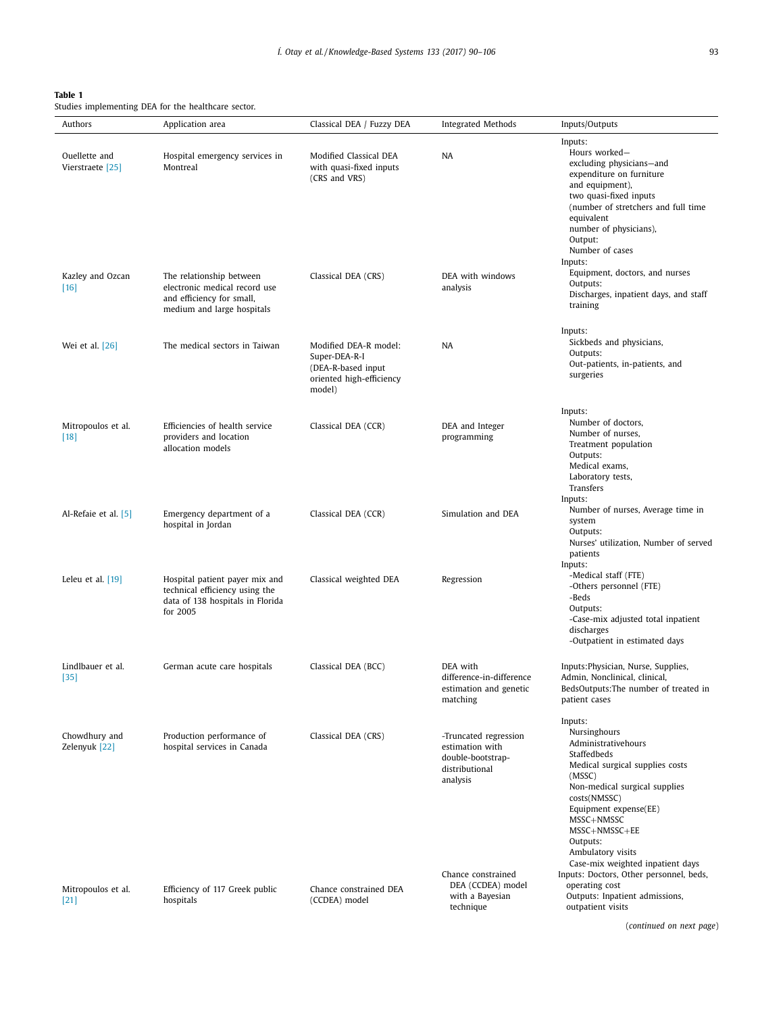<span id="page-3-0"></span>

| ۰, |  |
|----|--|
|----|--|

Studies implementing DEA for the healthcare sector.

| Inputs:<br>Hours worked-<br>Modified Classical DEA<br>Ouellette and<br>Hospital emergency services in<br><b>NA</b><br>excluding physicians-and<br>Vierstraete [25]<br>Montreal<br>with quasi-fixed inputs<br>expenditure on furniture<br>(CRS and VRS)<br>and equipment),<br>two quasi-fixed inputs<br>(number of stretchers and full time<br>equivalent<br>number of physicians),<br>Output:<br>Number of cases<br>Inputs:<br>Equipment, doctors, and nurses<br>Kazley and Ozcan<br>DEA with windows<br>The relationship between<br>Classical DEA (CRS)<br>Outputs:<br>electronic medical record use<br>$[16]$<br>analysis<br>Discharges, inpatient days, and staff<br>and efficiency for small,<br>training<br>medium and large hospitals<br>Inputs:<br>Sickbeds and physicians,<br>The medical sectors in Taiwan<br>Modified DEA-R model:<br><b>NA</b><br>Wei et al. [26]<br>Outputs:<br>Super-DEA-R-I<br>Out-patients, in-patients, and<br>(DEA-R-based input<br>surgeries<br>oriented high-efficiency<br>model)<br>Inputs:<br>Number of doctors.<br>Mitropoulos et al.<br>Efficiencies of health service<br>Classical DEA (CCR)<br>DEA and Integer<br>Number of nurses,<br>providers and location<br>programming<br>$[18]$<br>Treatment population<br>allocation models<br>Outputs:<br>Medical exams,<br>Laboratory tests,<br>Transfers<br>Inputs:<br>Number of nurses, Average time in<br>Classical DEA (CCR)<br>Simulation and DEA<br>Al-Refaie et al. [5]<br>Emergency department of a<br>system<br>hospital in Jordan<br>Outputs:<br>Nurses' utilization, Number of served<br>patients<br>Inputs:<br>-Medical staff (FTE)<br>Hospital patient payer mix and<br>Classical weighted DEA<br>Regression<br>Leleu et al. $[19]$<br>-Others personnel (FTE)<br>technical efficiency using the<br>-Beds<br>data of 138 hospitals in Florida<br>Outputs:<br>for 2005<br>-Case-mix adjusted total inpatient<br>discharges<br>-Outpatient in estimated days<br>DEA with<br>Inputs: Physician, Nurse, Supplies,<br>Lindlbauer et al.<br>German acute care hospitals<br>Classical DEA (BCC)<br>difference-in-difference<br>Admin, Nonclinical, clinical,<br>$[35]$<br>BedsOutputs: The number of treated in<br>estimation and genetic<br>matching<br>patient cases<br>Inputs:<br>Nursinghours<br>Chowdhury and<br>Production performance of<br>Classical DEA (CRS)<br>-Truncated regression<br>Administrativehours<br>Zelenyuk [22]<br>hospital services in Canada<br>estimation with<br>Staffedbeds<br>double-bootstrap-<br>Medical surgical supplies costs<br>distributional<br>(MSSC)<br>analysis<br>Non-medical surgical supplies<br>costs(NMSSC)<br>Equipment expense(EE)<br>MSSC+NMSSC<br>MSSC+NMSSC+EE<br>Outputs:<br>Ambulatory visits<br>Case-mix weighted inpatient days<br>Inputs: Doctors, Other personnel, beds,<br>Chance constrained<br>DEA (CCDEA) model<br>operating cost<br>Efficiency of 117 Greek public<br>Chance constrained DEA<br>Mitropoulos et al.<br>Outputs: Inpatient admissions,<br>with a Bayesian<br>(CCDEA) model<br>$[21]$<br>hospitals<br>technique<br>outpatient visits | Authors | Application area | Classical DEA / Fuzzy DEA | <b>Integrated Methods</b> | Inputs/Outputs           |
|----------------------------------------------------------------------------------------------------------------------------------------------------------------------------------------------------------------------------------------------------------------------------------------------------------------------------------------------------------------------------------------------------------------------------------------------------------------------------------------------------------------------------------------------------------------------------------------------------------------------------------------------------------------------------------------------------------------------------------------------------------------------------------------------------------------------------------------------------------------------------------------------------------------------------------------------------------------------------------------------------------------------------------------------------------------------------------------------------------------------------------------------------------------------------------------------------------------------------------------------------------------------------------------------------------------------------------------------------------------------------------------------------------------------------------------------------------------------------------------------------------------------------------------------------------------------------------------------------------------------------------------------------------------------------------------------------------------------------------------------------------------------------------------------------------------------------------------------------------------------------------------------------------------------------------------------------------------------------------------------------------------------------------------------------------------------------------------------------------------------------------------------------------------------------------------------------------------------------------------------------------------------------------------------------------------------------------------------------------------------------------------------------------------------------------------------------------------------------------------------------------------------------------------------------------------------------------------------------------------------------------------------------------------------------------------------------------------------------------------------------------------------------------------------------------------------------------------------------------------------------------------------------------------------------------------------------------------------------------------------------------------------------------------------------------------------------------------------------------|---------|------------------|---------------------------|---------------------------|--------------------------|
|                                                                                                                                                                                                                                                                                                                                                                                                                                                                                                                                                                                                                                                                                                                                                                                                                                                                                                                                                                                                                                                                                                                                                                                                                                                                                                                                                                                                                                                                                                                                                                                                                                                                                                                                                                                                                                                                                                                                                                                                                                                                                                                                                                                                                                                                                                                                                                                                                                                                                                                                                                                                                                                                                                                                                                                                                                                                                                                                                                                                                                                                                                          |         |                  |                           |                           |                          |
|                                                                                                                                                                                                                                                                                                                                                                                                                                                                                                                                                                                                                                                                                                                                                                                                                                                                                                                                                                                                                                                                                                                                                                                                                                                                                                                                                                                                                                                                                                                                                                                                                                                                                                                                                                                                                                                                                                                                                                                                                                                                                                                                                                                                                                                                                                                                                                                                                                                                                                                                                                                                                                                                                                                                                                                                                                                                                                                                                                                                                                                                                                          |         |                  |                           |                           |                          |
|                                                                                                                                                                                                                                                                                                                                                                                                                                                                                                                                                                                                                                                                                                                                                                                                                                                                                                                                                                                                                                                                                                                                                                                                                                                                                                                                                                                                                                                                                                                                                                                                                                                                                                                                                                                                                                                                                                                                                                                                                                                                                                                                                                                                                                                                                                                                                                                                                                                                                                                                                                                                                                                                                                                                                                                                                                                                                                                                                                                                                                                                                                          |         |                  |                           |                           |                          |
|                                                                                                                                                                                                                                                                                                                                                                                                                                                                                                                                                                                                                                                                                                                                                                                                                                                                                                                                                                                                                                                                                                                                                                                                                                                                                                                                                                                                                                                                                                                                                                                                                                                                                                                                                                                                                                                                                                                                                                                                                                                                                                                                                                                                                                                                                                                                                                                                                                                                                                                                                                                                                                                                                                                                                                                                                                                                                                                                                                                                                                                                                                          |         |                  |                           |                           |                          |
|                                                                                                                                                                                                                                                                                                                                                                                                                                                                                                                                                                                                                                                                                                                                                                                                                                                                                                                                                                                                                                                                                                                                                                                                                                                                                                                                                                                                                                                                                                                                                                                                                                                                                                                                                                                                                                                                                                                                                                                                                                                                                                                                                                                                                                                                                                                                                                                                                                                                                                                                                                                                                                                                                                                                                                                                                                                                                                                                                                                                                                                                                                          |         |                  |                           |                           |                          |
|                                                                                                                                                                                                                                                                                                                                                                                                                                                                                                                                                                                                                                                                                                                                                                                                                                                                                                                                                                                                                                                                                                                                                                                                                                                                                                                                                                                                                                                                                                                                                                                                                                                                                                                                                                                                                                                                                                                                                                                                                                                                                                                                                                                                                                                                                                                                                                                                                                                                                                                                                                                                                                                                                                                                                                                                                                                                                                                                                                                                                                                                                                          |         |                  |                           |                           |                          |
|                                                                                                                                                                                                                                                                                                                                                                                                                                                                                                                                                                                                                                                                                                                                                                                                                                                                                                                                                                                                                                                                                                                                                                                                                                                                                                                                                                                                                                                                                                                                                                                                                                                                                                                                                                                                                                                                                                                                                                                                                                                                                                                                                                                                                                                                                                                                                                                                                                                                                                                                                                                                                                                                                                                                                                                                                                                                                                                                                                                                                                                                                                          |         |                  |                           |                           |                          |
|                                                                                                                                                                                                                                                                                                                                                                                                                                                                                                                                                                                                                                                                                                                                                                                                                                                                                                                                                                                                                                                                                                                                                                                                                                                                                                                                                                                                                                                                                                                                                                                                                                                                                                                                                                                                                                                                                                                                                                                                                                                                                                                                                                                                                                                                                                                                                                                                                                                                                                                                                                                                                                                                                                                                                                                                                                                                                                                                                                                                                                                                                                          |         |                  |                           |                           |                          |
|                                                                                                                                                                                                                                                                                                                                                                                                                                                                                                                                                                                                                                                                                                                                                                                                                                                                                                                                                                                                                                                                                                                                                                                                                                                                                                                                                                                                                                                                                                                                                                                                                                                                                                                                                                                                                                                                                                                                                                                                                                                                                                                                                                                                                                                                                                                                                                                                                                                                                                                                                                                                                                                                                                                                                                                                                                                                                                                                                                                                                                                                                                          |         |                  |                           |                           | (continued on next page) |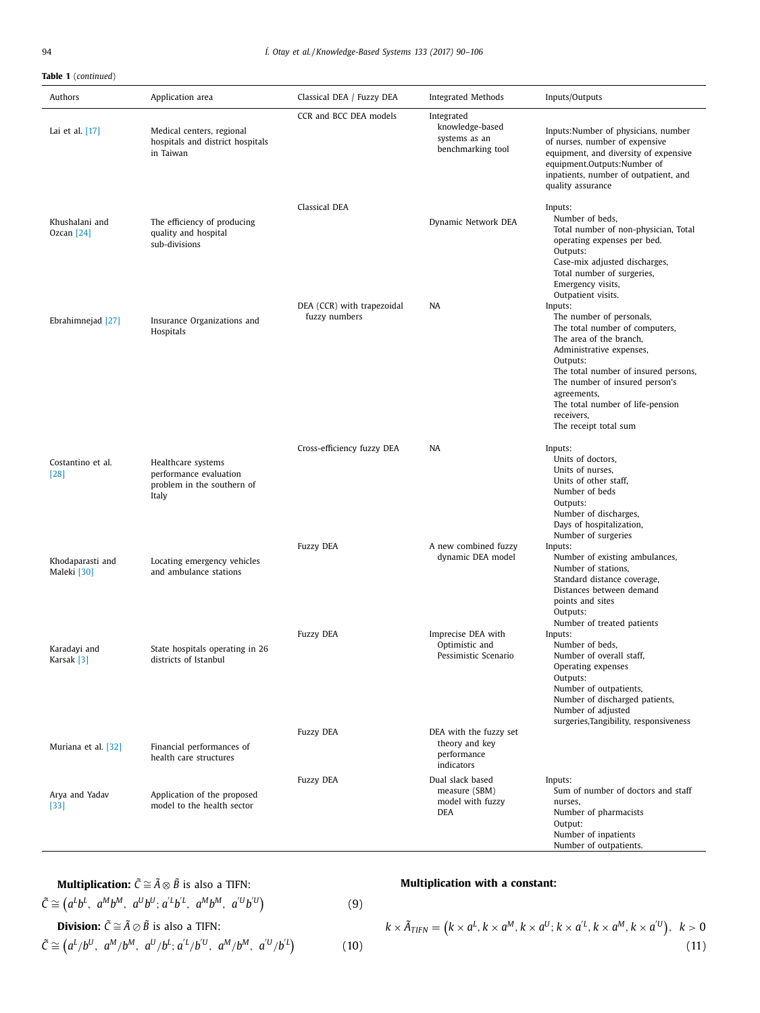## **Table 1** (*continued*)

| Authors                         | Application area                                                                    | Classical DEA / Fuzzy DEA                   | <b>Integrated Methods</b>                                             | Inputs/Outputs                                                                                                                                                                                                                                                                                               |
|---------------------------------|-------------------------------------------------------------------------------------|---------------------------------------------|-----------------------------------------------------------------------|--------------------------------------------------------------------------------------------------------------------------------------------------------------------------------------------------------------------------------------------------------------------------------------------------------------|
| Lai et al. $[17]$               | Medical centers, regional<br>hospitals and district hospitals<br>in Taiwan          | CCR and BCC DEA models                      | Integrated<br>knowledge-based<br>systems as an<br>benchmarking tool   | Inputs:Number of physicians, number<br>of nurses, number of expensive<br>equipment, and diversity of expensive<br>equipment.Outputs:Number of<br>inpatients, number of outpatient, and<br>quality assurance                                                                                                  |
| Khushalani and<br>Ozcan $[24]$  | The efficiency of producing<br>quality and hospital<br>sub-divisions                | Classical DEA                               | Dynamic Network DEA                                                   | Inputs:<br>Number of beds,<br>Total number of non-physician, Total<br>operating expenses per bed.<br>Outputs:<br>Case-mix adjusted discharges,<br>Total number of surgeries,<br>Emergency visits,<br>Outpatient visits.                                                                                      |
| Ebrahimnejad [27]               | Insurance Organizations and<br>Hospitals                                            | DEA (CCR) with trapezoidal<br>fuzzy numbers | NA                                                                    | Inputs:<br>The number of personals,<br>The total number of computers,<br>The area of the branch,<br>Administrative expenses,<br>Outputs:<br>The total number of insured persons,<br>The number of insured person's<br>agreements,<br>The total number of life-pension<br>receivers,<br>The receipt total sum |
| Costantino et al.<br>[28]       | Healthcare systems<br>performance evaluation<br>problem in the southern of<br>Italy | Cross-efficiency fuzzy DEA                  | NA                                                                    | Inputs:<br>Units of doctors,<br>Units of nurses,<br>Units of other staff,<br>Number of beds<br>Outputs:<br>Number of discharges,<br>Days of hospitalization,<br>Number of surgeries                                                                                                                          |
| Khodaparasti and<br>Maleki [30] | Locating emergency vehicles<br>and ambulance stations                               | <b>Fuzzy DEA</b>                            | A new combined fuzzy<br>dynamic DEA model                             | Inputs:<br>Number of existing ambulances,<br>Number of stations,<br>Standard distance coverage,<br>Distances between demand<br>points and sites<br>Outputs:                                                                                                                                                  |
| Karadayi and<br>Karsak [3]      | State hospitals operating in 26<br>districts of Istanbul                            | <b>Fuzzy DEA</b>                            | Imprecise DEA with<br>Optimistic and<br>Pessimistic Scenario          | Number of treated patients<br>Inputs:<br>Number of beds,<br>Number of overall staff,<br>Operating expenses<br>Outputs:<br>Number of outpatients,<br>Number of discharged patients,<br>Number of adjusted<br>surgeries, Tangibility, responsiveness                                                           |
| Muriana et al. [32]             | Financial performances of<br>health care structures                                 | <b>Fuzzy DEA</b>                            | DEA with the fuzzy set<br>theory and key<br>performance<br>indicators |                                                                                                                                                                                                                                                                                                              |
| Arya and Yadav<br>$[33]$        | Application of the proposed<br>model to the health sector                           | <b>Fuzzy DEA</b>                            | Dual slack based<br>measure (SBM)<br>model with fuzzy<br>DEA          | Inputs:<br>Sum of number of doctors and staff<br>nurses,<br>Number of pharmacists<br>Output:<br>Number of inpatients<br>Number of outpatients.                                                                                                                                                               |

**Multiplication:** 
$$
\tilde{C} \cong \tilde{A} \otimes \tilde{B}
$$
 is also a TIFN:  
\n $\tilde{C} \cong (a^L b^L, a^M b^M, a^U b^U; a^L b^L, a^M b^M, a^U b^U)$  (9)  
\n**Division:**  $\tilde{C} \cong \tilde{A} \otimes \tilde{B}$  is also a TIFN:  
\n $\tilde{C} \cong (a^L/b^U, a^M/b^M, a^U/b^L; a^L/b^U, a^M/b^M, a^U/b^U)$  (10)

# **Multiplication with a constant:**

$$
k \times \tilde{A}_{TIFN} = (k \times a^L, k \times a^M, k \times a^U; k \times a^{'L}, k \times a^M, k \times a^{'U}), \quad k > 0
$$
\n(11)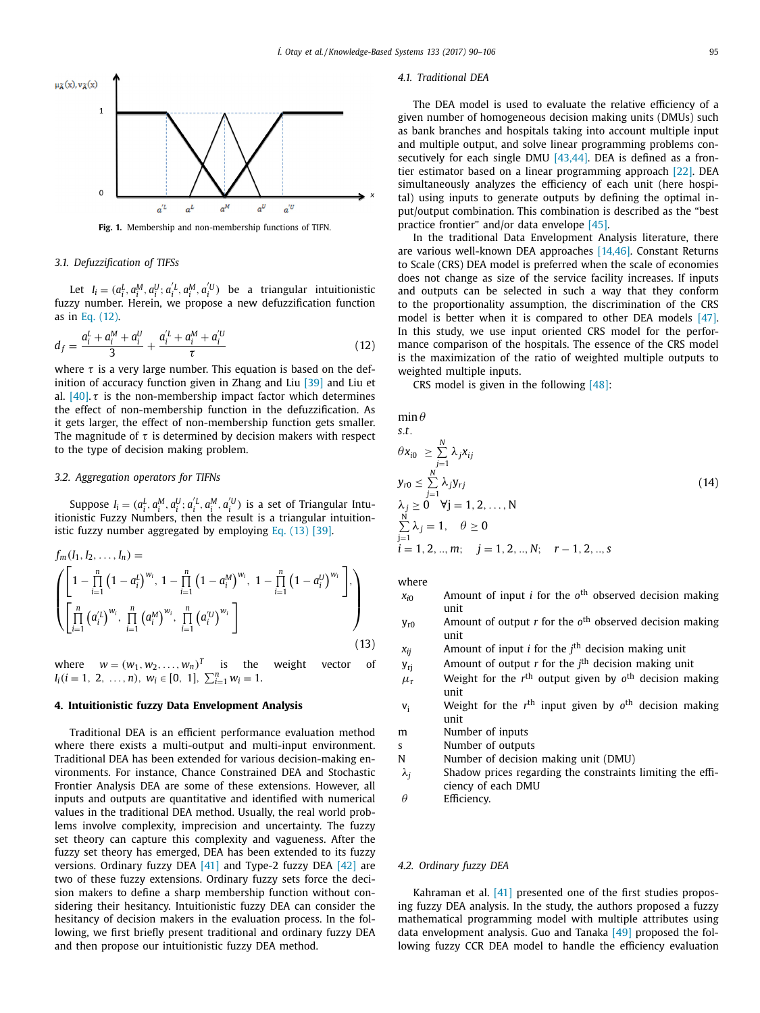<span id="page-5-0"></span>

**Fig. 1.** Membership and non-membership functions of TIFN.

#### *3.1. Defuzzification of TIFSs*

Let  $I_i = (a_i^L, a_i^M, a_i^U; a_i^{'L}, a_i^M, a_i^{'U})$  be a triangular intuitionistic fuzzy number. Herein, we propose a new defuzzification function as in Eq. (12).

$$
d_f = \frac{a_i^L + a_i^M + a_i^U}{3} + \frac{a_i^L + a_i^M + a_i^U}{\tau}
$$
 (12)

where  $\tau$  is a very large number. This equation is based on the def-inition of accuracy function given in Zhang and Liu [\[39\]](#page-16-0) and Liu et al.  $[40]$ .  $\tau$  is the non-membership impact factor which determines the effect of non-membership function in the defuzzification. As it gets larger, the effect of non-membership function gets smaller. The magnitude of  $\tau$  is determined by decision makers with respect to the type of decision making problem.

#### *3.2. Aggregation operators for TIFNs*

Suppose  $I_i = (a_i^L, a_i^M, a_i^U; a_i^{'L}, a_i^M, a_i^{'U})$  is a set of Triangular Intuitionistic Fuzzy Numbers, then the result is a triangular intuitionistic fuzzy number aggregated by employing Eq.  $(13)$  [\[39\].](#page-16-0)

$$
f_m(I_1, I_2, \dots, I_n) = \left( \begin{bmatrix} 1 - \prod_{i=1}^n (1 - a_i^L)^{w_i}, 1 - \prod_{i=1}^n (1 - a_i^M)^{w_i}, 1 - \prod_{i=1}^n (1 - a_i^U)^{w_i} \end{bmatrix}, \begin{bmatrix} 1 \\ \prod_{i=1}^n (a_i^U)^{w_i}, \prod_{i=1}^n (a_i^M)^{w_i}, \prod_{i=1}^n (a_i^U)^{w_i} \end{bmatrix} \right)
$$
\n(13)

where  $w = (w_1, w_2, \dots, w_n)^T$  is the weight vector of  $I_i(i = 1, 2, ..., n), w_i \in [0, 1], \sum_{i=1}^n w_i = 1.$ 

#### **4. Intuitionistic fuzzy Data Envelopment Analysis**

Traditional DEA is an efficient performance evaluation method where there exists a multi-output and multi-input environment. Traditional DEA has been extended for various decision-making environments. For instance, Chance Constrained DEA and Stochastic Frontier Analysis DEA are some of these extensions. However, all inputs and outputs are quantitative and identified with numerical values in the traditional DEA method. Usually, the real world problems involve complexity, imprecision and uncertainty. The fuzzy set theory can capture this complexity and vagueness. After the fuzzy set theory has emerged, DEA has been extended to its fuzzy versions. Ordinary fuzzy DEA [\[41\]](#page-16-0) and Type-2 fuzzy DEA [\[42\]](#page-16-0) are two of these fuzzy extensions. Ordinary fuzzy sets force the decision makers to define a sharp membership function without considering their hesitancy. Intuitionistic fuzzy DEA can consider the hesitancy of decision makers in the evaluation process. In the following, we first briefly present traditional and ordinary fuzzy DEA and then propose our intuitionistic fuzzy DEA method.

#### *4.1. Traditional DEA*

The DEA model is used to evaluate the relative efficiency of a given number of homogeneous decision making units (DMUs) such as bank branches and hospitals taking into account multiple input and multiple output, and solve linear programming problems con-secutively for each single DMU [\[43,44\].](#page-16-0) DEA is defined as a frontier estimator based on a linear programming approach [\[22\].](#page-15-0) DEA simultaneously analyzes the efficiency of each unit (here hospital) using inputs to generate outputs by defining the optimal input/output combination. This combination is described as the "best practice frontier" and/or data envelope [\[45\].](#page-16-0)

In the traditional Data Envelopment Analysis literature, there are various well-known DEA approaches [\[14,46\].](#page-15-0) Constant Returns to Scale (CRS) DEA model is preferred when the scale of economies does not change as size of the service facility increases. If inputs and outputs can be selected in such a way that they conform to the proportionality assumption, the discrimination of the CRS model is better when it is compared to other DEA models [\[47\].](#page-16-0) In this study, we use input oriented CRS model for the performance comparison of the hospitals. The essence of the CRS model is the maximization of the ratio of weighted multiple outputs to weighted multiple inputs.

CRS model is given in the following [\[48\]:](#page-16-0)

 $min \theta$ 

s.t.  
\n
$$
\theta x_{i0} \geq \sum_{j=1}^{N} \lambda_j x_{ij}
$$
\n
$$
y_{r0} \leq \sum_{j=1}^{N} \lambda_j y_{rj}
$$
\n
$$
\lambda_j \geq 0 \quad \forall j = 1, 2, ..., N
$$
\n
$$
\sum_{j=1}^{N} \lambda_j = 1, \quad \theta \geq 0
$$
\n
$$
i = 1, 2, ..., m; \quad j = 1, 2, ..., N; \quad r - 1, 2, ..., s
$$
\n(14)

where

- *xi*<sup>0</sup> Amount of input *i* for the *o*th observed decision making unit
- yr0 Amount of output *r* for the *o*th observed decision making unit
- *xij* Amount of input *i* for the *j* th decision making unit
- yrj Amount of output *r* for the *j* th decision making unit
- $\mu_{\rm r}$  Weight for the *r*<sup>th</sup> output given by *o*<sup>th</sup> decision making unit
- vi Weight for the *r*th input given by *o*th decision making unit
- m Number of inputs
- s Number of outputs
- N Number of decision making unit (DMU)
- $\lambda_j$  Shadow prices regarding the constraints limiting the efficiency of each DMU
- $\theta$  Efficiency.

#### *4.2. Ordinary fuzzy DEA*

Kahraman et al. [\[41\]](#page-16-0) presented one of the first studies proposing fuzzy DEA analysis. In the study, the authors proposed a fuzzy mathematical programming model with multiple attributes using data envelopment analysis. Guo and Tanaka [\[49\]](#page-16-0) proposed the following fuzzy CCR DEA model to handle the efficiency evaluation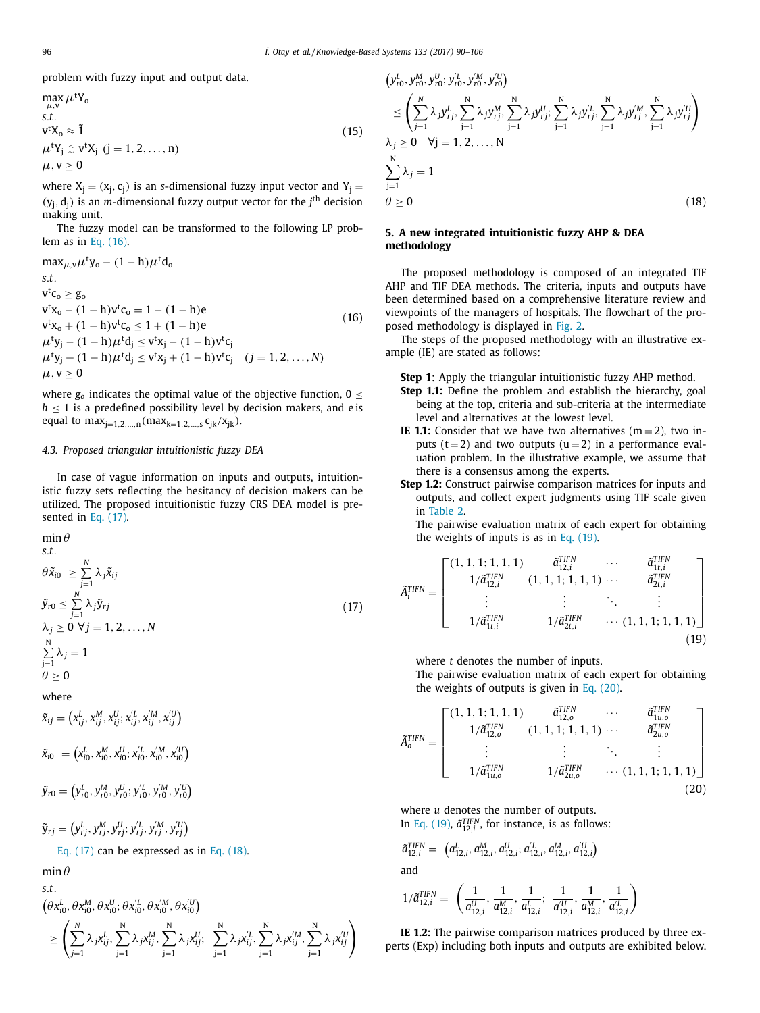<span id="page-6-0"></span>problem with fuzzy input and output data.

$$
\max_{\mu, v} \mu^t Y_0
$$
  
s.t.  

$$
v^t X_0 \approx \tilde{1}
$$
  

$$
\mu^t Y_j \le v^t X_j \ (j = 1, 2, ..., n)
$$
  

$$
\mu, v \ge 0
$$
 (15)

where  $X_j = (x_j, c_j)$  is an *s*-dimensional fuzzy input vector and  $Y_i =$  $(y_j, d_j)$  is an *m*-dimensional fuzzy output vector for the  $j<sup>th</sup>$  decision making unit.

The fuzzy model can be transformed to the following LP problem as in Eq. (16).

$$
\max_{\mu,\nu}\mu^{t}y_{o} - (1-h)\mu^{t}d_{o}
$$
\ns.t.  
\nv<sup>t</sup>c<sub>o</sub>  $\geq g_{o}$   
\nv<sup>t</sup>x<sub>o</sub> - (1-h)v<sup>t</sup>c<sub>o</sub> = 1 - (1-h)e  
\nv<sup>t</sup>x<sub>o</sub> + (1-h)v<sup>t</sup>c<sub>o</sub>  $\leq$  1 + (1-h)e  
\n $\mu^{t}y_{j} - (1-h)\mu^{t}d_{j} \leq v^{t}x_{j} - (1-h)v^{t}c_{j}$   
\n $\mu^{t}y_{j} + (1-h)\mu^{t}d_{j} \leq v^{t}x_{j} + (1-h)v^{t}c_{j}$  (j = 1, 2, ..., N)  
\n $\mu, v \geq 0$  (16)

where  $g_0$  indicates the optimal value of the objective function,  $0 \leq$  $h \leq 1$  is a predefined possibility level by decision makers, and e is equal to  $max_{j=1,2,...,n}(max_{k=1,2,...,s} c_{jk}/x_{jk}).$ 

### *4.3. Proposed triangular intuitionistic fuzzy DEA*

In case of vague information on inputs and outputs, intuitionistic fuzzy sets reflecting the hesitancy of decision makers can be utilized. The proposed intuitionistic fuzzy CRS DEA model is presented in Eq. (17).

$$
\min \theta
$$
\ns.t.\n
$$
\theta \tilde{x}_{i0} \geq \sum_{j=1}^{N} \lambda_j \tilde{x}_{ij}
$$
\n
$$
\tilde{y}_{r0} \leq \sum_{j=1}^{N} \lambda_j \tilde{y}_{rj}
$$
\n
$$
\lambda_j \geq 0 \ \forall j = 1, 2, ..., N
$$
\n
$$
\sum_{j=1}^{N} \lambda_j = 1
$$
\n(17)

$$
j=1
$$
  

$$
\theta \ge 0
$$
  
where

 $\tilde{x}_{ij} = \left(x_{ij}^L, x_{ij}^M, x_{ij}^U; x_{ij}^{\prime L}, x_{ij}^{\prime M}, x_{ij}^{\prime U}\right)$ 

 $\tilde{x}_{i0} = (x_{i0}^L, x_{i0}^M, x_{i0}^U; x_{i0}^{\prime L}, x_{i0}^{\prime M}, x_{i0}^{\prime U})$ 

 $\widetilde{y}_{r0} = \left( y_{r0}^L, y_{r0}^M, y_{r0}^U; y_{r0}^{'L}, y_{r0}^{'M}, y_{r0}^{'U} \right)$ 

$$
\tilde{\mathbf{y}}_{rj} = \left(y_{rj}^L, y_{rj}^M, y_{rj}^U; y_{rj}^{\prime L}, y_{rj}^{\prime M}, y_{rj}^{\prime U}\right)
$$

Eq. (17) can be expressed as in Eq. (18).

 $min \theta$ 

*s*.*t*.

 $(\theta x_{i0}^L, \theta x_{i0}^M, \theta x_{i0}^U; \theta x_{i0}^L, \theta x_{i0}^M, \theta x_{i0}^U)$ 

$$
\geq\left(\sum_{j=1}^N\lambda_jx_{ij}^L,\sum_{j=1}^N\lambda_jx_{ij}^M,\sum_{j=1}^N\lambda_jx_{ij}^U;\ \sum_{j=1}^N\lambda_jx_{ij}^{\prime L},\sum_{j=1}^N\lambda_jx_{ij}^{\prime M},\sum_{j=1}^N\lambda_jx_{ij}^{\prime U}\right)
$$

$$
\begin{split}\n& (y_{r0}^L, y_{r0}^M, y_{r0}^U; y_{r0}^U, y_{r0}^M, y_{r0}^{\prime U}) \\
&\leq \left( \sum_{j=1}^N \lambda_j y_{rj}^L, \sum_{j=1}^N \lambda_j y_{rj}^M, \sum_{j=1}^N \lambda_j y_{rj}^U; \sum_{j=1}^N \lambda_j y_{rj}^U, \sum_{j=1}^N \lambda_j y_{rj}^M, \sum_{j=1}^N \lambda_j y_{rj}^U \right) \\
& \lambda_j \geq 0 \quad \forall j = 1, 2, ..., N \\
& \sum_{j=1}^N \lambda_j = 1 \\
& \theta \geq 0\n\end{split}
$$
\n(18)

#### **5. A new integrated intuitionistic fuzzy AHP & DEA methodology**

The proposed methodology is composed of an integrated TIF AHP and TIF DEA methods. The criteria, inputs and outputs have been determined based on a comprehensive literature review and viewpoints of the managers of hospitals. The flowchart of the proposed methodology is displayed in [Fig.](#page-7-0) 2.

The steps of the proposed methodology with an illustrative example (IE) are stated as follows:

**Step 1**: Apply the triangular intuitionistic fuzzy AHP method.

- **Step 1.1:** Define the problem and establish the hierarchy, goal being at the top, criteria and sub-criteria at the intermediate level and alternatives at the lowest level.
- **IE 1.1:** Consider that we have two alternatives  $(m = 2)$ , two inputs  $(t = 2)$  and two outputs  $(u = 2)$  in a performance evaluation problem. In the illustrative example, we assume that there is a consensus among the experts.
- **Step 1.2:** Construct pairwise comparison matrices for inputs and outputs, and collect expert judgments using TIF scale given in [Table](#page-7-0) 2.

The pairwise evaluation matrix of each expert for obtaining the weights of inputs is as in Eq. (19).

$$
\tilde{A}_{i}^{TIFN} = \begin{bmatrix}\n(1, 1, 1, 1, 1, 1) & \tilde{a}_{12,i}^{TIFN} & \cdots & \tilde{a}_{1t,i}^{TIFN} \\
1/\tilde{a}_{12,i}^{TIFN} & (1, 1, 1, 1, 1, 1) & \cdots & \tilde{a}_{2t,i}^{TIFN} \\
\vdots & \vdots & \ddots & \vdots \\
1/\tilde{a}_{1t,i}^{TIFN} & 1/\tilde{a}_{2t,i}^{TIFN} & \cdots (1, 1, 1, 1, 1, 1)\n\end{bmatrix}
$$
\n(19)

where *t* denotes the number of inputs.

The pairwise evaluation matrix of each expert for obtaining the weights of outputs is given in Eq. (20).

$$
\tilde{A}_{o}^{TIFN} = \begin{bmatrix}\n(1, 1, 1, 1, 1, 1) & \tilde{a}_{12,o}^{TIFN} & \cdots & \tilde{a}_{1u,o}^{TIFN} \\
1/\tilde{a}_{12,o}^{TIFN} & (1, 1, 1, 1, 1, 1) & \cdots & \tilde{a}_{2u,o}^{TIFN} \\
\vdots & \vdots & \ddots & \vdots \\
1/\tilde{a}_{1u,o}^{TIFN} & 1/\tilde{a}_{2u,o}^{TIFN} & \cdots (1, 1, 1, 1, 1, 1)\n\end{bmatrix}
$$
\n(20)

where *u* denotes the number of outputs. In Eq. (19),  $\tilde{a}_{12,i}^{TIFN}$ , for instance, is as follows:

$$
\tilde{a}_{12,i}^{TIFN} = (a_{12,i}^L, a_{12,i}^M, a_{12,i}^U; a_{12,i}^{\prime L}, a_{12,i}^M, a_{12,i}^{\prime U})
$$

and

$$
1/\tilde{a}_{12,i}^{\text{TFN}} = \ \left(\frac{1}{a_{12,i}^{U}},\, \frac{1}{a_{12,i}^{M}},\, \frac{1}{a_{12,i}^{L}};\,\, \frac{1}{a_{12,i}^{U}},\, \frac{1}{a_{12,i}^{M}},\, \frac{1}{a_{12,i}^{L}}\right)
$$

**IE 1.2:** The pairwise comparison matrices produced by three experts (Exp) including both inputs and outputs are exhibited below.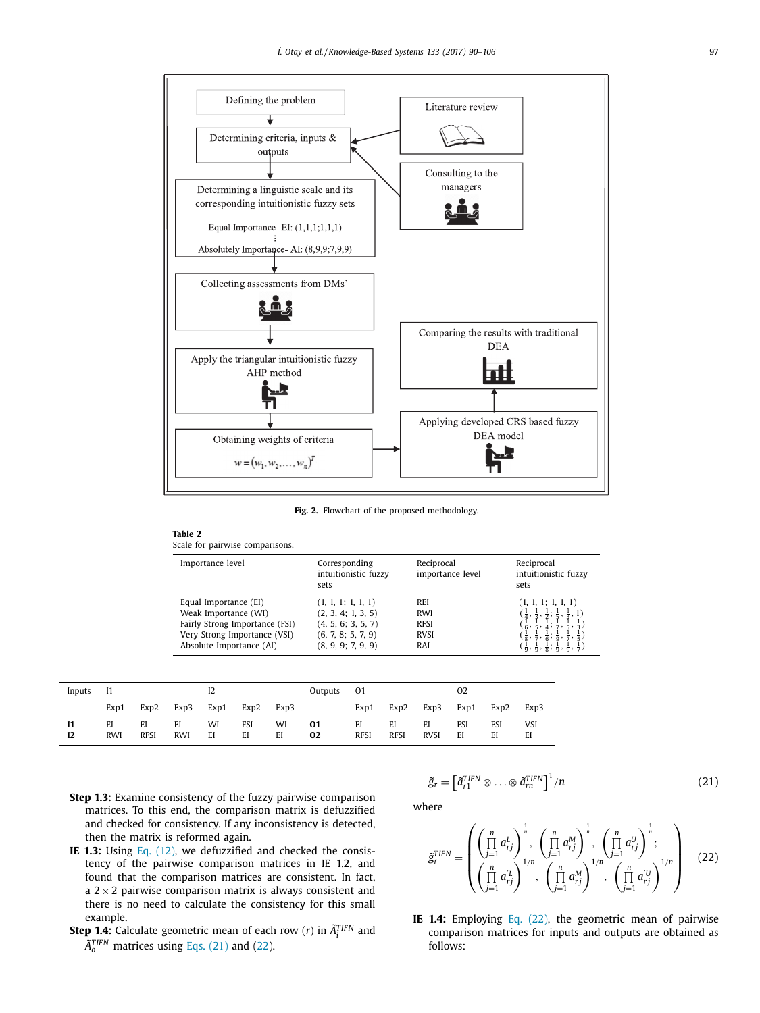<span id="page-7-0"></span>

**Fig. 2.** Flowchart of the proposed methodology.

| Scale for pairwise comparisons.                                                                                                             |                                                                                                            |                                                               |                                                                                                                                                                                                                                                                                                                                                                                |
|---------------------------------------------------------------------------------------------------------------------------------------------|------------------------------------------------------------------------------------------------------------|---------------------------------------------------------------|--------------------------------------------------------------------------------------------------------------------------------------------------------------------------------------------------------------------------------------------------------------------------------------------------------------------------------------------------------------------------------|
| Importance level                                                                                                                            | Corresponding<br>intuitionistic fuzzy<br>sets                                                              | Reciprocal<br>importance level                                | Reciprocal<br>intuitionistic fuzzy<br>sets                                                                                                                                                                                                                                                                                                                                     |
| Equal Importance (EI)<br>Weak Importance (WI)<br>Fairly Strong Importance (FSI)<br>Very Strong Importance (VSI)<br>Absolute Importance (AI) | (1, 1, 1; 1, 1, 1)<br>(2, 3, 4; 1, 3, 5)<br>(4, 5, 6; 3, 5, 7)<br>(6, 7, 8; 5, 7, 9)<br>(8, 9, 9; 7, 9, 9) | <b>REI</b><br><b>RWI</b><br><b>RFSI</b><br><b>RVSI</b><br>RAI | (1, 1, 1; 1, 1, 1)<br>$\left(\frac{1}{4}, \frac{1}{3}, \frac{1}{2}; \frac{1}{5}, \frac{1}{3}, 1\right)$<br>$\left(\frac{1}{6}, \frac{1}{5}, \frac{1}{4}; \frac{1}{7}, \frac{1}{5}, \frac{1}{3}\right)$<br>$(\frac{1}{8}, \frac{1}{7}, \frac{1}{6}; \frac{1}{9}, \frac{1}{7}, \frac{1}{5})$<br>$(\frac{1}{9}, \frac{1}{9}, \frac{1}{8}; \frac{1}{9}, \frac{1}{9}, \frac{1}{7})$ |

| Inputs |                  |                   |                  | 12       |           |          | Outputs  | 01                |                   |                   | 02        |           |           |
|--------|------------------|-------------------|------------------|----------|-----------|----------|----------|-------------------|-------------------|-------------------|-----------|-----------|-----------|
|        | Exp1             | Exp2              | Exp3             | Exp1     | Exp2      | Exp3     |          | Exp1              | Exp2              | Exp3              | Exp1      | Exp2      | Exp3      |
| 12     | EI<br><b>RWI</b> | EI<br><b>RFSI</b> | EI<br><b>RWI</b> | WI<br>EI | FSI<br>EI | WI<br>EI | 01<br>02 | EI<br><b>RFSI</b> | EI<br><b>RFSI</b> | EI<br><b>RVSI</b> | FSI<br>EI | FSI<br>EI | VSI<br>EI |

**Step 1.3:** Examine consistency of the fuzzy pairwise comparison matrices. To this end, the comparison matrix is defuzzified and checked for consistency. If any inconsistency is detected, then the matrix is reformed again.

**Table 2**

- **IE 1.3:** Using Eq. [\(12\),](#page-5-0) we defuzzified and checked the consistency of the pairwise comparison matrices in IE 1.2, and found that the comparison matrices are consistent. In fact, a  $2 \times 2$  pairwise comparison matrix is always consistent and there is no need to calculate the consistency for this small example.
- **Step 1.4:** Calculate geometric mean of each row (*r*) in  $\tilde{A}^{TIFN}_i$  and  $\tilde{A}_0^{TIFN}$  matrices using Eqs. (21) and (22).

$$
\tilde{g}_r = \left[\tilde{a}_{r1}^{TIFN} \otimes \ldots \otimes \tilde{a}_{rn}^{TIFN}\right]^1/n
$$
\n(21)

where

$$
\tilde{g}_r^{TIFN} = \left( \begin{pmatrix} \prod_{j=1}^n a_{rj}^L \\ \prod_{j=1}^n a_{rj}^L \end{pmatrix}^{\frac{1}{n}}, \begin{pmatrix} \prod_{j=1}^n a_{rj}^M \\ \prod_{j=1}^n a_{rj}^M \end{pmatrix}^{\frac{1}{n}}, \begin{pmatrix} \prod_{j=1}^n a_{rj}^U \\ \prod_{j=1}^n a_{rj}^U \end{pmatrix}^{\frac{1}{n}}; \begin{pmatrix} \prod_{j=1}^n a_{rj}^U \\ \prod_{j=1}^n a_{rj}^U \end{pmatrix}^{1/n} \right) (22)
$$

**IE 1.4:** Employing Eq. (22), the geometric mean of pairwise comparison matrices for inputs and outputs are obtained as follows: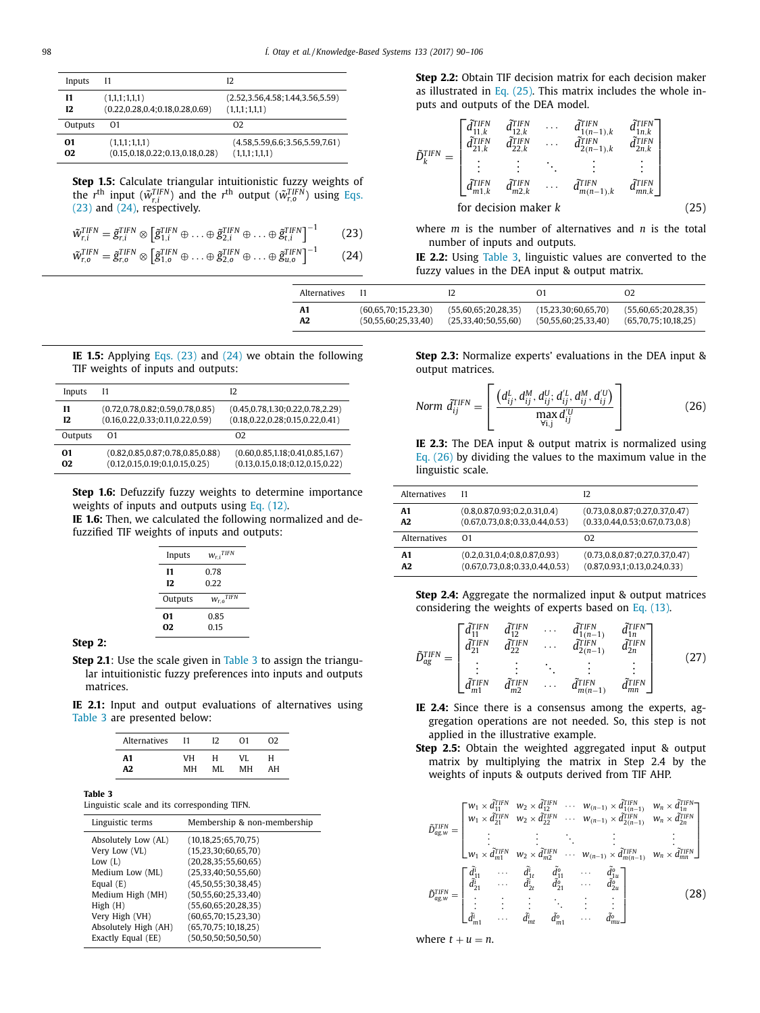<span id="page-8-0"></span>

| Inputs         | 11                                   | 12                                   |
|----------------|--------------------------------------|--------------------------------------|
| 11             | (1,1,1;1,1,1)                        | (2.52, 3.56, 4.58; 1.44, 3.56, 5.59) |
| 12             | (0.22, 0.28, 0.4; 0.18, 0.28, 0.69)  | (1,1,1;1,1,1)                        |
| Outputs        | 01                                   | 02                                   |
| O1             | (1,1,1;1,1,1)                        | (4.58, 5.59, 6.6; 3.56, 5.59, 7.61)  |
| O <sub>2</sub> | (0.15, 0.18, 0.22; 0.13, 0.18, 0.28) | (1,1,1;1,1,1)                        |

**Step 1.5:** Calculate triangular intuitionistic fuzzy weights of the *r*<sup>th</sup> input ( $\tilde{w}^{TIFN}_{r,i}$ ) and the *r*<sup>th</sup> output ( $\tilde{w}^{TIFN}_{r,0}$ ) using Eqs. (23) and (24), respectively.

$$
\tilde{w}_{r,i}^{TIFN} = \tilde{g}_{r,i}^{TIFN} \otimes \left[ \tilde{g}_{1,i}^{TIFN} \oplus \ldots \oplus \tilde{g}_{2,i}^{TIFN} \oplus \ldots \oplus \tilde{g}_{t,i}^{TIFN} \right]^{-1}
$$
 (23)

$$
\tilde{w}_{r,o}^{TIFN} = \tilde{g}_{r,o}^{TIFN} \otimes \left[ \tilde{g}_{1,o}^{TIFN} \oplus \ldots \oplus \tilde{g}_{2,o}^{TIFN} \oplus \ldots \oplus \tilde{g}_{u,o}^{TIFN} \right]^{-1}
$$
 (24)

**Step 2.2:** Obtain TIF decision matrix for each decision maker as illustrated in Eq. (25). This matrix includes the whole inputs and outputs of the DEA model.

$$
\tilde{D}_{k}^{TIFN} = \begin{bmatrix}\n\tilde{d}_{11,k}^{TIFN} & \tilde{d}_{12,k}^{TIFN} & \cdots & \tilde{d}_{1(n-1),k}^{TIFN} & \tilde{d}_{1n,k}^{TIFN} \\
\tilde{d}_{21,k}^{TIFN} & \tilde{d}_{22,k}^{TIFN} & \cdots & \tilde{d}_{2(n-1),k}^{TIFN} & \tilde{d}_{2n,k}^{TIFN} \\
\vdots & \vdots & \ddots & \vdots & \vdots \\
\tilde{d}_{m1,k}^{TIFN} & \tilde{d}_{m2,k}^{TIFN} & \cdots & \tilde{d}_{m(n-1),k}^{TIFN} & \tilde{d}_{mn,k}^{TIFN}\n\end{bmatrix}
$$
\nfor decision maker k (25)

where *m* is the number of alternatives and *n* is the total number of inputs and outputs.

**IE 2.2:** Using Table 3, linguistic values are converted to the fuzzy values in the DEA input & output matrix.

| Alternatives |                          |                     |                          | 02                  |
|--------------|--------------------------|---------------------|--------------------------|---------------------|
| A1           | (60,65,70;15,23,30)      | (55,60,65;20,28,35) | (15,23,30;60,65,70)      | (55,60,65;20,28,35) |
| A2           | (50, 55, 60, 25, 33, 40) | (25,33,40;50,55,60) | (50, 55, 60, 25, 33, 40) | (65,70,75;10,18,25) |

**IE 1.5:** Applying Eqs. (23) and (24) we obtain the following TIF weights of inputs and outputs:

| Inputs         | 11                                   | I2                                   |
|----------------|--------------------------------------|--------------------------------------|
| 11             | (0.72, 0.78, 0.82; 0.59, 0.78, 0.85) | (0.45, 0.78, 1.30, 0.22, 0.78, 2.29) |
| 12             | (0.16, 0.22, 0.33; 0.11, 0.22, 0.59) | (0.18, 0.22, 0.28, 0.15, 0.22, 0.41) |
| Outputs        | O <sub>1</sub>                       | O <sub>2</sub>                       |
| 01             | (0.82, 0.85, 0.87, 0.78, 0.85, 0.88) | (0.60, 0.85, 1.18; 0.41, 0.85, 1.67) |
| O <sub>2</sub> | (0.12, 0.15, 0.19; 0.1, 0.15, 0.25)  | (0.13, 0.15, 0.18; 0.12, 0.15, 0.22) |

**Step 1.6:** Defuzzify fuzzy weights to determine importance weights of inputs and outputs using Eq. [\(12\).](#page-5-0)

**IE 1.6:** Then, we calculated the following normalized and defuzzified TIF weights of inputs and outputs:

| Inputs  | $W_{r,i}$ <sup>TIFN</sup> |
|---------|---------------------------|
| 11      | 0.78                      |
| 12      | 0.22                      |
| Outputs | $W_{r,o}$ <sup>TIFN</sup> |
| 01      | 0.85                      |
| 02      | 0.15                      |

#### **Step 2:**

**Step 2.1**: Use the scale given in Table 3 to assign the triangular intuitionistic fuzzy preferences into inputs and outputs matrices.

**IE 2.1:** Input and output evaluations of alternatives using Table 3 are presented below:

| Alternatives   | 11 | 12 | በ1 | റാ |
|----------------|----|----|----|----|
| Α1             | VH | н  | VI | н  |
| A <sub>2</sub> | MН | MI | мн | AН |

**Table 3**

Linguistic scale and its corresponding TIFN.

| Linguistic terms     | Membership & non-membership |
|----------------------|-----------------------------|
| Absolutely Low (AL)  | (10, 18, 25; 65, 70, 75)    |
| Very Low (VL)        | (15,23,30;60,65,70)         |
| Low $(L)$            | (20, 28, 35; 55, 60, 65)    |
| Medium Low (ML)      | (25,33,40;50,55,60)         |
| Equal $(E)$          | (45,50,55;30,38,45)         |
| Medium High (MH)     | (50, 55, 60; 25, 33, 40)    |
| High(H)              | (55,60,65;20,28,35)         |
| Very High (VH)       | (60, 65, 70; 15, 23, 30)    |
| Absolutely High (AH) | (65,70,75;10,18,25)         |
| Exactly Equal (EE)   | (50, 50, 50, 50, 50, 50)    |

**Step 2.3:** Normalize experts' evaluations in the DEA input & output matrices.

$$
Norm \ \tilde{d}_{ij}^{TIFN} = \left[ \frac{\left(d_{ij}^L, d_{ij}^M, d_{ij}^U, d_{ij}^{\prime L}, d_{ij}^M, d_{ij}^{\prime U}\right)}{\max_{\forall i,j} d_{ij}^{\prime U}} \right]
$$
(26)

**IE 2.3:** The DEA input & output matrix is normalized using Eq. (26) by dividing the values to the maximum value in the linguistic scale.

| Alternatives | 11                                  | I2                                  |
|--------------|-------------------------------------|-------------------------------------|
| A1           | (0.8, 0.87, 0.93; 0.2, 0.31, 0.4)   | (0.73, 0.8, 0.87; 0.27, 0.37, 0.47) |
| A2           | (0.67, 0.73, 0.8, 0.33, 0.44, 0.53) | (0.33, 0.44, 0.53, 0.67, 0.73, 0.8) |
| Alternatives | 01                                  | 02                                  |
| A1           | (0.2, 0.31, 0.4; 0.8, 0.87, 0.93)   | (0.73, 0.8, 0.87; 0.27, 0.37, 0.47) |
| A2           | (0.67, 0.73, 0.8; 0.33, 0.44, 0.53) | (0.87, 0.93, 1; 0.13, 0.24, 0.33)   |

**Step 2.4:** Aggregate the normalized input & output matrices considering the weights of experts based on Eq. [\(13\).](#page-5-0)

$$
\tilde{D}_{ag}^{TIFN} = \begin{bmatrix}\n\tilde{d}_{11}^{TIFN} & \tilde{d}_{12}^{TIFN} & \cdots & \tilde{d}_{1(n-1)}^{TIFN} & \tilde{d}_{1n}^{TIFN} \\
\tilde{d}_{21}^{TIFN} & \tilde{d}_{22}^{TIFN} & \cdots & \tilde{d}_{2(n-1)}^{TIFN} & \tilde{d}_{2n}^{TIFN} \\
\vdots & \vdots & \ddots & \vdots & \vdots \\
\tilde{d}_{m1}^{TIFN} & \tilde{d}_{m2}^{TIFN} & \cdots & \tilde{d}_{m(n-1)}^{TIFN} & \tilde{d}_{mn}^{TIFN}\n\end{bmatrix}
$$
\n(27)

- **IE 2.4:** Since there is a consensus among the experts, aggregation operations are not needed. So, this step is not applied in the illustrative example.
- **Step 2.5:** Obtain the weighted aggregated input & output matrix by multiplying the matrix in Step 2.4 by the weights of inputs & outputs derived from TIF AHP.

$$
\tilde{D}_{ag,w}^{TFN} = \begin{bmatrix} w_1 \times \tilde{d}_{11}^{TFN} & w_2 \times \tilde{d}_{12}^{TFN} & \cdots & w_{(n-1)} \times \tilde{d}_{1(n-1)}^{TFN} & w_1 \times \tilde{d}_{1n}^{TFN} \\ w_1 \times \tilde{d}_{21}^{TFN} & w_2 \times \tilde{d}_{22}^{TFN} & \cdots & w_{(n-1)} \times \tilde{d}_{2(n-1)}^{TFN} & w_1 \times \tilde{d}_{2n}^{TFN} \\ \vdots & \vdots & \ddots & \vdots & \vdots \\ w_1 \times \tilde{d}_{m1}^{TFN} & w_2 \times \tilde{d}_{m2}^{TFN} & \cdots & w_{(n-1)} \times \tilde{d}_{m(n-1)}^{TFN} & w_1 \times \tilde{d}_{nm}^{TFN} \end{bmatrix}
$$
\n
$$
\tilde{D}_{ag,w}^{TFN} = \begin{bmatrix} \tilde{d}_{1}^{i} & \cdots & \tilde{d}_{1}^{i} & \tilde{d}_{1}^{o} & \cdots & \tilde{d}_{1n}^{o} \\ \tilde{d}_{21}^{i} & \cdots & \tilde{d}_{2t}^{i} & \tilde{d}_{21}^{o} & \cdots & \tilde{d}_{2u}^{o} \\ \vdots & \vdots & \vdots & \vdots & \vdots & \vdots \\ \tilde{d}_{m1}^{i} & \cdots & \tilde{d}_{m1}^{i} & \tilde{d}_{m1}^{o} & \cdots & \tilde{d}_{mu}^{o} \end{bmatrix}
$$
\n(28)

where  $t + u = n$ .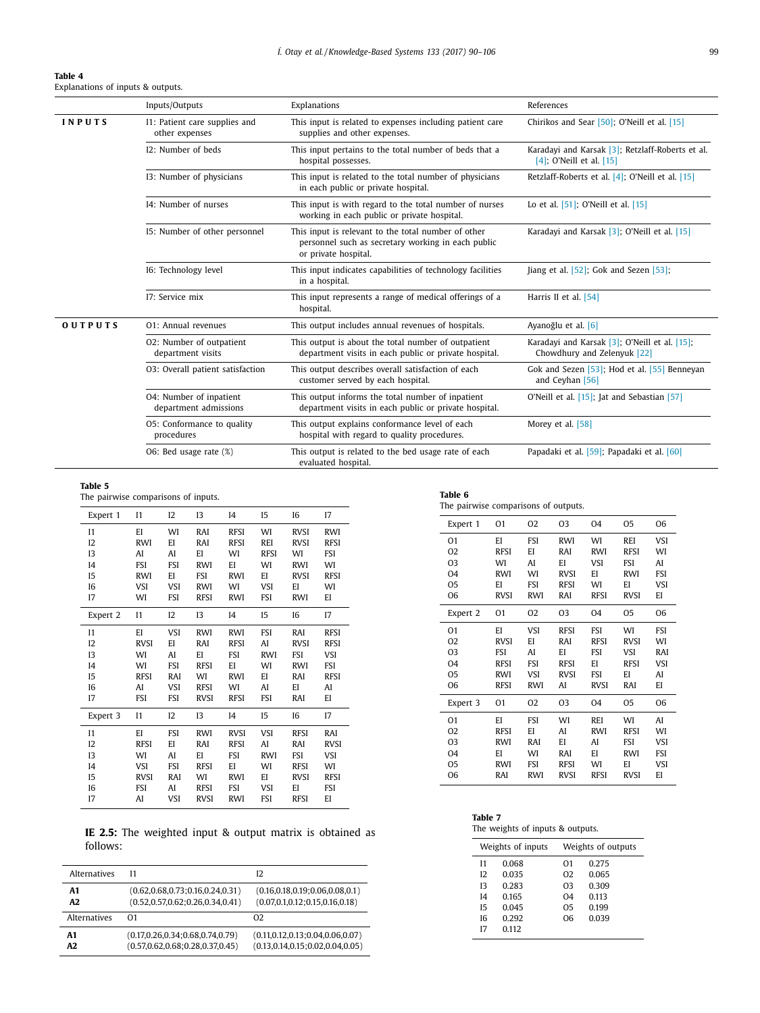<span id="page-9-0"></span>

| Table 4                           |  |  |
|-----------------------------------|--|--|
| Explanations of inputs & outputs. |  |  |

|                | Inputs/Outputs                                   | Explanations                                                                                                                      | References                                                                   |
|----------------|--------------------------------------------------|-----------------------------------------------------------------------------------------------------------------------------------|------------------------------------------------------------------------------|
| INPUTS         | I1: Patient care supplies and<br>other expenses  | This input is related to expenses including patient care<br>supplies and other expenses.                                          | Chirikos and Sear [50]; O'Neill et al. [15]                                  |
|                | I2: Number of beds                               | This input pertains to the total number of beds that a<br>hospital possesses.                                                     | Karadayi and Karsak [3]; Retzlaff-Roberts et al.<br>[4]; O'Neill et al. [15] |
|                | 13: Number of physicians                         | This input is related to the total number of physicians<br>in each public or private hospital.                                    | Retzlaff-Roberts et al. $[4]$ ; O'Neill et al. $[15]$                        |
|                | 14: Number of nurses                             | This input is with regard to the total number of nurses<br>working in each public or private hospital.                            | Lo et al. [51]; O'Neill et al. [15]                                          |
|                | 15: Number of other personnel                    | This input is relevant to the total number of other<br>personnel such as secretary working in each public<br>or private hospital. | Karadayi and Karsak [3]; O'Neill et al. [15]                                 |
|                | 16: Technology level                             | This input indicates capabilities of technology facilities<br>in a hospital.                                                      | Jiang et al. $[52]$ ; Gok and Sezen $[53]$ ;                                 |
|                | I7: Service mix                                  | This input represents a range of medical offerings of a<br>hospital.                                                              | Harris II et al. [54]                                                        |
| <b>OUTPUTS</b> | O1: Annual revenues                              | This output includes annual revenues of hospitals.                                                                                | Ayanoğlu et al. [6]                                                          |
|                | O2: Number of outpatient<br>department visits    | This output is about the total number of outpatient<br>department visits in each public or private hospital.                      | Karadayi and Karsak [3]; O'Neill et al. [15];<br>Chowdhury and Zelenyuk [22] |
|                | O3: Overall patient satisfaction                 | This output describes overall satisfaction of each<br>customer served by each hospital.                                           | Gok and Sezen [53]; Hod et al. [55] Benneyan<br>and Ceyhan [56]              |
|                | 04: Number of inpatient<br>department admissions | This output informs the total number of inpatient<br>department visits in each public or private hospital.                        | O'Neill et al. [15]; Jat and Sebastian [57]                                  |
|                | O5: Conformance to quality<br>procedures         | This output explains conformance level of each<br>hospital with regard to quality procedures.                                     | Morey et al. [58]                                                            |
|                | O6: Bed usage rate (%)                           | This output is related to the bed usage rate of each<br>evaluated hospital.                                                       | Papadaki et al. [59]; Papadaki et al. [60]                                   |

#### **Table 5**

The pairwise comparisons of inputs.

| Expert 1       | I <sub>1</sub> | 12         | 13          | I <sub>4</sub> | I <sub>5</sub> | 16          | 17          |
|----------------|----------------|------------|-------------|----------------|----------------|-------------|-------------|
| I <sub>1</sub> | EI             | WI         | RAI         | <b>RFSI</b>    | WI             | <b>RVSI</b> | <b>RWI</b>  |
| 12             | <b>RWI</b>     | EI         | RAI         | <b>RFSI</b>    | REI            | <b>RVSI</b> | <b>RFSI</b> |
| 13             | AI             | AI         | EI          | WI             | <b>RFSI</b>    | WI          | <b>FSI</b>  |
| I <sub>4</sub> | <b>FSI</b>     | <b>FSI</b> | <b>RWI</b>  | EI             | WI             | <b>RWI</b>  | WI          |
| I <sub>5</sub> | <b>RWI</b>     | EI         | <b>FSI</b>  | <b>RWI</b>     | EI             | <b>RVSI</b> | <b>RFSI</b> |
| I6             | VSI            | <b>VSI</b> | <b>RWI</b>  | WI             | <b>VSI</b>     | EI          | WI          |
| 17             | WI             | <b>FSI</b> | <b>RFSI</b> | <b>RWI</b>     | <b>FSI</b>     | <b>RWI</b>  | EI          |
| Expert 2       | I <sub>1</sub> | I2         | 13          | I <sub>4</sub> | I5             | I6          | 17          |
| I <sub>1</sub> | EI             | <b>VSI</b> | <b>RWI</b>  | <b>RWI</b>     | <b>FSI</b>     | RAI         | <b>RFSI</b> |
| 12             | <b>RVSI</b>    | EI         | RAI         | <b>RFSI</b>    | AI             | <b>RVSI</b> | <b>RFSI</b> |
| 13             | WI             | AI         | EI          | <b>FSI</b>     | <b>RWI</b>     | <b>FSI</b>  | VSI         |
| I <sub>4</sub> | WI             | <b>FSI</b> | <b>RFSI</b> | EI             | WI             | <b>RWI</b>  | <b>FSI</b>  |
| I <sub>5</sub> | <b>RFSI</b>    | RAI        | WI          | <b>RWI</b>     | EI             | RAI         | <b>RFSI</b> |
| 16             | AI             | VSI        | <b>RFSI</b> | WI             | AI             | EI          | AI          |
| 17             | <b>FSI</b>     | <b>FSI</b> | <b>RVSI</b> | <b>RFSI</b>    | <b>FSI</b>     | RAI         | EI          |
| Expert 3       | I <sub>1</sub> | 12         | 13          | I <sub>4</sub> | I <sub>5</sub> | 16          | 17          |
| I <sub>1</sub> | EI             | <b>FSI</b> | <b>RWI</b>  | <b>RVSI</b>    | VSI            | <b>RFSI</b> | RAI         |
| 12             | <b>RFSI</b>    | EI         | RAI         | <b>RFSI</b>    | AI             | RAI         | <b>RVSI</b> |
| 13             | WI             | AI         | EI          | <b>FSI</b>     | <b>RWI</b>     | <b>FSI</b>  | VSI         |
| I <sub>4</sub> | VSI            | <b>FSI</b> | <b>RFSI</b> | EI             | WI             | <b>RFSI</b> | WI          |
| <b>I5</b>      | <b>RVSI</b>    | RAI        | WI          | <b>RWI</b>     | ΕI             | <b>RVSI</b> | <b>RFSI</b> |
| 16             | <b>FSI</b>     | AI         | <b>RFSI</b> | <b>FSI</b>     | VSI            | EI          | <b>FSI</b>  |
| 17             | AI             | VSI        | <b>RVSI</b> | RWI            | <b>FSI</b>     | <b>RFSI</b> | EI          |

**IE 2.5:** The weighted input & output matrix is obtained as follows:

| Alternatives        | 11                                   | 12                                   |
|---------------------|--------------------------------------|--------------------------------------|
| A1                  | (0.62, 0.68, 0.73, 0.16, 0.24, 0.31) | (0.16, 0.18, 0.19, 0.06, 0.08, 0.1)  |
| A2.                 | (0.52, 0.57, 0.62, 0.26, 0.34, 0.41) | (0.07, 0.1, 0.12; 0.15, 0.16, 0.18)  |
| <b>Alternatives</b> | 01                                   | O <sub>2</sub>                       |
| A1                  | (0.17, 0.26, 0.34, 0.68, 0.74, 0.79) | (0.11, 0.12, 0.13, 0.04, 0.06, 0.07) |
| A <sub>2</sub>      | (0.57, 0.62, 0.68; 0.28, 0.37, 0.45) | (0.13, 0.14, 0.15, 0.02, 0.04, 0.05) |

**Table 6**

|  |  |  | The pairwise comparisons of outputs |  |  |
|--|--|--|-------------------------------------|--|--|
|--|--|--|-------------------------------------|--|--|

| O1<br>02<br>03<br>04<br>05<br>06<br>Expert 1<br><b>REI</b><br>VSI<br>EI<br>FSI<br><b>RWI</b><br>WI<br>O <sub>1</sub><br>EI<br><b>RFSI</b><br>WI<br>O <sub>2</sub><br>RFSI<br>RAI<br><b>RWI</b><br>03<br>WI<br>AI<br>EI<br>VSI<br><b>FSI</b><br>AI<br>O <sub>4</sub><br><b>RWI</b><br>WI<br><b>RVSI</b><br>EI<br><b>RWI</b><br><b>FSI</b><br>05<br>EI<br><b>RFSI</b><br>WI<br>EI<br>VSI<br>FSI<br>06<br><b>RVSI</b><br><b>RWI</b><br><b>RVSI</b><br>EI<br>RAI<br><b>RFSI</b><br>02<br>03<br>05<br>06<br>01<br>O <sub>4</sub><br>Expert 2<br><b>FSI</b><br>EI<br>VSI<br><b>RFSI</b><br>WI<br><b>FSI</b><br>O <sub>1</sub><br>O <sub>2</sub><br><b>RVSI</b><br>EI<br>RAI<br><b>RFSI</b><br><b>RVSI</b><br>WI<br>03<br><b>FSI</b><br>VSI<br>AI<br>EI<br><b>FSI</b><br>RAI<br>EI<br>VSI<br>O <sub>4</sub><br><b>RFSI</b><br><b>FSI</b><br><b>RFSI</b><br><b>RFSI</b><br>0 <sub>5</sub><br>VSI<br><b>FSI</b><br>EI<br><b>RWI</b><br><b>RVSI</b><br>AI<br>06<br><b>RFSI</b><br><b>RWI</b><br>AI<br><b>RVSI</b><br>RAI<br>EI<br>01<br>02<br>03<br>04<br>O <sub>5</sub><br>06<br>Expert 3<br>WI<br>ΕI<br><b>FSI</b><br>WI<br><b>REI</b><br>AI<br>O <sub>1</sub><br><b>RWI</b><br>WI<br>O <sub>2</sub><br><b>RFSI</b><br>EI<br>AI<br><b>RFSI</b><br>EI<br>VSI<br>03<br><b>RWI</b><br>RAI<br>AI<br><b>FSI</b><br>04<br>EI<br>EI<br>WI<br>RAI<br><b>RWI</b><br><b>FSI</b><br>EI<br>O <sub>5</sub><br><b>RWI</b><br><b>FSI</b><br><b>RFSI</b><br>WI<br>VSI<br>06<br>RAI<br><b>RVSI</b><br><b>RFSI</b><br><b>RVSI</b><br>EI<br><b>RWI</b> |  |  |  |  |
|-----------------------------------------------------------------------------------------------------------------------------------------------------------------------------------------------------------------------------------------------------------------------------------------------------------------------------------------------------------------------------------------------------------------------------------------------------------------------------------------------------------------------------------------------------------------------------------------------------------------------------------------------------------------------------------------------------------------------------------------------------------------------------------------------------------------------------------------------------------------------------------------------------------------------------------------------------------------------------------------------------------------------------------------------------------------------------------------------------------------------------------------------------------------------------------------------------------------------------------------------------------------------------------------------------------------------------------------------------------------------------------------------------------------------------------------------------------------------------------------------------------------------------|--|--|--|--|
|                                                                                                                                                                                                                                                                                                                                                                                                                                                                                                                                                                                                                                                                                                                                                                                                                                                                                                                                                                                                                                                                                                                                                                                                                                                                                                                                                                                                                                                                                                                             |  |  |  |  |
|                                                                                                                                                                                                                                                                                                                                                                                                                                                                                                                                                                                                                                                                                                                                                                                                                                                                                                                                                                                                                                                                                                                                                                                                                                                                                                                                                                                                                                                                                                                             |  |  |  |  |
|                                                                                                                                                                                                                                                                                                                                                                                                                                                                                                                                                                                                                                                                                                                                                                                                                                                                                                                                                                                                                                                                                                                                                                                                                                                                                                                                                                                                                                                                                                                             |  |  |  |  |
|                                                                                                                                                                                                                                                                                                                                                                                                                                                                                                                                                                                                                                                                                                                                                                                                                                                                                                                                                                                                                                                                                                                                                                                                                                                                                                                                                                                                                                                                                                                             |  |  |  |  |
|                                                                                                                                                                                                                                                                                                                                                                                                                                                                                                                                                                                                                                                                                                                                                                                                                                                                                                                                                                                                                                                                                                                                                                                                                                                                                                                                                                                                                                                                                                                             |  |  |  |  |
|                                                                                                                                                                                                                                                                                                                                                                                                                                                                                                                                                                                                                                                                                                                                                                                                                                                                                                                                                                                                                                                                                                                                                                                                                                                                                                                                                                                                                                                                                                                             |  |  |  |  |
|                                                                                                                                                                                                                                                                                                                                                                                                                                                                                                                                                                                                                                                                                                                                                                                                                                                                                                                                                                                                                                                                                                                                                                                                                                                                                                                                                                                                                                                                                                                             |  |  |  |  |
|                                                                                                                                                                                                                                                                                                                                                                                                                                                                                                                                                                                                                                                                                                                                                                                                                                                                                                                                                                                                                                                                                                                                                                                                                                                                                                                                                                                                                                                                                                                             |  |  |  |  |
|                                                                                                                                                                                                                                                                                                                                                                                                                                                                                                                                                                                                                                                                                                                                                                                                                                                                                                                                                                                                                                                                                                                                                                                                                                                                                                                                                                                                                                                                                                                             |  |  |  |  |
|                                                                                                                                                                                                                                                                                                                                                                                                                                                                                                                                                                                                                                                                                                                                                                                                                                                                                                                                                                                                                                                                                                                                                                                                                                                                                                                                                                                                                                                                                                                             |  |  |  |  |
|                                                                                                                                                                                                                                                                                                                                                                                                                                                                                                                                                                                                                                                                                                                                                                                                                                                                                                                                                                                                                                                                                                                                                                                                                                                                                                                                                                                                                                                                                                                             |  |  |  |  |
|                                                                                                                                                                                                                                                                                                                                                                                                                                                                                                                                                                                                                                                                                                                                                                                                                                                                                                                                                                                                                                                                                                                                                                                                                                                                                                                                                                                                                                                                                                                             |  |  |  |  |
|                                                                                                                                                                                                                                                                                                                                                                                                                                                                                                                                                                                                                                                                                                                                                                                                                                                                                                                                                                                                                                                                                                                                                                                                                                                                                                                                                                                                                                                                                                                             |  |  |  |  |
|                                                                                                                                                                                                                                                                                                                                                                                                                                                                                                                                                                                                                                                                                                                                                                                                                                                                                                                                                                                                                                                                                                                                                                                                                                                                                                                                                                                                                                                                                                                             |  |  |  |  |
|                                                                                                                                                                                                                                                                                                                                                                                                                                                                                                                                                                                                                                                                                                                                                                                                                                                                                                                                                                                                                                                                                                                                                                                                                                                                                                                                                                                                                                                                                                                             |  |  |  |  |
|                                                                                                                                                                                                                                                                                                                                                                                                                                                                                                                                                                                                                                                                                                                                                                                                                                                                                                                                                                                                                                                                                                                                                                                                                                                                                                                                                                                                                                                                                                                             |  |  |  |  |
|                                                                                                                                                                                                                                                                                                                                                                                                                                                                                                                                                                                                                                                                                                                                                                                                                                                                                                                                                                                                                                                                                                                                                                                                                                                                                                                                                                                                                                                                                                                             |  |  |  |  |
|                                                                                                                                                                                                                                                                                                                                                                                                                                                                                                                                                                                                                                                                                                                                                                                                                                                                                                                                                                                                                                                                                                                                                                                                                                                                                                                                                                                                                                                                                                                             |  |  |  |  |
|                                                                                                                                                                                                                                                                                                                                                                                                                                                                                                                                                                                                                                                                                                                                                                                                                                                                                                                                                                                                                                                                                                                                                                                                                                                                                                                                                                                                                                                                                                                             |  |  |  |  |
|                                                                                                                                                                                                                                                                                                                                                                                                                                                                                                                                                                                                                                                                                                                                                                                                                                                                                                                                                                                                                                                                                                                                                                                                                                                                                                                                                                                                                                                                                                                             |  |  |  |  |

| Table 7                          |  |  |
|----------------------------------|--|--|
| The weights of inputs & outputs. |  |  |

|         | Weights of inputs | Weights of outputs      |  |
|---------|-------------------|-------------------------|--|
| $^{11}$ | 0.068             | 0.275<br>01             |  |
| 12      | 0.035             | 0.065<br>02             |  |
| 13      | 0.283             | 0.309<br>03             |  |
| $I_4$   | 0.165             | O <sub>4</sub><br>0.113 |  |
| 15      | 0.045             | 0.199<br>05             |  |
| 16      | 0.292             | 0.039<br>06             |  |
| 17      | 0.112             |                         |  |
|         |                   |                         |  |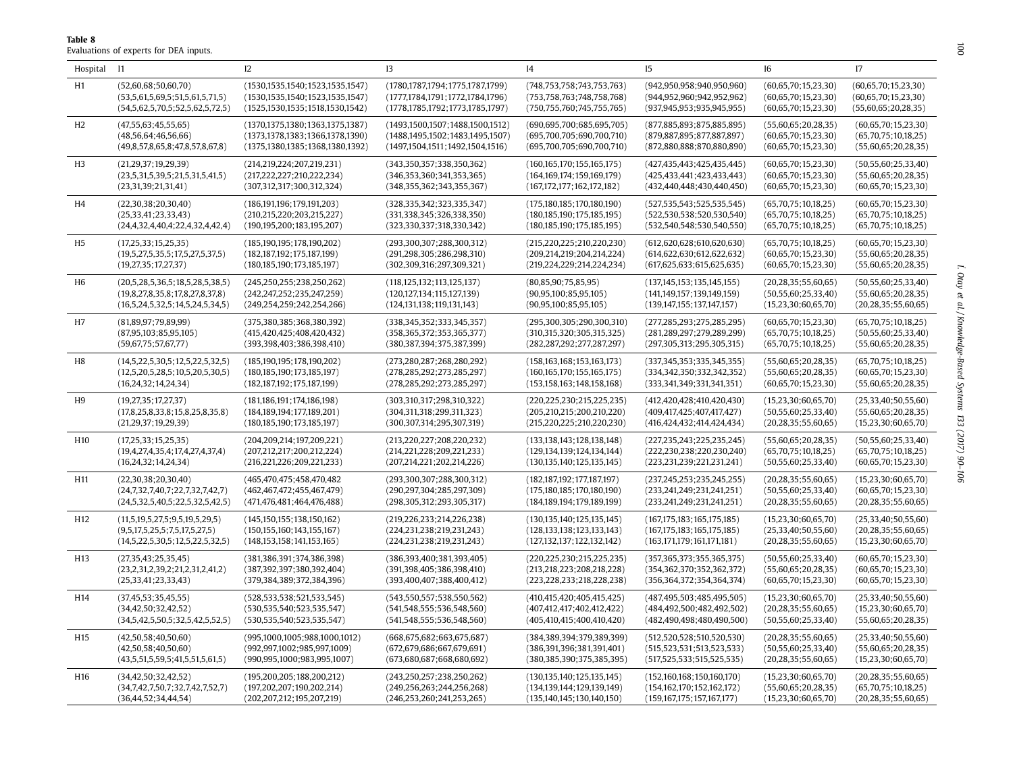Evaluations of experts for DEA inputs.

<span id="page-10-0"></span>**Table 8**

| Hospital I1     |                                 | 12                                   | 13                                   | I <sub>4</sub>                 | $_{15}$                        | I6                       | 17                       |
|-----------------|---------------------------------|--------------------------------------|--------------------------------------|--------------------------------|--------------------------------|--------------------------|--------------------------|
| H1              | (52,60,68;50,60,70)             | (1530, 1535, 1540, 1523, 1535, 1547) | (1780, 1787, 1794, 1775, 1787, 1799) | (748, 753, 758, 743, 753, 763) | (942, 950, 958, 940, 950, 960) | (60,65,70;15,23,30)      | (60,65,70;15,23,30)      |
|                 | (53,5,61,5,69,5;51,5,61,5,71,5) | (1530, 1535, 1540, 1523, 1535, 1547) | (1777, 1784, 1791, 1772, 1784, 1796) | (753, 758, 763; 748, 758, 768) | (944, 952, 960; 942, 952, 962) | (60, 65, 70; 15, 23, 30) | (60, 65, 70; 15, 23, 30) |
|                 | (54,5,62,5,70,5;52,5,62,5,72,5) | (1525, 1530, 1535; 1518, 1530, 1542) | (1778, 1785, 1792, 1773, 1785, 1797) | (750, 755, 760; 745, 755, 765) | (937, 945, 953; 935, 945, 955) | (60, 65, 70; 15, 23, 30) | (55,60,65;20,28,35)      |
| H <sub>2</sub>  | (47,55,63;45,55,65)             | (1370, 1375, 1380, 1363, 1375, 1387) | (1493, 1500, 1507, 1488, 1500, 1512) | (690, 695, 700, 685, 695, 705) | (877,885,893;875,885,895)      | (55,60,65;20,28,35)      | (60, 65, 70; 15, 23, 30) |
|                 | (48, 56, 64; 46, 56, 66)        | (1373,1378,1383;1366,1378,1390)      | (1488, 1495, 1502; 1483, 1495, 1507) | (695,700,705;690,700,710)      | (879, 887, 895; 877, 887, 897) | (60, 65, 70; 15, 23, 30) | (65,70,75;10,18,25)      |
|                 | (49,8,57,8,65,8;47,8,57,8,67,8) | (1375, 1380, 1385, 1368, 1380, 1392) | (1497, 1504, 1511; 1492, 1504, 1516) | (695,700,705;690,700,710)      | (872,880,888;870,880,890)      | (60, 65, 70; 15, 23, 30) | (55,60,65;20,28,35)      |
| H <sub>3</sub>  | (21,29,37;19,29,39)             | (214, 219, 224; 207, 219, 231)       | (343,350,357;338,350,362)            | (160, 165, 170, 155, 165, 175) | (427, 435, 443; 425, 435, 445) | (60, 65, 70; 15, 23, 30) | (50, 55, 60; 25, 33, 40) |
|                 | (23,5,31,5,39,5;21,5,31,5,41,5) | (217, 222, 227; 210, 222, 234)       | (346, 353, 360; 341, 353, 365)       | (164, 169, 174, 159, 169, 179) | (425, 433, 441, 423, 433, 443) | (60,65,70;15,23,30)      | (55,60,65;20,28,35)      |
|                 | (23,31,39;21,31,41)             | (307,312,317;300,312,324)            | (348, 355, 362; 343, 355, 367)       | (167, 172, 177, 162, 172, 182) | (432, 440, 448; 430, 440, 450) | (60, 65, 70; 15, 23, 30) | (60,65,70;15,23,30)      |
| H4              | (22, 30, 38; 20, 30, 40)        | (186, 191, 196; 179, 191, 203)       | (328, 335, 342; 323, 335, 347)       | (175, 180, 185, 170, 180, 190) | (527, 535, 543; 525, 535, 545) | (65,70,75;10,18,25)      | (60,65,70;15,23,30)      |
|                 | (25, 33, 41; 23, 33, 43)        | (210, 215, 220; 203, 215, 227)       | (331,338,345;326,338,350)            | (180, 185, 190; 175, 185, 195) | (522, 530, 538; 520, 530, 540) | (65,70,75;10,18,25)      | (65,70,75;10,18,25)      |
|                 | (24,4,32,4,40,4;22,4,32,4,42,4) | (190, 195, 200, 183, 195, 207)       | (323, 330, 337; 318, 330, 342)       | (180, 185, 190, 175, 185, 195) | (532, 540, 548, 530, 540, 550) | (65,70,75;10,18,25)      | (65,70,75;10,18,25)      |
| H <sub>5</sub>  | (17,25,33;15,25,35)             | (185, 190, 195; 178, 190, 202)       | (293,300,307;288,300,312)            | (215, 220, 225; 210, 220, 230) | (612, 620, 628; 610, 620, 630) | (65,70,75;10,18,25)      | (60,65,70;15,23,30)      |
|                 | (19,5,27,5,35,5;17,5,27,5,37,5) | (182, 187, 192; 175, 187, 199)       | (291, 298, 305; 286, 298, 310)       | (209,214,219;204,214,224)      | (614, 622, 630; 612, 622, 632) | (60, 65, 70; 15, 23, 30) | (55,60,65;20,28,35)      |
|                 | (19, 27, 35; 17, 27, 37)        | (180, 185, 190, 173, 185, 197)       | (302, 309, 316; 297, 309, 321)       | (219, 224, 229; 214, 224, 234) | (617, 625, 633; 615, 625, 635) | (60, 65, 70; 15, 23, 30) | (55,60,65;20,28,35)      |
| H6              | (20,5,28,5,36,5;18,5,28,5,38,5) | (245, 250, 255; 238, 250, 262)       | (118, 125, 132; 113, 125, 137)       | (80,85,90;75,85,95)            | (137, 145, 153, 135, 145, 155) | (20, 28, 35; 55, 60, 65) | (50, 55, 60; 25, 33, 40) |
|                 | (19,8,27,8,35,8;17,8,27,8,37,8) | (242, 247, 252; 235, 247, 259)       | (120, 127, 134; 115, 127, 139)       | (90, 95, 100, 85, 95, 105)     | (141, 149, 157; 139, 149, 159) | (50, 55, 60; 25, 33, 40) | (55,60,65;20,28,35)      |
|                 | (16,5,24,5,32,5;14,5,24,5,34,5) | (249, 254, 259; 242, 254, 266)       | (124, 131, 138, 119, 131, 143)       | (90, 95, 100; 85, 95, 105)     | (139, 147, 155; 137, 147, 157) | (15,23,30;60,65,70)      | (20, 28, 35; 55, 60, 65) |
| H <sub>7</sub>  | (81,89,97;79,89,99)             | (375, 380, 385; 368, 380, 392)       | (338, 345, 352; 333, 345, 357)       | (295,300,305;290,300,310)      | (277, 285, 293; 275, 285, 295) | (60, 65, 70; 15, 23, 30) | (65,70,75;10,18,25)      |
|                 | (87,95,103;85,95,105)           | (415, 420, 425, 408, 420, 432)       | (358, 365, 372; 353, 365, 377)       | (310, 315, 320; 305, 315, 325) | (281, 289, 297, 279, 289, 299) | (65,70,75;10,18,25)      | (50, 55, 60; 25, 33, 40) |
|                 | (59,67,75;57,67,77)             | (393,398,403;386,398,410)            | (380, 387, 394; 375, 387, 399)       | (282, 287, 292; 277, 287, 297) | (297,305,313;295,305,315)      | (65,70,75;10,18,25)      | (55,60,65;20,28,35)      |
| H8              | (14,5,22,5,30,5;12,5,22,5,32,5) | (185, 190, 195; 178, 190, 202)       | (273, 280, 287, 268, 280, 292)       | (158, 163, 168, 153, 163, 173) | (337,345,353;335,345,355)      | (55,60,65;20,28,35)      | (65,70,75;10,18,25)      |
|                 | (12,5,20,5,28,5;10,5,20,5,30,5) | (180, 185, 190, 173, 185, 197)       | (278, 285, 292; 273, 285, 297)       | (160, 165, 170; 155, 165, 175) | (334,342,350;332,342,352)      | (55,60,65;20,28,35)      | (60,65,70;15,23,30)      |
|                 | (16,24,32;14,24,34)             | (182, 187, 192; 175, 187, 199)       | (278, 285, 292; 273, 285, 297)       | (153, 158, 163; 148, 158, 168) | (333,341,349;331,341,351)      | (60, 65, 70; 15, 23, 30) | (55,60,65;20,28,35)      |
| H9              | (19, 27, 35; 17, 27, 37)        | (181, 186, 191; 174, 186, 198)       | (303,310,317;298,310,322)            | (220, 225, 230; 215, 225, 235) | (412, 420, 428, 410, 420, 430) | (15,23,30;60,65,70)      | (25,33,40;50,55,60)      |
|                 | (17,8,25,8,33,8;15,8,25,8,35,8) | (184, 189, 194, 177, 189, 201)       | (304, 311, 318; 299, 311, 323)       | (205, 210, 215; 200, 210, 220) | (409, 417, 425; 407, 417, 427) | (50, 55, 60; 25, 33, 40) | (55,60,65;20,28,35)      |
|                 | (21,29,37;19,29,39)             | (180, 185, 190, 173, 185, 197)       | (300, 307, 314; 295, 307, 319)       | (215, 220, 225; 210, 220, 230) | (416, 424, 432, 414, 424, 434) | (20, 28, 35; 55, 60, 65) | (15,23,30;60,65,70)      |
| H10             | (17,25,33;15,25,35)             | (204, 209, 214, 197, 209, 221)       | (213, 220, 227, 208, 220, 232)       | (133, 138, 143, 128, 138, 148) | (227, 235, 243, 225, 235, 245) | (55,60,65;20,28,35)      | (50, 55, 60; 25, 33, 40) |
|                 | (19,4,27,4,35,4;17,4,27,4,37,4) | (207,212,217;200,212,224)            | (214, 221, 228; 209, 221, 233)       | (129, 134, 139, 124, 134, 144) | (222, 230, 238; 220, 230, 240) | (65,70,75;10,18,25)      | (65,70,75;10,18,25)      |
|                 | (16,24,32;14,24,34)             | (216, 221, 226; 209, 221, 233)       | (207, 214, 221; 202, 214, 226)       | (130, 135, 140, 125, 135, 145) | (223, 231, 239; 221, 231, 241) | (50, 55, 60; 25, 33, 40) | (60, 65, 70; 15, 23, 30) |
| H11             | (22, 30, 38; 20, 30, 40)        | (465,470,475;458,470,482             | (293,300,307;288,300,312)            | (182, 187, 192, 177, 187, 197) | (237, 245, 253; 235, 245, 255) | (20, 28, 35; 55, 60, 65) | (15,23,30;60,65,70)      |
|                 | (24,7,32,7,40,7;22,7,32,7,42,7) | (462, 467, 472; 455, 467, 479)       | (290, 297, 304; 285, 297, 309)       | (175, 180, 185; 170, 180, 190) | (233, 241, 249; 231, 241, 251) | (50, 55, 60; 25, 33, 40) | (60,65,70;15,23,30)      |
|                 | (24,5,32,5,40,5;22,5,32,5,42,5) | (471, 476, 481, 464, 476, 488)       | (298, 305, 312; 293, 305, 317)       | (184, 189, 194, 179, 189, 199) | (233, 241, 249; 231, 241, 251) | (20, 28, 35; 55, 60, 65) | (20, 28, 35; 55, 60, 65) |
| H <sub>12</sub> | (11,5,19,5,27,5;9,5,19,5,29,5)  | (145, 150, 155, 138, 150, 162)       | (219, 226, 233; 214, 226, 238)       | (130, 135, 140, 125, 135, 145) | (167, 175, 183; 165, 175, 185) | (15,23,30;60,65,70)      | (25, 33, 40; 50, 55, 60) |
|                 | (9,5,17,5,25,5;7,5,17,5,27,5)   | (150, 155, 160, 143, 155, 167)       | (224, 231, 238; 219, 231, 243)       | (128, 133, 138, 123, 133, 143) | (167, 175, 183, 165, 175, 185) | (25, 33, 40; 50, 55, 60) | (20, 28, 35; 55, 60, 65) |
|                 | (14,5,22,5,30,5;12,5,22,5,32,5) | (148, 153, 158; 141, 153, 165)       | (224, 231, 238; 219, 231, 243)       | (127, 132, 137, 122, 132, 142) | (163, 171, 179; 161, 171, 181) | (20, 28, 35; 55, 60, 65) | (15,23,30;60,65,70)      |
| H <sub>13</sub> | (27, 35, 43; 25, 35, 45)        | (381, 386, 391, 374, 386, 398)       | (386, 393, 400; 381, 393, 405)       | (220, 225, 230; 215, 225, 235) | (357,365,373;355,365,375)      | (50, 55, 60; 25, 33, 40) | (60,65,70;15,23,30)      |
|                 | (23,2,31,2,39,2;21,2,31,2,41,2) | (387,392,397;380,392,404)            | (391,398,405;386,398,410)            | (213,218,223;208,218,228)      | (354, 362, 370; 352, 362, 372) | (55,60,65;20,28,35)      | (60,65,70;15,23,30)      |
|                 | (25, 33, 41; 23, 33, 43)        | (379, 384, 389, 372, 384, 396)       | (393,400,407;388,400,412)            | (223, 228, 233; 218, 228, 238) | (356, 364, 372; 354, 364, 374) | (60, 65, 70; 15, 23, 30) | (60,65,70;15,23,30)      |
| H <sub>14</sub> | (37, 45, 53; 35, 45, 55)        | (528, 533, 538; 521, 533, 545)       | (543, 550, 557; 538, 550, 562)       | (410, 415, 420, 405, 415, 425) | (487, 495, 503; 485, 495, 505) | (15,23,30;60,65,70)      | (25,33,40;50,55,60)      |
|                 | (34, 42, 50; 32, 42, 52)        | (530, 535, 540, 523, 535, 547)       | (541, 548, 555; 536, 548, 560)       | (407,412,417;402,412,422)      | (484, 492, 500; 482, 492, 502) | (20, 28, 35; 55, 60, 65) | (15,23,30;60,65,70)      |
|                 | (34,5,42,5,50,5;32,5,42,5,52,5) | (530, 535, 540; 523, 535, 547)       | (541, 548, 555; 536, 548, 560)       | (405, 410, 415; 400, 410, 420) | (482, 490, 498; 480, 490, 500) | (50, 55, 60; 25, 33, 40) | (55,60,65;20,28,35)      |
| H <sub>15</sub> | (42,50,58;40,50,60)             | (995,1000,1005;988,1000,1012)        | (668, 675, 682, 663, 675, 687)       | (384, 389, 394, 379, 389, 399) | (512, 520, 528; 510, 520, 530) | (20, 28, 35; 55, 60, 65) | (25,33,40;50,55,60)      |
|                 | (42,50,58;40,50,60)             | (992, 997, 1002, 985, 997, 1009)     | (672, 679, 686; 667, 679, 691)       | (386, 391, 396, 381, 391, 401) | (515, 523, 531; 513, 523, 533) | (50, 55, 60; 25, 33, 40) | (55,60,65;20,28,35)      |
|                 | (43,5,51,5,59,5;41,5,51,5,61,5) | (990,995,1000;983,995,1007)          | (673,680,687;668,680,692)            | (380, 385, 390; 375, 385, 395) | (517,525,533;515,525,535)      | (20, 28, 35; 55, 60, 65) | (15,23,30;60,65,70)      |
| H <sub>16</sub> | (34, 42, 50; 32, 42, 52)        | (195, 200, 205; 188, 200, 212)       | (243, 250, 257; 238, 250, 262)       | (130, 135, 140; 125, 135, 145) | (152, 160, 168; 150, 160, 170) | (15,23,30;60,65,70)      | (20, 28, 35; 55, 60, 65) |
|                 | (34,7,42,7,50,7;32,7,42,7,52,7) | (197,202,207;190,202,214)            | (249, 256, 263, 244, 256, 268)       | (134, 139, 144, 129, 139, 149) | (154, 162, 170, 152, 162, 172) | (55,60,65;20,28,35)      | (65,70,75;10,18,25)      |
|                 | (36.44.52:34.44.54)             | (202.207.212:195.207.219)            | (246.253.260:241.253.265)            | (135.140.145:130.140.150)      | (159.167.175:157.167.177)      | (15.23.30:60.65.70)      | (20.28.35:55.60.65)      |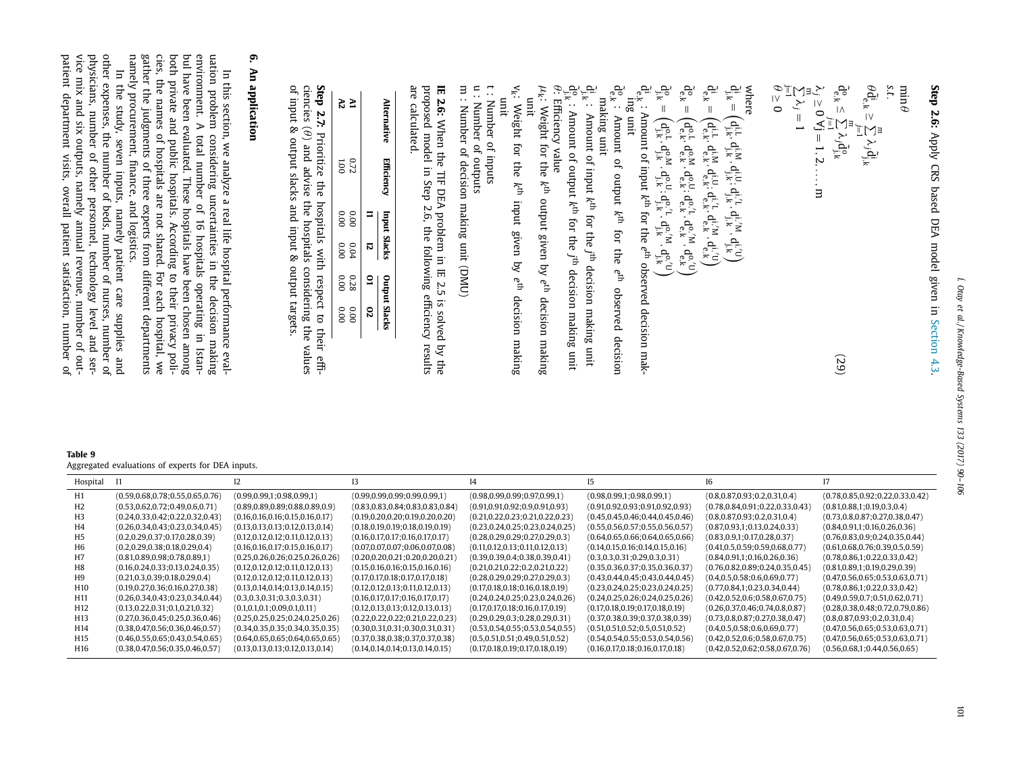**Step 2.6:** Apply CRS based DEA model given in the controller of the controller of the controller in the controller of the controller in the controller of the controller in the controller of the controller in the controller in the controller of the controller in the [Section](#page-6-0) 4.3 .

$$
\min_{\theta} \theta
$$
\n
$$
\hat{\theta}_{\mathbf{e},k}^{(k)} \geq \sum_{j=1}^{m} \lambda_{j} \hat{d}_{j,k}^{(i)}
$$
\n
$$
\hat{\theta}_{\mathbf{e},k}^{(k)} \geq \sum_{j=1}^{m} \lambda_{j} \hat{d}_{j,k}^{(i)}
$$
\n
$$
\hat{\theta}_{\mathbf{e},k}^{(k)} \geq \sum_{j=1}^{m} \lambda_{j} \hat{d}_{j,k}^{(i)}
$$
\n
$$
\hat{\theta}_{\mathbf{e},k}^{(k)} \geq 0 \,\forall j = 1, 2, \ldots, m
$$
\nwhere\n
$$
\sum_{j=1}^{m} \lambda_{j} = 1
$$
\n
$$
\hat{\theta}_{\mathbf{e},k}^{(k)} \geq \sum_{j=1}^{m} \lambda_{j} = 1, 2, \ldots, m
$$
\nwhere\n
$$
\hat{\theta}_{\mathbf{e},k}^{(k)} = \begin{pmatrix} d_{j,k}^{(1)} & d_{j,k}^{(1)} & d_{j,k}^{(1)} & d_{j,k}^{(1)} \\ d_{j,k}^{(1)} & d_{j,k}^{(1)} & d_{j,k}^{(1)} & d_{j,k}^{(1)} \\ d_{j,k}^{(k)} & d_{j,k}^{(k)} & d_{j,k}^{(k)} & d_{j,k}^{(k)} \\ d_{j,k}^{(k)} & d_{j,k}^{(k)} & d_{j,k}^{(k)} & d_{j,k}^{(k)} \\ d_{j,k}^{(k)} & d_{j,k}^{(k)} & d_{j,k}^{(k)} & d_{j,k}^{(k)} \\ d_{j,k}^{(k)} & d_{j,k}^{(k)} & d_{j,k}^{(k)} & d_{j,k}^{(k)} \\ d_{j,k}^{(k)} & d_{j,k}^{(k)} & d_{j,k}^{(k)} & d_{j,k}^{(k)} \end{pmatrix}
$$
\n
$$
\hat{\theta}_{\mathbf{e},k}^{(k)} = \begin{pmatrix} d_{j,k}^{(1)} & d_{j,k}^{(1)} & d_{j,k}^{(1)} & d_{j,k}^{(1)} \\ d_{j,k}^{(1)} & d_{j,k}^{(1)} & d_{j,k}^{(1)} & d_{j,k}^{(1)} & d_{j,k}^{(1)} \\ d_{j,k}^{(1)} & d_{j
$$

بھیّ<br>ج Amount of input *k*th for the *j* th decision making unit  $\tilde{\mathrm{d}}_{\mathrm{j},\mathrm{k}}^{\mathrm{o}}$  : Amount of output *k*th for the *j* th decision making unit

θ: Efficiency θ: Efficiency value<br> $\mu_{\mathbf{k}}$ : Weight for the  $k^{\text{th}}$ output given by *e*th decision making

unit v k : Weight for the  $\widetilde{f}_{\rm th}$ input given by *e*th decision making

unit t : Number of inputs

u : Number of outputs

m : Number of decision making unit (DMU)

**IE 2.6:** When the  $\Xi$ DEA problem in. IE بر<br>5. is solved হ the proposed model in. Step 2.6, the following efficiency results

are

calculated.

| <b>Iternativ</b> | Efficiency     |      | <b>Input Slacks</b> | ndin | t Slack |
|------------------|----------------|------|---------------------|------|---------|
|                  |                |      | ឆ                   |      |         |
|                  | 0.72           | 0.00 | 0.04                | 0.28 | 0.00    |
|                  | $\overline{5}$ | 0.00 | 0.00                | 0.00 | 0.00    |

**Step 2.7:** Prioritize the hospitals with respect to their efficiencies  $(\theta)$  and advise the hospitals considering the values of input & output slacks and input & output targets.

# **6. An application**

 $\Xi$ this section, we analyze a real life hospital performance evaluation problem considering uncertainties in the postthe decision making environment.  $\Rightarrow$ total number of 16 hospitals operating in Istan- $\overline{E}$ have been evaluated. These hospitals have been chosen among both private and public hospitals. According to their privacy policies, the names of hospitals are not shared. For each hospital, we gather the judgments of three experts from different departments namely procurement, finance, and logistics.

<span id="page-11-0"></span> $\Xi$ the study, seven inputs, namely patient care supplies and other expenses, the number of beds, number of nurses, number of physicians, number of other personnel, technology level and service mix and six outputs, namely annual revenue, number of outpatient department visits, overall patient satisfaction, number of

| Table 9                                           |
|---------------------------------------------------|
| Aggregated evaluations of experts for DEA inputs. |

| Hospital        | - 11                                 |                                      |                                      |                                      |                                      |                                      |                                      |
|-----------------|--------------------------------------|--------------------------------------|--------------------------------------|--------------------------------------|--------------------------------------|--------------------------------------|--------------------------------------|
| H1              | (0.59, 0.68, 0.78, 0.55, 0.65, 0.76) | (0.99, 0.99, 1, 0.98, 0.99, 1)       | (0.99, 0.99, 0.99, 0.99, 0.99, 1)    | (0.98, 0.99, 0.99; 0.97, 0.99, 1)    | (0.98, 0.99, 1, 0.98, 0.99, 1)       | (0.8, 0.87, 0.93, 0.2, 0.31, 0.4)    | (0.78, 0.85, 0.92, 0.22, 0.33, 0.42) |
| H2.             | (0.53, 0.62, 0.72, 0.49, 0.6, 0.71)  | (0.89, 0.89, 0.89, 0.88, 0.89, 0.9)  | (0.83, 0.83, 0.84, 0.83, 0.83, 0.84) | (0.91,0.91,0.92;0.9,0.91,0.93)       | (0.91, 0.92, 0.93, 0.91, 0.92, 0.93) | (0.78, 0.84, 0.91, 0.22, 0.33, 0.43) | (0.81, 0.88, 1, 0.19, 0.3, 0.4)      |
| H3              | (0.24, 0.33, 0.42, 0.22, 0.32, 0.43) | (0.16, 0.16, 0.16, 0.15, 0.16, 0.17) | (0.19, 0.20, 0.20, 0.19, 0.20, 0.20) | (0.21, 0.22, 0.23, 0.21, 0.22, 0.23) | (0.45, 0.45, 0.46, 0.44, 0.45, 0.46) | (0.8, 0.87, 0.93, 0.2, 0.31, 0.4)    | (0.73, 0.8, 0.87, 0.27, 0.38, 0.47)  |
| H4              | (0.26, 0.34, 0.43, 0.23, 0.34, 0.45) | (0.13, 0.13, 0.13, 0.12, 0.13, 0.14) | (0.18, 0.19, 0.19, 0.18, 0.19, 0.19) | (0.23, 0.24, 0.25, 0.23, 0.24, 0.25) | (0.55, 0.56, 0.57; 0.55, 0.56, 0.57) | (0.87, 0.93, 1, 0.13, 0.24, 0.33)    | (0.84, 0.91, 1; 0.16, 0.26, 0.36)    |
| H5              | (0.2, 0.29, 0.37; 0.17, 0.28, 0.39)  | (0.12, 0.12, 0.12, 0.11, 0.12, 0.13) | (0.16, 0.17, 0.17, 0.16, 0.17, 0.17) | (0.28, 0.29, 0.29, 0.27, 0.29, 0.3)  | (0.64, 0.65, 0.66, 0.64, 0.65, 0.66) | (0.83, 0.9, 1, 0.17, 0.28, 0.37)     | (0.76, 0.83, 0.9; 0.24, 0.35, 0.44)  |
| HЬ              | (0.2, 0.29, 0.38; 0.18, 0.29, 0.4)   | (0.16, 0.16, 0.17, 0.15, 0.16, 0.17) | (0.07, 0.07, 0.07; 0.06, 0.07, 0.08) | (0.11, 0.12, 0.13, 0.11, 0.12, 0.13) | (0.14, 0.15, 0.16, 0.14, 0.15, 0.16) | (0.41, 0.5, 0.59, 0.59, 0.68, 0.77)  | (0.61, 0.68, 0.76, 0.39, 0.5, 0.59)  |
| Η7              | (0.81, 0.89, 0.98, 0.78, 0.89, 1)    | (0.25, 0.26, 0.26, 0.25, 0.26, 0.26) | (0.20,0.20,0.21;0.20,0.20,0.21)      | (0.39,0.39,0.4;0.38,0.39,0.41)       | (0.3, 0.3, 0.31; 0.29, 0.3, 0.31)    | (0.84, 0.91, 1; 0.16, 0.26, 0.36)    | (0.78, 0.86, 1, 0.22, 0.33, 0.42)    |
| H8              | (0.16, 0.24, 0.33, 0.13, 0.24, 0.35) | (0.12, 0.12, 0.12, 0.11, 0.12, 0.13) | (0.15, 0.16, 0.16, 0.15, 0.16, 0.16) | (0.21, 0.21, 0.22, 0.2, 0.21, 0.22)  | (0.35, 0.36, 0.37; 0.35, 0.36, 0.37) | (0.76, 0.82, 0.89, 0.24, 0.35, 0.45) | (0.81, 0.89, 1, 0.19, 0.29, 0.39)    |
| H9              | (0.21, 0.3, 0.39; 0.18, 0.29, 0.4)   | (0.12, 0.12, 0.12, 0.11, 0.12, 0.13) | (0.17, 0.17, 0.18, 0.17, 0.17, 0.18) | (0.28, 0.29, 0.29, 0.27, 0.29, 0.3)  | (0.43, 0.44, 0.45, 0.43, 0.44, 0.45) | (0.4, 0.5, 0.58; 0.6, 0.69, 0.77)    | (0.47, 0.56, 0.65, 0.53, 0.63, 0.71) |
| H <sub>10</sub> | (0.19, 0.27, 0.36; 0.16, 0.27, 0.38) | (0.13, 0.14, 0.14, 0.13, 0.14, 0.15) | (0.12, 0.12, 0.13, 0.11, 0.12, 0.13) | (0.17, 0.18, 0.18, 0.16, 0.18, 0.19) | (0.23, 0.24, 0.25, 0.23, 0.24, 0.25) | (0.77, 0.84, 1, 0.23, 0.34, 0.44)    | (0.78, 0.86, 1; 0.22, 0.33, 0.42)    |
| H11             | (0.26, 0.34, 0.43, 0.23, 0.34, 0.44) | (0.3, 0.3, 0.31; 0.3, 0.3, 0.31)     | (0.16, 0.17, 0.17, 0.16, 0.17, 0.17) | (0.24, 0.24, 0.25, 0.23, 0.24, 0.26) | (0.24, 0.25, 0.26, 0.24, 0.25, 0.26) | (0.42, 0.52, 0.6; 0.58, 0.67, 0.75)  | (0.49, 0.59, 0.7; 0.51, 0.62, 0.71)  |
| H <sub>12</sub> | (0.13, 0.22, 0.31, 0.1, 0.21, 0.32)  | (0.1, 0.1, 0.1; 0.09, 0.1, 0.11)     | (0.12, 0.13, 0.13, 0.12, 0.13, 0.13) | (0.17, 0.17, 0.18; 0.16, 0.17, 0.19) | (0.17, 0.18, 0.19, 0.17, 0.18, 0.19) | (0.26, 0.37, 0.46, 0.74, 0.8, 0.87)  | (0.28, 0.38, 0.48, 0.72, 0.79, 0.86) |
| H13             | (0.27, 0.36, 0.45, 0.25, 0.36, 0.46) | (0.25, 0.25, 0.25, 0.24, 0.25, 0.26) | (0.22, 0.22, 0.22; 0.21, 0.22, 0.23) | (0.29,0.29,0.3;0.28,0.29,0.31)       | (0.37, 0.38, 0.39, 0.37, 0.38, 0.39) | (0.73, 0.8, 0.87, 0.27, 0.38, 0.47)  | (0.8, 0.87, 0.93, 0.2, 0.31, 0.4)    |
| H <sub>14</sub> | (0.38, 0.47, 0.56, 0.36, 0.46, 0.57) | (0.34, 0.35, 0.35, 0.34, 0.35, 0.35) | (0.30, 0.31, 0.31, 0.30, 0.31, 0.31) | (0.53, 0.54, 0.55; 0.53, 0.54, 0.55) | (0.51, 0.51, 0.52, 0.5, 0.51, 0.52)  | (0.4, 0.5, 0.58; 0.6, 0.69, 0.77)    | (0.47, 0.56, 0.65, 0.53, 0.63, 0.71) |
| H <sub>15</sub> | (0.46, 0.55, 0.65, 0.43, 0.54, 0.65) | (0.64, 0.65, 0.65; 0.64, 0.65, 0.65) | (0.37, 0.38, 0.38, 0.37, 0.37, 0.38) | (0.5, 0.51, 0.51; 0.49, 0.51, 0.52)  | (0.54, 0.54, 0.55; 0.53, 0.54, 0.56) | (0.42, 0.52, 0.6, 0.58, 0.67, 0.75)  | (0.47, 0.56, 0.65, 0.53, 0.63, 0.71) |
| H16             | (0.38, 0.47, 0.56, 0.35, 0.46, 0.57) | (0.13, 0.13, 0.13, 0.12, 0.13, 0.14) | (0.14, 0.14, 0.14, 0.13, 0.14, 0.15) | (0.17, 0.18, 0.19, 0.17, 0.18, 0.19) | (0.16, 0.17, 0.18; 0.16, 0.17, 0.18) | (0.42, 0.52, 0.62, 0.58, 0.67, 0.76) | (0.56, 0.68, 1, 0.44, 0.56, 0.65)    |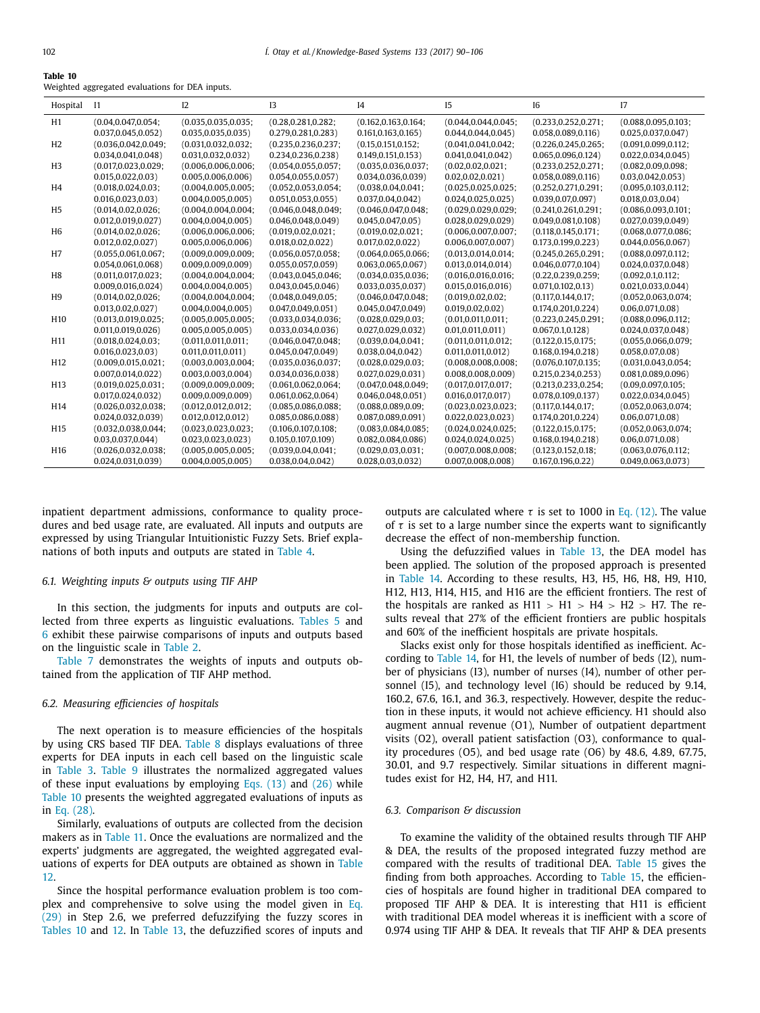**Table 10**

| iable iv |                                                 |  |  |
|----------|-------------------------------------------------|--|--|
|          | Weighted aggregated evaluations for DEA inputs. |  |  |

| Hospital        | -11                   | 12                    | 13                    | I4                    | 15                    | 16                    | 17                    |
|-----------------|-----------------------|-----------------------|-----------------------|-----------------------|-----------------------|-----------------------|-----------------------|
| H1              | (0.04, 0.047, 0.054)  | (0.035, 0.035, 0.035) | (0.28, 0.281, 0.282)  | (0.162, 0.163, 0.164) | (0.044, 0.044, 0.045) | (0.233, 0.252, 0.271) | (0.088, 0.095, 0.103) |
|                 | 0.037, 0.045, 0.052)  | 0.035, 0.035, 0.035)  | 0.279, 0.281, 0.283)  | 0.161, 0.163, 0.165)  | 0.044, 0.044, 0.045)  | 0.058, 0.089, 0.116   | 0.025, 0.037, 0.047)  |
| H <sub>2</sub>  | (0.036, 0.042, 0.049) | (0.031, 0.032, 0.032) | (0.235, 0.236, 0.237) | (0.15, 0.151, 0.152)  | (0.041, 0.041, 0.042) | (0.226, 0.245, 0.265) | (0.091, 0.099, 0.112) |
|                 | 0.034, 0.041, 0.048   | 0.031, 0.032, 0.032)  | 0.234, 0.236, 0.238   | 0.149, 0.151, 0.153)  | 0.041, 0.041, 0.042)  | 0.065, 0.096, 0.124)  | 0.022, 0.034, 0.045)  |
| H <sub>3</sub>  | (0.017, 0.023, 0.029) | (0.006, 0.006, 0.006) | (0.054, 0.055, 0.057) | (0.035, 0.036, 0.037) | (0.02, 0.02, 0.021)   | (0.233, 0.252, 0.271) | (0.082, 0.09, 0.098)  |
|                 | 0.015, 0.022, 0.03)   | 0.005, 0.006, 0.006)  | 0.054, 0.055, 0.057)  | 0.034, 0.036, 0.039   | 0.02, 0.02, 0.021)    | 0.058, 0.089, 0.116   | 0.03, 0.042, 0.053)   |
| H4              | (0.018, 0.024, 0.03)  | (0.004, 0.005, 0.005) | (0.052, 0.053, 0.054) | (0.038, 0.04, 0.041)  | (0.025, 0.025, 0.025) | (0.252, 0.271, 0.291) | (0.095, 0.103, 0.112) |
|                 | 0.016, 0.023, 0.03)   | 0.004, 0.005, 0.005)  | 0.051, 0.053, 0.055)  | 0.037, 0.04, 0.042)   | 0.024, 0.025, 0.025)  | 0.039, 0.07, 0.097)   | 0.018, 0.03, 0.04)    |
| H <sub>5</sub>  | (0.014, 0.02, 0.026)  | (0.004, 0.004, 0.004) | (0.046, 0.048, 0.049) | (0.046, 0.047, 0.048) | (0.029, 0.029, 0.029) | (0.241, 0.261, 0.291) | (0.086, 0.093, 0.101) |
|                 | 0.012, 0.019, 0.027   | 0.004, 0.004, 0.005)  | 0.046, 0.048, 0.049   | 0.045, 0.047, 0.05)   | 0.028, 0.029, 0.029)  | 0.049, 0.081, 0.108   | 0.027, 0.039, 0.049   |
| H <sub>6</sub>  | (0.014, 0.02, 0.026)  | (0.006, 0.006, 0.006) | (0.019, 0.02, 0.021)  | (0.019, 0.02, 0.021)  | (0.006, 0.007, 0.007) | (0.118, 0.145, 0.171) | (0.068, 0.077, 0.086) |
|                 | 0.012, 0.02, 0.027    | 0.005, 0.006, 0.006)  | 0.018, 0.02, 0.022)   | 0.017, 0.02, 0.022)   | 0.006, 0.007, 0.007)  | 0.173, 0.199, 0.223   | 0.044, 0.056, 0.067   |
| H <sub>7</sub>  | (0.055, 0.061, 0.067) | (0.009, 0.009, 0.009) | (0.056, 0.057, 0.058) | (0.064, 0.065, 0.066) | (0.013, 0.014, 0.014) | (0.245, 0.265, 0.291) | (0.088, 0.097, 0.112) |
|                 | 0.054,0.061,0.068)    | 0.009, 0.009, 0.009)  | 0.055, 0.057, 0.059   | 0.063, 0.065, 0.067)  | 0.013, 0.014, 0.014)  | 0.046, 0.077, 0.104   | 0.024, 0.037, 0.048   |
| H <sub>8</sub>  | (0.011, 0.017, 0.023; | (0.004, 0.004, 0.004) | (0.043, 0.045, 0.046) | (0.034, 0.035, 0.036) | (0.016, 0.016, 0.016) | (0.22, 0.239, 0.259)  | (0.092, 0.1, 0.112)   |
|                 | 0.009, 0.016, 0.024)  | 0.004, 0.004, 0.005)  | 0.043, 0.045, 0.046   | 0.033, 0.035, 0.037)  | 0.015, 0.016, 0.016)  | 0.071, 0.102, 0.13    | 0.021, 0.033, 0.044)  |
| H <sub>9</sub>  | (0.014, 0.02, 0.026)  | (0.004, 0.004, 0.004) | (0.048, 0.049, 0.05)  | (0.046, 0.047, 0.048) | (0.019, 0.02, 0.02)   | (0.117, 0.144, 0.17)  | (0.052, 0.063, 0.074) |
|                 | 0.013, 0.02, 0.027    | 0.004, 0.004, 0.005)  | 0.047, 0.049, 0.051)  | 0.045, 0.047, 0.049   | 0.019, 0.02, 0.02)    | 0.174, 0.201, 0.224)  | 0.06, 0.071, 0.08     |
| H <sub>10</sub> | (0.013, 0.019, 0.025; | (0.005, 0.005, 0.005) | (0.033, 0.034, 0.036) | (0.028, 0.029, 0.03)  | (0.01, 0.011, 0.011)  | (0.223, 0.245, 0.291) | (0.088, 0.096, 0.112) |
|                 | 0.011, 0.019, 0.026   | 0.005, 0.005, 0.005)  | 0.033, 0.034, 0.036   | 0.027, 0.029, 0.032)  | 0.01, 0.011, 0.011)   | 0.067, 0.1, 0.128     | 0.024, 0.037, 0.048   |
| H <sub>11</sub> | (0.018, 0.024, 0.03)  | (0.011, 0.011, 0.011) | (0.046, 0.047, 0.048) | (0.039, 0.04, 0.041)  | (0.011, 0.011, 0.012) | (0.122, 0.15, 0.175)  | (0.055, 0.066, 0.079) |
|                 | 0.016, 0.023, 0.03)   | 0.011, 0.011, 0.011)  | 0.045, 0.047, 0.049   | 0.038, 0.04, 0.042)   | 0.011, 0.011, 0.012)  | 0.168, 0.194, 0.218   | 0.058, 0.07, 0.08)    |
| H <sub>12</sub> | (0.009, 0.015, 0.021) | (0.003, 0.003, 0.004) | (0.035, 0.036, 0.037) | (0.028, 0.029, 0.03)  | (0.008, 0.008, 0.008) | (0.076, 0.107, 0.135) | (0.031, 0.043, 0.054) |
|                 | 0.007, 0.014, 0.022   | 0.003, 0.003, 0.004)  | 0.034, 0.036, 0.038   | 0.027, 0.029, 0.031)  | 0.008, 0.008, 0.009   | 0.215, 0.234, 0.253)  | 0.081, 0.089, 0.096   |
| H <sub>13</sub> | (0.019, 0.025, 0.031) | (0.009, 0.009, 0.009) | (0.061, 0.062, 0.064) | (0.047, 0.048, 0.049) | (0.017, 0.017, 0.017) | (0.213, 0.233, 0.254) | (0.09, 0.097, 0.105)  |
|                 | 0.017, 0.024, 0.032)  | 0.009, 0.009, 0.009)  | 0.061, 0.062, 0.064)  | 0.046, 0.048, 0.051)  | 0.016, 0.017, 0.017)  | 0.078, 0.109, 0.137)  | 0.022, 0.034, 0.045)  |
| H14             | (0.026, 0.032, 0.038) | (0.012, 0.012, 0.012) | (0.085, 0.086, 0.088) | (0.088, 0.089, 0.09)  | (0.023, 0.023, 0.023) | (0.117, 0.144, 0.17)  | (0.052, 0.063, 0.074) |
|                 | 0.024, 0.032, 0.039   | 0.012, 0.012, 0.012)  | 0.085,0.086,0.088)    | 0.087, 0.089, 0.091)  | 0.022, 0.023, 0.023)  | 0.174,0.201,0.224)    | $0.06, 0.071, 0.08$ ) |
| H <sub>15</sub> | (0.032, 0.038, 0.044; | (0.023, 0.023, 0.023) | (0.106, 0.107, 0.108) | (0.083, 0.084, 0.085) | (0.024, 0.024, 0.025) | (0.122, 0.15, 0.175)  | (0.052, 0.063, 0.074) |
|                 | 0.03, 0.037, 0.044)   | 0.023, 0.023, 0.023)  | 0.105, 0.107, 0.109   | 0.082, 0.084, 0.086   | 0.024, 0.024, 0.025)  | 0.168, 0.194, 0.218   | 0.06, 0.071, 0.08)    |
| H <sub>16</sub> | (0.026, 0.032, 0.038) | (0.005, 0.005, 0.005) | (0.039, 0.04, 0.041)  | (0.029, 0.03, 0.031)  | (0.007, 0.008, 0.008) | (0.123, 0.152, 0.18)  | (0.063, 0.076, 0.112) |
|                 | 0.024, 0.031, 0.039   | 0.004, 0.005, 0.005)  | 0.038, 0.04, 0.042    | 0.028, 0.03, 0.032    | 0.007, 0.008, 0.008   | 0.167, 0.196, 0.22    | 0.049, 0.063, 0.073   |

inpatient department admissions, conformance to quality procedures and bed usage rate, are evaluated. All inputs and outputs are expressed by using Triangular Intuitionistic Fuzzy Sets. Brief explanations of both inputs and outputs are stated in [Table](#page-9-0) 4.

#### *6.1. Weighting inputs & outputs using TIF AHP*

In this section, the judgments for inputs and outputs are collected from three experts as linguistic evaluations. [Tables](#page-9-0) 5 and [6](#page-9-0) exhibit these pairwise comparisons of inputs and outputs based on the linguistic scale in [Table](#page-7-0) 2.

[Table](#page-9-0) 7 demonstrates the weights of inputs and outputs obtained from the application of TIF AHP method.

#### *6.2. Measuring efficiencies of hospitals*

The next operation is to measure efficiencies of the hospitals by using CRS based TIF DEA. [Table](#page-10-0) 8 displays evaluations of three experts for DEA inputs in each cell based on the linguistic scale in [Table](#page-8-0) 3. [Table](#page-11-0) 9 illustrates the normalized aggregated values of these input evaluations by employing Eqs.  $(13)$  and  $(26)$  while Table 10 presents the weighted aggregated evaluations of inputs as in Eq. [\(28\).](#page-8-0)

Similarly, evaluations of outputs are collected from the decision makers as in [Table](#page-13-0) 11. Once the evaluations are normalized and the experts' judgments are aggregated, the weighted aggregated evaluations of experts for DEA outputs are [obtained](#page-14-0) as shown in Table 12.

Since the hospital performance evaluation problem is too complex and [comprehensive](#page-11-0) to solve using the model given in Eq. (29) in Step 2.6, we preferred defuzzifying the fuzzy scores in Tables 10 and [12.](#page-14-0) In [Table](#page-14-0) 13, the defuzzified scores of inputs and outputs are calculated where  $\tau$  is set to 1000 in Eq. [\(12\).](#page-5-0) The value of  $\tau$  is set to a large number since the experts want to significantly decrease the effect of non-membership function.

Using the defuzzified values in [Table](#page-14-0) 13, the DEA model has been applied. The solution of the proposed approach is presented in [Table](#page-15-0) 14. According to these results, H3, H5, H6, H8, H9, H10, H12, H13, H14, H15, and H16 are the efficient frontiers. The rest of the hospitals are ranked as  $H11 > H1 > H4 > H2 > H7$ . The results reveal that 27% of the efficient frontiers are public hospitals and 60% of the inefficient hospitals are private hospitals.

Slacks exist only for those hospitals identified as inefficient. According to [Table](#page-15-0) 14, for H1, the levels of number of beds (I2), number of physicians (I3), number of nurses (I4), number of other personnel (I5), and technology level (I6) should be reduced by 9.14, 160.2, 67.6, 16.1, and 36.3, respectively. However, despite the reduction in these inputs, it would not achieve efficiency. H1 should also augment annual revenue (O1), Number of outpatient department visits (O2), overall patient satisfaction (O3), conformance to quality procedures (O5), and bed usage rate (O6) by 48.6, 4.89, 67.75, 30.01, and 9.7 respectively. Similar situations in different magnitudes exist for H2, H4, H7, and H11.

#### *6.3. Comparison & discussion*

To examine the validity of the obtained results through TIF AHP & DEA, the results of the proposed integrated fuzzy method are compared with the results of traditional DEA. [Table](#page-15-0) 15 gives the finding from both approaches. According to [Table](#page-15-0) 15, the efficiencies of hospitals are found higher in traditional DEA compared to proposed TIF AHP & DEA. It is interesting that H11 is efficient with traditional DEA model whereas it is inefficient with a score of 0.974 using TIF AHP & DEA. It reveals that TIF AHP & DEA presents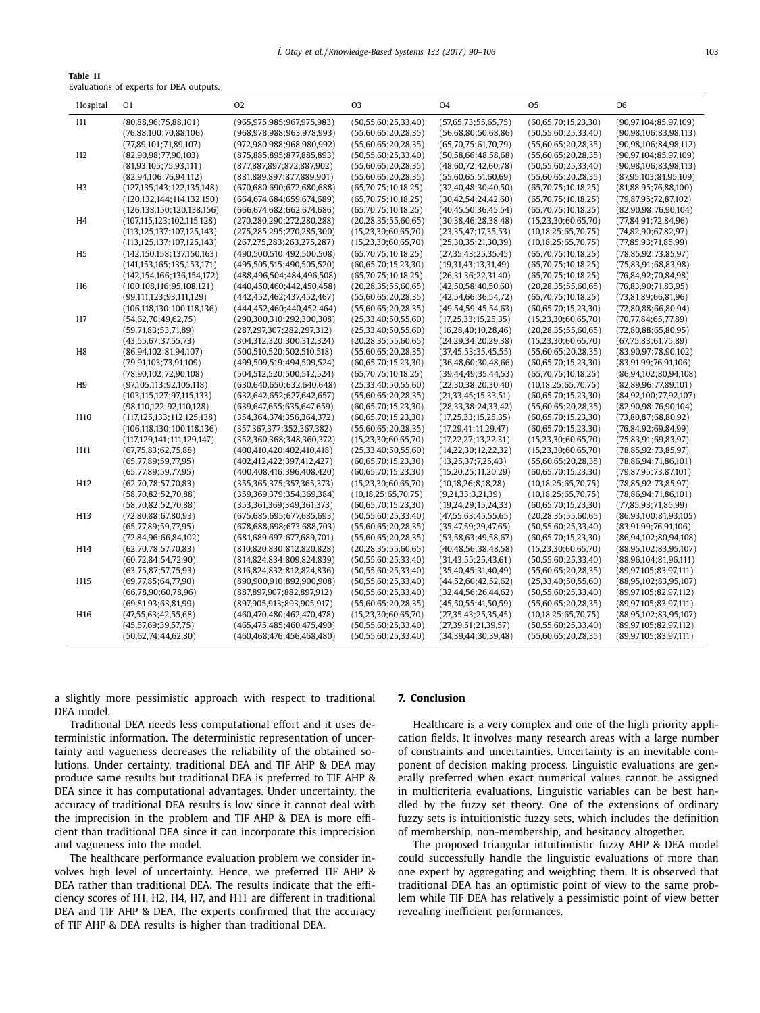<span id="page-13-0"></span>

| Table 11                                |  |  |  |
|-----------------------------------------|--|--|--|
| Evaluations of experts for DEA outputs. |  |  |  |

| Hospital        | 01                             | 02                             | 03                       | O <sub>4</sub>           | 05                       | 06                         |
|-----------------|--------------------------------|--------------------------------|--------------------------|--------------------------|--------------------------|----------------------------|
| H1              | (80, 88, 96; 75, 88, 101)      | (965.975.985:967.975.983)      | (50, 55, 60; 25, 33, 40) | (57,65,73;55,65,75)      | (60, 65, 70; 15, 23, 30) | (90.97.104:85.97.109)      |
|                 | (76,88,100;70,88,106)          | (968, 978, 988; 963, 978, 993) | (55,60,65;20,28,35)      | (56,68,80;50,68,86)      | (50, 55, 60; 25, 33, 40) | (90, 98, 106; 83, 98, 113) |
|                 | (77,89,101;71,89,107)          | (972,980,988;968,980,992)      | (55,60,65;20,28,35)      | (65,70,75;61,70,79)      | (55,60,65;20,28,35)      | (90, 98, 106; 84, 98, 112) |
| H <sub>2</sub>  | (82,90,98;77,90,103)           | (875,885,895;877,885,893)      | (50, 55, 60; 25, 33, 40) | (50, 58, 66; 48, 58, 68) | (55,60,65;20,28,35)      | (90, 97, 104, 85, 97, 109) |
|                 | (81,93,105;75,93,111)          | (877,887,897;872,887,902)      | (55,60,65;20,28,35)      | (48,60,72;42,60,78)      | (50, 55, 60; 25, 33, 40) | (90, 98, 106; 83, 98, 113) |
|                 | (82, 94, 106; 76, 94, 112)     | (881,889,897;877,889,901)      | (55,60,65;20,28,35)      | (55,60,65;51,60,69)      | (55,60,65;20,28,35)      | (87,95,103;81,95,109)      |
| H <sub>3</sub>  | (127, 135, 143, 122, 135, 148) | (670,680,690,672,680,688)      | (65,70,75;10,18,25)      | (32, 40, 48; 30, 40, 50) | (65,70,75;10,18,25)      | (81,88,95;76,88,100)       |
|                 | (120, 132, 144, 114, 132, 150) | (664, 674, 684, 659, 674, 689) | (65,70,75;10,18,25)      | (30, 42, 54; 24, 42, 60) | (65,70,75;10,18,25)      | (79, 87, 95; 72, 87, 102)  |
|                 | (126, 138, 150; 120, 138, 156) | (666, 674, 682, 662, 674, 686) | (65,70,75;10,18,25)      | (40, 45, 50; 36, 45, 54) | (65,70,75;10,18,25)      | (82,90,98;76,90,104)       |
| H <sub>4</sub>  | (107, 115, 123, 102, 115, 128) | (270, 280, 290, 272, 280, 288) | (20, 28, 35; 55, 60, 65) | (30, 38, 46; 28, 38, 48) | (15,23,30;60,65,70)      | (77,84,91;72,84,96)        |
|                 | (113, 125, 137; 107, 125, 143) | (275, 285, 295; 270, 285, 300) | (15, 23, 30; 60, 65, 70) | (23, 35, 47; 17, 35, 53) | (10, 18, 25; 65, 70, 75) | (74,82,90;67,82,97)        |
|                 | (113, 125, 137; 107, 125, 143) | (267, 275, 283; 263, 275, 287) | (15,23,30;60,65,70)      | (25,30,35;21,30,39)      | (10, 18, 25; 65, 70, 75) | (77,85,93;71,85,99)        |
| H <sub>5</sub>  | (142, 150, 158; 137, 150, 163) | (490,500,510;492,500,508)      | (65,70,75;10,18,25)      | (27, 35, 43; 25, 35, 45) | (65,70,75;10,18,25)      | (78, 85, 92; 73, 85, 97)   |
|                 | (141, 153, 165; 135, 153, 171) | (495, 505, 515; 490, 505, 520) | (60,65,70;15,23,30)      | (19,31,43;13,31,49)      | (65,70,75;10,18,25)      | (75,83,91;68,83,98)        |
|                 | (142, 154, 166, 136, 154, 172) | (488, 496, 504; 484, 496, 508) | (65,70,75;10,18,25)      | (26,31,36;22,31,40)      | (65,70,75;10,18,25)      | (76,84,92;70,84,98)        |
| H <sub>6</sub>  | (100, 108, 116; 95, 108, 121)  | (440, 450, 460, 442, 450, 458) | (20, 28, 35; 55, 60, 65) | (42,50,58;40,50,60)      | (20, 28, 35; 55, 60, 65) | (76,83,90;71,83,95)        |
|                 | (99, 111, 123; 93, 111, 129)   | (442, 452, 462, 437, 452, 467) | (55,60,65;20,28,35)      | (42, 54, 66; 36, 54, 72) | (65,70,75;10,18,25)      | (73,81,89;66,81,96)        |
|                 | (106, 118, 130; 100, 118, 136) | (444, 452, 460, 440, 452, 464) | (55,60,65;20,28,35)      | (49,54,59;45,54,63)      | (60,65,70;15,23,30)      | (72,80,88;66,80,94)        |
| H7              | (54,62,70;49,62,75)            | (290,300,310;292,300,308)      | (25,33,40;50,55,60)      | (17,25,33;15,25,35)      | (15,23,30;60,65,70)      | (70,77,84;65,77,89)        |
|                 | (59,71,83;53,71,89)            | (287,297,307;282,297,312)      | (25,33,40;50,55,60)      | (16, 28, 40; 10, 28, 46) | (20, 28, 35; 55, 60, 65) | (72,80,88;65,80,95)        |
|                 | (43, 55, 67; 37, 55, 73)       | (304,312,320;300,312,324)      | (20, 28, 35; 55, 60, 65) | (24, 29, 34; 20, 29, 38) | (15,23,30;60,65,70)      | (67,75,83;61,75,89)        |
| H <sub>8</sub>  | (86,94,102;81,94,107)          | (500, 510, 520; 502, 510, 518) | (55,60,65;20,28,35)      | (37, 45, 53; 35, 45, 55) | (55,60,65;20,28,35)      | (83,90,97;78,90,102)       |
|                 | (79, 91, 103, 73, 91, 109)     | (499,509,519;494,509,524)      | (60,65,70;15,23,30)      | (36,48,60;30,48,66)      | (60,65,70;15,23,30)      | (83,91,99;76,91,106)       |
|                 | (78,90,102;72,90,108)          | (504, 512, 520; 500, 512, 524) | (65,70,75;10,18,25)      | (39, 44, 49; 35, 44, 53) | (65,70,75;10,18,25)      | (86,94,102;80,94,108)      |
| H <sub>9</sub>  | (97,105,113;92,105,118)        | (630, 640, 650, 632, 640, 648) | (25,33,40;50,55,60)      | (22, 30, 38; 20, 30, 40) | (10,18,25;65,70,75)      | (82,89,96;77,89,101)       |
|                 | (103, 115, 127; 97, 115, 133)  | (632, 642, 652, 627, 642, 657) | (55,60,65;20,28,35)      | (21, 33, 45; 15, 33, 51) | (60,65,70;15,23,30)      | (84,92,100;77,92,107)      |
|                 | (98, 110, 122; 92, 110, 128)   | (639, 647, 655; 635, 647, 659) | (60,65,70;15,23,30)      | (28, 33, 38; 24, 33, 42) | (55,60,65;20,28,35)      | (82,90,98;76,90,104)       |
| H <sub>10</sub> | (117, 125, 133; 112, 125, 138) | (354, 364, 374; 356, 364, 372) | (60,65,70;15,23,30)      | (17,25,33;15,25,35)      | (60,65,70;15,23,30)      | (73,80,87;68,80,92)        |
|                 | (106, 118, 130; 100, 118, 136) | (357,367,377;352,367,382)      | (55,60,65;20,28,35)      | (17,29,41;11,29,47)      | (60,65,70;15,23,30)      | (76,84,92;69,84,99)        |
|                 | (117, 129, 141, 111, 129, 147) | (352, 360, 368; 348, 360, 372) | (15,23,30;60,65,70)      | (17,22,27;13,22,31)      | (15,23,30;60,65,70)      | (75,83,91;69,83,97)        |
| H11             | (67,75,83;62,75,88)            | (400, 410, 420, 402, 410, 418) | (25, 33, 40; 50, 55, 60) | (14,22,30;12,22,32)      | (15,23,30;60,65,70)      | (78, 85, 92; 73, 85, 97)   |
|                 | (65, 77, 89; 59, 77, 95)       | (402, 412, 422, 397, 412, 427) | (60,65,70;15,23,30)      | (13, 25, 37; 7, 25, 43)  | (55,60,65;20,28,35)      | (78,86,94;71,86,101)       |
|                 | (65, 77, 89; 59, 77, 95)       | (400, 408, 416; 396, 408, 420) | (60,65,70;15,23,30)      | (15,20,25;11,20,29)      | (60,65,70;15,23,30)      | (79,87,95;73,87,101)       |
| H <sub>12</sub> | (62, 70, 78; 57, 70, 83)       | (355, 365, 375; 357, 365, 373) | (15,23,30;60,65,70)      | (10, 18, 26; 8, 18, 28)  | (10, 18, 25; 65, 70, 75) | (78, 85, 92; 73, 85, 97)   |
|                 | (58,70,82;52,70,88)            | (359, 369, 379; 354, 369, 384) | (10,18,25;65,70,75)      | (9,21,33;3,21,39)        | (10, 18, 25; 65, 70, 75) | (78,86,94;71,86,101)       |
|                 | (58,70,82;52,70,88)            | (353, 361, 369; 349, 361, 373) | (60,65,70;15,23,30)      | (19, 24, 29; 15, 24, 33) | (60, 65, 70; 15, 23, 30) | (77,85,93;71,85,99)        |
| H <sub>13</sub> | (72,80,88;67,80,93)            | (675,685,695;677,685,693)      | (50, 55, 60; 25, 33, 40) | (47,55,63;45,55,65)      | (20, 28, 35; 55, 60, 65) | (86,93,100;81,93,105)      |
|                 | (65, 77, 89; 59, 77, 95)       | (678, 688, 698, 673, 688, 703) | (55,60,65;20,28,35)      | (35,47,59;29,47,65)      | (50, 55, 60; 25, 33, 40) | (83,91,99;76,91,106)       |
|                 | (72,84,96;66,84,102)           | (681, 689, 697, 677, 689, 701) | (55,60,65;20,28,35)      | (53,58,63;49,58,67)      | (60,65,70;15,23,30)      | (86,94,102;80,94,108)      |
| H14             | (62, 70, 78; 57, 70, 83)       | (810, 820, 830; 812, 820, 828) | (20, 28, 35; 55, 60, 65) | (40, 48, 56; 38, 48, 58) | (15,23,30;60,65,70)      | (88,95,102;83,95,107)      |
|                 | (60, 72, 84; 54, 72, 90)       | (814,824,834;809,824,839)      | (50, 55, 60; 25, 33, 40) | (31, 43, 55; 25, 43, 61) | (50,55,60;25,33,40)      | (88,96,104;81,96,111)      |
|                 | (63,75,87;57,75,93)            | (816,824,832;812,824,836)      | (50, 55, 60; 25, 33, 40) | (35,40,45;31,40,49)      | (55,60,65;20,28,35)      | (89, 97, 105; 83, 97, 111) |
| H <sub>15</sub> | (69,77,85;64,77,90)            | (890,900,910;892,900,908)      | (50, 55, 60; 25, 33, 40) | (44,52,60;42,52,62)      | (25,33,40;50,55,60)      | (88,95,102;83,95,107)      |
|                 | (66,78,90;60,78,96)            | (887,897,907;882,897,912)      | (50, 55, 60; 25, 33, 40) | (32, 44, 56; 26, 44, 62) | (50, 55, 60; 25, 33, 40) | (89, 97, 105; 82, 97, 112) |
|                 | (69,81,93;63,81,99)            | (897,905,913;893,905,917)      | (55,60,65;20,28,35)      | (45,50,55;41,50,59)      | (55,60,65;20,28,35)      | (89, 97, 105; 83, 97, 111) |
| H <sub>16</sub> | (47,55,63;42,55,68)            | (460, 470, 480; 462, 470, 478) | (15,23,30;60,65,70)      | (27, 35, 43; 25, 35, 45) | (10, 18, 25; 65, 70, 75) | (88,95,102;83,95,107)      |
|                 | (45, 57, 69; 39, 57, 75)       | (465, 475, 485, 460, 475, 490) | (50, 55, 60; 25, 33, 40) | (27, 39, 51; 21, 39, 57) | (50, 55, 60; 25, 33, 40) | (89, 97, 105; 82, 97, 112) |
|                 | (50,62,74;44,62,80)            | (460, 468, 476, 456, 468, 480) | (50, 55, 60; 25, 33, 40) | (34,39,44;30,39,48)      | (55,60,65;20,28,35)      | (89, 97, 105; 83, 97, 111) |
|                 |                                |                                |                          |                          |                          |                            |

a slightly more pessimistic approach with respect to traditional DEA model.

Traditional DEA needs less computational effort and it uses deterministic information. The deterministic representation of uncertainty and vagueness decreases the reliability of the obtained solutions. Under certainty, traditional DEA and TIF AHP & DEA may produce same results but traditional DEA is preferred to TIF AHP & DEA since it has computational advantages. Under uncertainty, the accuracy of traditional DEA results is low since it cannot deal with the imprecision in the problem and TIF AHP & DEA is more efficient than traditional DEA since it can incorporate this imprecision and vagueness into the model.

The healthcare performance evaluation problem we consider involves high level of uncertainty. Hence, we preferred TIF AHP & DEA rather than traditional DEA. The results indicate that the efficiency scores of H1, H2, H4, H7, and H11 are different in traditional DEA and TIF AHP & DEA. The experts confirmed that the accuracy of TIF AHP & DEA results is higher than traditional DEA.

#### **7. Conclusion**

Healthcare is a very complex and one of the high priority application fields. It involves many research areas with a large number of constraints and uncertainties. Uncertainty is an inevitable component of decision making process. Linguistic evaluations are generally preferred when exact numerical values cannot be assigned in multicriteria evaluations. Linguistic variables can be best handled by the fuzzy set theory. One of the extensions of ordinary fuzzy sets is intuitionistic fuzzy sets, which includes the definition of membership, non-membership, and hesitancy altogether.

The proposed triangular intuitionistic fuzzy AHP & DEA model could successfully handle the linguistic evaluations of more than one expert by aggregating and weighting them. It is observed that traditional DEA has an optimistic point of view to the same problem while TIF DEA has relatively a pessimistic point of view better revealing inefficient performances.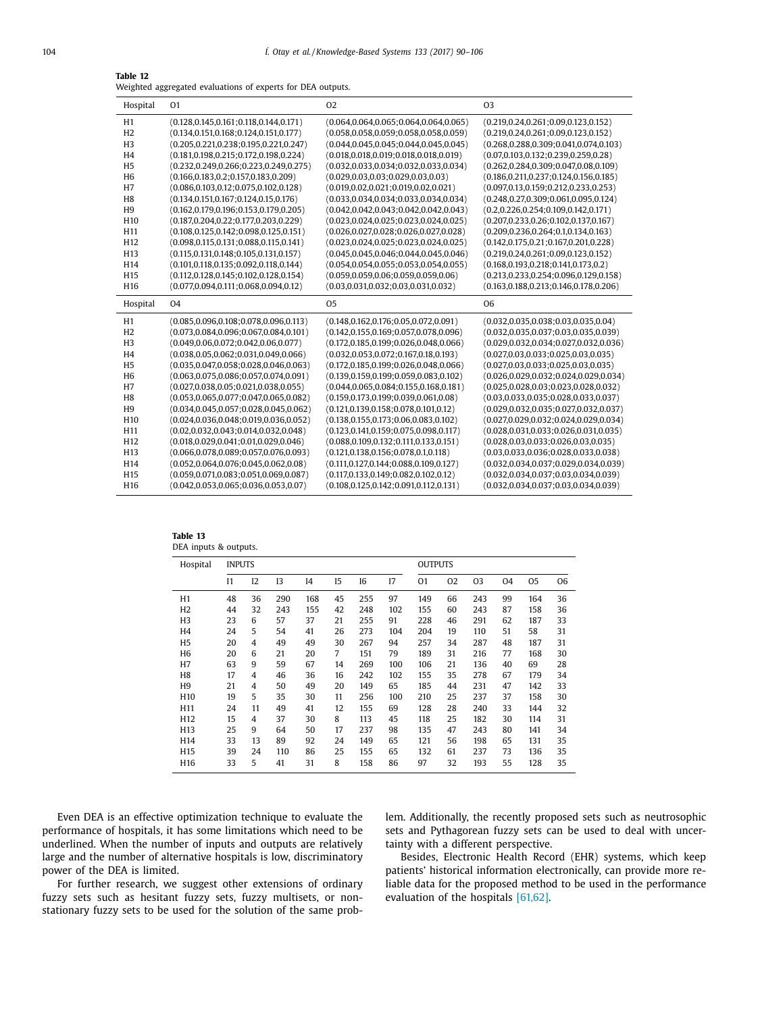<span id="page-14-0"></span>

| Table 12                                                    |  |
|-------------------------------------------------------------|--|
| Weighted aggregated evaluations of experts for DEA outputs. |  |

| Hospital                           | 01                                                                                   | 02                                                                                          | 03                                                                                         |
|------------------------------------|--------------------------------------------------------------------------------------|---------------------------------------------------------------------------------------------|--------------------------------------------------------------------------------------------|
| H1                                 | $(0.128, 0.145, 0.161; 0.118, 0.144, 0.171)$                                         | $(0.064, 0.064, 0.065; 0.064, 0.064, 0.065)$                                                | $(0.219, 0.24, 0.261; 0.09, 0.123, 0.152)$                                                 |
| H2                                 | $(0.134, 0.151, 0.168; 0.124, 0.151, 0.177)$                                         | $(0.058, 0.058, 0.059; 0.058, 0.058, 0.059)$                                                | $(0.219, 0.24, 0.261; 0.09, 0.123, 0.152)$                                                 |
| H <sub>3</sub>                     | $(0.205, 0.221, 0.238; 0.195, 0.221, 0.247)$                                         | $(0.044, 0.045, 0.045; 0.044, 0.045, 0.045)$                                                | $(0.268, 0.288, 0.309; 0.041, 0.074, 0.103)$                                               |
| H <sub>4</sub>                     | $(0.181, 0.198, 0.215; 0.172, 0.198, 0.224)$                                         | $(0.018, 0.018, 0.019; 0.018, 0.018, 0.019)$                                                | $(0.07, 0.103, 0.132; 0.239, 0.259, 0.28)$                                                 |
| H <sub>5</sub>                     | $(0.232, 0.249, 0.266; 0.223, 0.249, 0.275)$                                         | $(0.032, 0.033, 0.034; 0.032, 0.033, 0.034)$                                                | $(0.262, 0.284, 0.309; 0.047, 0.08, 0.109)$                                                |
| H <sub>6</sub>                     | $(0.166, 0.183, 0.2; 0.157, 0.183, 0.209)$                                           | $(0.029, 0.03, 0.03; 0.029, 0.03, 0.03)$                                                    | $(0.186, 0.211, 0.237; 0.124, 0.156, 0.185)$                                               |
| H7                                 | $(0.086, 0.103, 0.12; 0.075, 0.102, 0.128)$                                          | $(0.019, 0.02, 0.021; 0.019, 0.02, 0.021)$                                                  | $(0.097, 0.13, 0.159; 0.212, 0.233, 0.253)$                                                |
| H <sub>8</sub>                     | $(0.134, 0.151, 0.167; 0.124, 0.15, 0.176)$                                          | $(0.033, 0.034, 0.034; 0.033, 0.034, 0.034)$                                                | $(0.248, 0.27, 0.309; 0.061, 0.095, 0.124)$                                                |
| H <sub>9</sub>                     | $(0.162, 0.179, 0.196; 0.153, 0.179, 0.205)$                                         | $(0.042, 0.042, 0.043; 0.042, 0.042, 0.043)$                                                | $(0.2, 0.226, 0.254; 0.109, 0.142, 0.171)$                                                 |
| H <sub>10</sub>                    | $(0.187, 0.204, 0.22; 0.177, 0.203, 0.229)$                                          | $(0.023, 0.024, 0.025; 0.023, 0.024, 0.025)$                                                | $(0.207, 0.233, 0.26; 0.102, 0.137, 0.167)$                                                |
| H11                                | $(0.108, 0.125, 0.142; 0.098, 0.125, 0.151)$                                         | $(0.026, 0.027, 0.028; 0.026, 0.027, 0.028)$                                                | $(0.209, 0.236, 0.264; 0.1, 0.134, 0.163)$                                                 |
| H <sub>12</sub>                    | $(0.098, 0.115, 0.131; 0.088, 0.115, 0.141)$                                         | $(0.023, 0.024, 0.025; 0.023, 0.024, 0.025)$                                                | $(0.142, 0.175, 0.21; 0.167, 0.201, 0.228)$                                                |
| H <sub>13</sub>                    | $(0.115, 0.131, 0.148; 0.105, 0.131, 0.157)$                                         | $(0.045, 0.045, 0.046; 0.044, 0.045, 0.046)$                                                | $(0.219, 0.24, 0.261; 0.09, 0.123, 0.152)$                                                 |
| H14                                | $(0.101, 0.118, 0.135; 0.092, 0.118, 0.144)$                                         | $(0.054, 0.054, 0.055; 0.053, 0.054, 0.055)$                                                | $(0.168, 0.193, 0.218; 0.141, 0.173, 0.2)$                                                 |
| H <sub>15</sub>                    | $(0.112, 0.128, 0.145; 0.102, 0.128, 0.154)$                                         | $(0.059, 0.059, 0.06; 0.059, 0.059, 0.06)$                                                  | $(0.213, 0.233, 0.254; 0.096, 0.129, 0.158)$                                               |
| H <sub>16</sub>                    | $(0.077, 0.094, 0.111; 0.068, 0.094, 0.12)$                                          | $(0.03, 0.031, 0.032; 0.03, 0.031, 0.032)$                                                  | $(0.163, 0.188, 0.213; 0.146, 0.178, 0.206)$                                               |
|                                    |                                                                                      |                                                                                             |                                                                                            |
| Hospital                           | O <sub>4</sub>                                                                       | O <sub>5</sub>                                                                              | 06                                                                                         |
| H1                                 | $(0.085, 0.096, 0.108; 0.078, 0.096, 0.113)$                                         | $(0.148, 0.162, 0.176; 0.05, 0.072, 0.091)$                                                 | $(0.032, 0.035, 0.038; 0.03, 0.035, 0.04)$                                                 |
| H2                                 | $(0.073, 0.084, 0.096; 0.067, 0.084, 0.101)$                                         | $(0.142, 0.155, 0.169; 0.057, 0.078, 0.096)$                                                | $(0.032, 0.035, 0.037; 0.03, 0.035, 0.039)$                                                |
| H <sub>3</sub>                     | $(0.049, 0.06, 0.072; 0.042, 0.06, 0.077)$                                           | $(0.172, 0.185, 0.199; 0.026, 0.048, 0.066)$                                                | $(0.029, 0.032, 0.034; 0.027, 0.032, 0.036)$                                               |
| H <sub>4</sub>                     | $(0.038, 0.05, 0.062; 0.031, 0.049, 0.066)$                                          | $(0.032, 0.053, 0.072; 0.167, 0.18, 0.193)$                                                 | $(0.027, 0.03, 0.033; 0.025, 0.03, 0.035)$                                                 |
| H <sub>5</sub>                     | $(0.035, 0.047, 0.058; 0.028, 0.046, 0.063)$                                         | $(0.172, 0.185, 0.199; 0.026, 0.048, 0.066)$                                                | $(0.027, 0.03, 0.033; 0.025, 0.03, 0.035)$                                                 |
| H <sub>6</sub>                     | $(0.063, 0.075, 0.086; 0.057, 0.074, 0.091)$                                         | $(0.139, 0.159, 0.199; 0.059, 0.083, 0.102)$                                                | $(0.026, 0.029, 0.032; 0.024, 0.029, 0.034)$                                               |
| H7                                 | $(0.027, 0.038, 0.05; 0.021, 0.038, 0.055)$                                          | $(0.044, 0.065, 0.084; 0.155, 0.168, 0.181)$                                                | $(0.025, 0.028, 0.03; 0.023, 0.028, 0.032)$                                                |
| H <sub>8</sub>                     | (0.053.0.065.0.077:0.047.0.065.0.082)                                                | (0.159.0.173.0.199:0.039.0.061.0.08)                                                        | $(0.03, 0.033, 0.035; 0.028, 0.033, 0.037)$                                                |
| H <sub>9</sub>                     | $(0.034, 0.045, 0.057; 0.028, 0.045, 0.062)$                                         | $(0.121, 0.139, 0.158; 0.078, 0.101, 0.12)$                                                 | $(0.029, 0.032, 0.035; 0.027, 0.032, 0.037)$                                               |
| H <sub>10</sub>                    | $(0.024, 0.036, 0.048; 0.019, 0.036, 0.052)$                                         | $(0.138, 0.155, 0.173; 0.06, 0.083, 0.102)$                                                 | $(0.027, 0.029, 0.032; 0.024, 0.029, 0.034)$                                               |
| H11                                | $(0.02, 0.032, 0.043; 0.014, 0.032, 0.048)$                                          | $(0.123, 0.141, 0.159; 0.075, 0.098, 0.117)$                                                | $(0.028, 0.031, 0.033; 0.026, 0.031, 0.035)$                                               |
| H <sub>12</sub>                    | $(0.018, 0.029, 0.041; 0.01, 0.029, 0.046)$                                          | $(0.088, 0.109, 0.132; 0.111, 0.133, 0.151)$                                                | $(0.028, 0.03, 0.033; 0.026, 0.03, 0.035)$                                                 |
| H <sub>13</sub>                    | $(0.066, 0.078, 0.089; 0.057, 0.076, 0.093)$                                         | $(0.121, 0.138, 0.156; 0.078, 0.1, 0.118)$                                                  | $(0.03, 0.033, 0.036; 0.028, 0.033, 0.038)$                                                |
| H14                                | $(0.052, 0.064, 0.076; 0.045, 0.062, 0.08)$                                          | $(0.111, 0.127, 0.144; 0.088, 0.109, 0.127)$                                                | $(0.032, 0.034, 0.037; 0.029, 0.034, 0.039)$                                               |
| H <sub>15</sub><br>H <sub>16</sub> | (0.059.0.071.0.083:0.051.0.069.0.087)<br>$(0.042, 0.053, 0.065; 0.036, 0.053, 0.07)$ | $(0.117, 0.133, 0.149; 0.082, 0.102, 0.12)$<br>$(0.108, 0.125, 0.142; 0.091, 0.112, 0.131)$ | $(0.032, 0.034, 0.037; 0.03, 0.034, 0.039)$<br>$(0.032, 0.034, 0.037; 0.03, 0.034, 0.039)$ |

**Table 13** DEA inputs & outputs.

| Hospital        | <b>INPUTS</b>  |                |     |                |    |     |     | <b>OUTPUTS</b> |    |     |    |     |    |
|-----------------|----------------|----------------|-----|----------------|----|-----|-----|----------------|----|-----|----|-----|----|
|                 | I <sub>1</sub> | 12             | 13  | I <sub>4</sub> | 15 | 16  | 17  | 01             | 02 | 03  | 04 | 05  | 06 |
| H1              | 48             | 36             | 290 | 168            | 45 | 255 | 97  | 149            | 66 | 243 | 99 | 164 | 36 |
| H <sub>2</sub>  | 44             | 32             | 243 | 155            | 42 | 248 | 102 | 155            | 60 | 243 | 87 | 158 | 36 |
| H <sub>3</sub>  | 23             | 6              | 57  | 37             | 21 | 255 | 91  | 228            | 46 | 291 | 62 | 187 | 33 |
| H <sub>4</sub>  | 24             | 5              | 54  | 41             | 26 | 273 | 104 | 204            | 19 | 110 | 51 | 58  | 31 |
| H <sub>5</sub>  | 20             | 4              | 49  | 49             | 30 | 267 | 94  | 257            | 34 | 287 | 48 | 187 | 31 |
| H <sub>6</sub>  | 20             | 6              | 21  | 20             | 7  | 151 | 79  | 189            | 31 | 216 | 77 | 168 | 30 |
| H7              | 63             | 9              | 59  | 67             | 14 | 269 | 100 | 106            | 21 | 136 | 40 | 69  | 28 |
| H8              | 17             | 4              | 46  | 36             | 16 | 242 | 102 | 155            | 35 | 278 | 67 | 179 | 34 |
| H <sub>9</sub>  | 21             | $\overline{4}$ | 50  | 49             | 20 | 149 | 65  | 185            | 44 | 231 | 47 | 142 | 33 |
| H <sub>10</sub> | 19             | 5              | 35  | 30             | 11 | 256 | 100 | 210            | 25 | 237 | 37 | 158 | 30 |
| H11             | 24             | 11             | 49  | 41             | 12 | 155 | 69  | 128            | 28 | 240 | 33 | 144 | 32 |
| H <sub>12</sub> | 15             | $\overline{4}$ | 37  | 30             | 8  | 113 | 45  | 118            | 25 | 182 | 30 | 114 | 31 |
| H <sub>13</sub> | 25             | 9              | 64  | 50             | 17 | 237 | 98  | 135            | 47 | 243 | 80 | 141 | 34 |
| H14             | 33             | 13             | 89  | 92             | 24 | 149 | 65  | 121            | 56 | 198 | 65 | 131 | 35 |
| H <sub>15</sub> | 39             | 24             | 110 | 86             | 25 | 155 | 65  | 132            | 61 | 237 | 73 | 136 | 35 |
| H <sub>16</sub> | 33             | 5              | 41  | 31             | 8  | 158 | 86  | 97             | 32 | 193 | 55 | 128 | 35 |

Even DEA is an effective optimization technique to evaluate the performance of hospitals, it has some limitations which need to be underlined. When the number of inputs and outputs are relatively large and the number of alternative hospitals is low, discriminatory power of the DEA is limited.

For further research, we suggest other extensions of ordinary fuzzy sets such as hesitant fuzzy sets, fuzzy multisets, or nonstationary fuzzy sets to be used for the solution of the same problem. Additionally, the recently proposed sets such as neutrosophic sets and Pythagorean fuzzy sets can be used to deal with uncertainty with a different perspective.

Besides, Electronic Health Record (EHR) systems, which keep patients' historical information electronically, can provide more reliable data for the proposed method to be used in the performance evaluation of the hospitals [\[61,62\].](#page-16-0)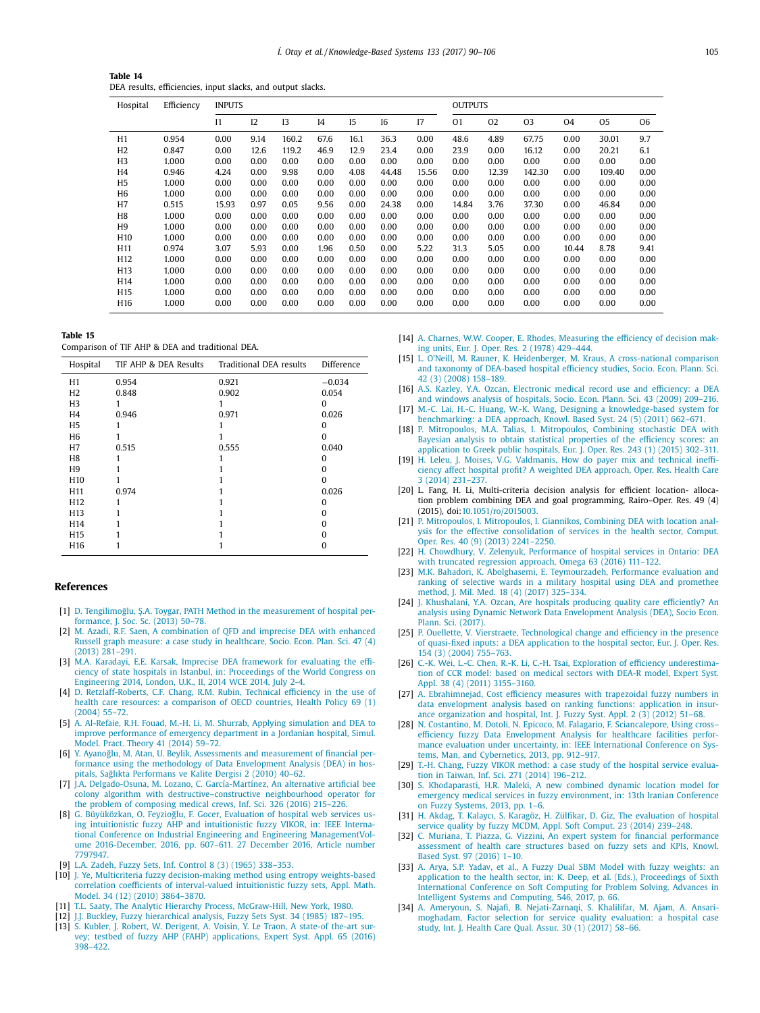<span id="page-15-0"></span>

| Table 14                                                    |
|-------------------------------------------------------------|
| DEA results, efficiencies, input slacks, and output slacks. |

| Hospital        | Efficiency | <b>INPUTS</b> |      |       |                |      |       |       | <b>OUTPUTS</b> |       |                |                |        |      |
|-----------------|------------|---------------|------|-------|----------------|------|-------|-------|----------------|-------|----------------|----------------|--------|------|
|                 |            | $_{11}$       | 12   | 13    | I <sub>4</sub> | 15   | 16    | 17    | O <sub>1</sub> | 02    | O <sub>3</sub> | O <sub>4</sub> | 05     | 06   |
| H1              | 0.954      | 0.00          | 9.14 | 160.2 | 67.6           | 16.1 | 36.3  | 0.00  | 48.6           | 4.89  | 67.75          | 0.00           | 30.01  | 9.7  |
| H <sub>2</sub>  | 0.847      | 0.00          | 12.6 | 119.2 | 46.9           | 12.9 | 23.4  | 0.00  | 23.9           | 0.00  | 16.12          | 0.00           | 20.21  | 6.1  |
| H <sub>3</sub>  | 1.000      | 0.00          | 0.00 | 0.00  | 0.00           | 0.00 | 0.00  | 0.00  | 0.00           | 0.00  | 0.00           | 0.00           | 0.00   | 0.00 |
| H4              | 0.946      | 4.24          | 0.00 | 9.98  | 0.00           | 4.08 | 44.48 | 15.56 | 0.00           | 12.39 | 142.30         | 0.00           | 109.40 | 0.00 |
| H <sub>5</sub>  | 1.000      | 0.00          | 0.00 | 0.00  | 0.00           | 0.00 | 0.00  | 0.00  | 0.00           | 0.00  | 0.00           | 0.00           | 0.00   | 0.00 |
| H <sub>6</sub>  | 1.000      | 0.00          | 0.00 | 0.00  | 0.00           | 0.00 | 0.00  | 0.00  | 0.00           | 0.00  | 0.00           | 0.00           | 0.00   | 0.00 |
| H <sub>7</sub>  | 0.515      | 15.93         | 0.97 | 0.05  | 9.56           | 0.00 | 24.38 | 0.00  | 14.84          | 3.76  | 37.30          | 0.00           | 46.84  | 0.00 |
| H <sub>8</sub>  | 1.000      | 0.00          | 0.00 | 0.00  | 0.00           | 0.00 | 0.00  | 0.00  | 0.00           | 0.00  | 0.00           | 0.00           | 0.00   | 0.00 |
| H9              | 1.000      | 0.00          | 0.00 | 0.00  | 0.00           | 0.00 | 0.00  | 0.00  | 0.00           | 0.00  | 0.00           | 0.00           | 0.00   | 0.00 |
| H <sub>10</sub> | 1.000      | 0.00          | 0.00 | 0.00  | 0.00           | 0.00 | 0.00  | 0.00  | 0.00           | 0.00  | 0.00           | 0.00           | 0.00   | 0.00 |
| H <sub>11</sub> | 0.974      | 3.07          | 5.93 | 0.00  | 1.96           | 0.50 | 0.00  | 5.22  | 31.3           | 5.05  | 0.00           | 10.44          | 8.78   | 9.41 |
| H <sub>12</sub> | 1.000      | 0.00          | 0.00 | 0.00  | 0.00           | 0.00 | 0.00  | 0.00  | 0.00           | 0.00  | 0.00           | 0.00           | 0.00   | 0.00 |
| H13             | 1.000      | 0.00          | 0.00 | 0.00  | 0.00           | 0.00 | 0.00  | 0.00  | 0.00           | 0.00  | 0.00           | 0.00           | 0.00   | 0.00 |
| H14             | 1.000      | 0.00          | 0.00 | 0.00  | 0.00           | 0.00 | 0.00  | 0.00  | 0.00           | 0.00  | 0.00           | 0.00           | 0.00   | 0.00 |
| H <sub>15</sub> | 1.000      | 0.00          | 0.00 | 0.00  | 0.00           | 0.00 | 0.00  | 0.00  | 0.00           | 0.00  | 0.00           | 0.00           | 0.00   | 0.00 |
| H <sub>16</sub> | 1.000      | 0.00          | 0.00 | 0.00  | 0.00           | 0.00 | 0.00  | 0.00  | 0.00           | 0.00  | 0.00           | 0.00           | 0.00   | 0.00 |

**Table 15**

Comparison of TIF AHP & DEA and traditional DEA.

| Hospital        | TIF AHP & DEA Results | Traditional DEA results | Difference |
|-----------------|-----------------------|-------------------------|------------|
| H1              | 0.954                 | 0.921                   | $-0.034$   |
| H <sub>2</sub>  | 0.848                 | 0.902                   | 0.054      |
| H <sub>3</sub>  |                       |                         | 0          |
| H4              | 0.946                 | 0.971                   | 0.026      |
| H <sub>5</sub>  |                       |                         | 0          |
| H <sub>6</sub>  |                       |                         | o          |
| H <sub>7</sub>  | 0.515                 | 0.555                   | 0.040      |
| H <sub>8</sub>  |                       |                         | 0          |
| H <sub>9</sub>  |                       |                         | 0          |
| H <sub>10</sub> |                       |                         | 0          |
| H <sub>11</sub> | 0.974                 |                         | 0.026      |
| H <sub>12</sub> |                       |                         | 0          |
| H <sub>13</sub> |                       |                         |            |
| H <sub>14</sub> |                       |                         |            |
| H <sub>15</sub> |                       |                         |            |
| H <sub>16</sub> |                       |                         | 0          |

#### **References**

- [1] D. Tengilimoğlu, Ş.A. [Toygar,](http://refhub.elsevier.com/S0950-7051(17)30308-8/sbref0001) PATH Method in the [measurement](http://refhub.elsevier.com/S0950-7051(17)30308-8/sbref0001) of hospital performance, J. Soc. Sc. (2013) 50–78.
- [2] M. [Azadi,](http://refhub.elsevier.com/S0950-7051(17)30308-8/sbref0002) R.F. [Saen,](http://refhub.elsevier.com/S0950-7051(17)30308-8/sbref0002) A [combination](http://refhub.elsevier.com/S0950-7051(17)30308-8/sbref0002) of OFD and imprecise DEA with enhanced Russell graph measure: a case study in healthcare, Socio. Econ. Plan. Sci. 47 (4) (2013) 281–291.
- [3] M.A. [Karadayi,](http://refhub.elsevier.com/S0950-7051(17)30308-8/sbref0003) E.E. [Karsak, Imprecise](http://refhub.elsevier.com/S0950-7051(17)30308-8/sbref0003) DEA framework for evaluating the efficiency of state hospitals in Istanbul, in: Proceedings of the World Congress on Engineering 2014, London, U.K., II, 2014 WCE 2014, July 2-4.
- [4] D. [Retzlaff-Roberts,](http://refhub.elsevier.com/S0950-7051(17)30308-8/sbref0004) C.F. [Chang,](http://refhub.elsevier.com/S0950-7051(17)30308-8/sbref0004) R.M. [Rubin,](http://refhub.elsevier.com/S0950-7051(17)30308-8/sbref0004) Technical efficiency in the use of health care resources: a comparison of OECD countries, Health Policy 69 (1) (2004) 55–72.
- [5] A. [Al-Refaie,](http://refhub.elsevier.com/S0950-7051(17)30308-8/sbref0005) R.H. [Fouad,](http://refhub.elsevier.com/S0950-7051(17)30308-8/sbref0005) [M.-H.](http://refhub.elsevier.com/S0950-7051(17)30308-8/sbref0005) Li, M. [Shurrab,](http://refhub.elsevier.com/S0950-7051(17)30308-8/sbref0005) Applying simulation and DEA to improve [performance](http://refhub.elsevier.com/S0950-7051(17)30308-8/sbref0005) of emergency department in a Jordanian hospital, Simul. Model. Pract. Theory 41 (2014) 59–72.
- [6] Y. Ayanoğlu, M. [Atan,](http://refhub.elsevier.com/S0950-7051(17)30308-8/sbref0006) U. [Beylik,](http://refhub.elsevier.com/S0950-7051(17)30308-8/sbref0006) Assessments and [measurement](http://refhub.elsevier.com/S0950-7051(17)30308-8/sbref0006) of financial performance using the methodology of Data Envelopment Analysis (DEA) in hospitals, Sağlıkta Performans ve Kalite Dergisi 2 (2010) 40–62.
- [7] J.A. [Delgado-Osuna,](http://refhub.elsevier.com/S0950-7051(17)30308-8/sbref0007) M. [Lozano,](http://refhub.elsevier.com/S0950-7051(17)30308-8/sbref0007) C. [García-Martínez,](http://refhub.elsevier.com/S0950-7051(17)30308-8/sbref0007) An alternative artificial bee colony algorithm with [destructive–constructive](http://refhub.elsevier.com/S0950-7051(17)30308-8/sbref0007) neighbourhood operator for the problem of composing medical crews, Inf. Sci. 326 (2016) 215–226.
- [8] G. [Büyüközkan,](http://refhub.elsevier.com/S0950-7051(17)30308-8/sbref0008) O. Feyzioğlu, F. [Gocer, Evaluation](http://refhub.elsevier.com/S0950-7051(17)30308-8/sbref0008) of hospital web services using intuitionistic fuzzy AHP and intuitionistic fuzzy VIKOR, in: IEEE International Conference on Industrial Engineering and Engineering ManagementVolume 2016-December, 2016, pp. 607–611. 27 December 2016, Article number 7797947.
- [9] L.A. [Zadeh,](http://refhub.elsevier.com/S0950-7051(17)30308-8/sbref0009) Fuzzy Sets, Inf. Control 8 (3) (1965) [338–353.](http://refhub.elsevier.com/S0950-7051(17)30308-8/sbref0009)
- [10] J. [Ye,](http://refhub.elsevier.com/S0950-7051(17)30308-8/sbref0010) Multicriteria fuzzy [decision-making](http://refhub.elsevier.com/S0950-7051(17)30308-8/sbref0010) method using entropy weights-based correlation coefficients of interval-valued intuitionistic fuzzy sets, Appl. Math. Model. 34 (12) (2010) 3864–3870.
- [11] T.L. [Saaty,](http://refhub.elsevier.com/S0950-7051(17)30308-8/sbref0011) The Analytic Hierarchy Process, [McGraw-Hill,](http://refhub.elsevier.com/S0950-7051(17)30308-8/sbref0011) New York, 1980.
- [12] J.J. [Buckley,](http://refhub.elsevier.com/S0950-7051(17)30308-8/sbref0012) Fuzzy [hierarchical](http://refhub.elsevier.com/S0950-7051(17)30308-8/sbref0012) analysis, Fuzzy Sets Syst. 34 (1985) 187–195.
- [13] S. [Kubler,](http://refhub.elsevier.com/S0950-7051(17)30308-8/sbref0013) J. [Robert,](http://refhub.elsevier.com/S0950-7051(17)30308-8/sbref0013) W. [Derigent,](http://refhub.elsevier.com/S0950-7051(17)30308-8/sbref0013) A. [Voisin,](http://refhub.elsevier.com/S0950-7051(17)30308-8/sbref0013) Y. Le [Traon,](http://refhub.elsevier.com/S0950-7051(17)30308-8/sbref0013) A state-of the-art sur-vey; testbed of fuzzy AHP (FAHP) [applications,](http://refhub.elsevier.com/S0950-7051(17)30308-8/sbref0013) Expert Syst. Appl. 65 (2016) 398–422.
- [14] A. [Charnes,](http://refhub.elsevier.com/S0950-7051(17)30308-8/sbref0014) W.W. [Cooper,](http://refhub.elsevier.com/S0950-7051(17)30308-8/sbref0014) E. [Rhodes,](http://refhub.elsevier.com/S0950-7051(17)30308-8/sbref0014) [Measuring](http://refhub.elsevier.com/S0950-7051(17)30308-8/sbref0014) the efficiency of decision making units, Eur. J. Oper. Res. 2 (1978) 429–444.
- [15] L. [O'Neill,](http://refhub.elsevier.com/S0950-7051(17)30308-8/sbref0015) M. [Rauner,](http://refhub.elsevier.com/S0950-7051(17)30308-8/sbref0015) K. [Heidenberger,](http://refhub.elsevier.com/S0950-7051(17)30308-8/sbref0015) M. [Kraus,](http://refhub.elsevier.com/S0950-7051(17)30308-8/sbref0015) A [cross-national](http://refhub.elsevier.com/S0950-7051(17)30308-8/sbref0015) comparison and taxonomy of DEA-based hospital efficiency studies, Socio. Econ. Plann. Sci. 42 (3) (2008) 158–189.
- [16] A.S. [Kazley,](http://refhub.elsevier.com/S0950-7051(17)30308-8/sbref0016) Y.A. [Ozcan,](http://refhub.elsevier.com/S0950-7051(17)30308-8/sbref0016) Electronic medical record use and [efficiency:](http://refhub.elsevier.com/S0950-7051(17)30308-8/sbref0016) a DEA and windows analysis of hospitals, Socio. Econ. Plann. Sci. 43 (2009) 209–216. [17] [M.-C.](http://refhub.elsevier.com/S0950-7051(17)30308-8/sbref0017) Lai, H.-C. [Huang,](http://refhub.elsevier.com/S0950-7051(17)30308-8/sbref0017) W.-K. [Wang,](http://refhub.elsevier.com/S0950-7051(17)30308-8/sbref0017) Designing a [knowledge-based](http://refhub.elsevier.com/S0950-7051(17)30308-8/sbref0017) system for
- benchmarking: a DEA approach, Knowl. Based Syst. 24 (5) (2011) 662-671.
- [18] P. [Mitropoulos,](http://refhub.elsevier.com/S0950-7051(17)30308-8/sbref0018) M.A. [Talias,](http://refhub.elsevier.com/S0950-7051(17)30308-8/sbref0018) I. Mitropoulos, Combining stochastic DEA with Bayesian analysis to obtain statistical properties of the efficiency scores: an application to Greek public hospitals, Eur. J. Oper. Res. 243 (1) (2015) 302–311.
- [19] H. [Leleu,](http://refhub.elsevier.com/S0950-7051(17)30308-8/sbref0019) J. [Moises,](http://refhub.elsevier.com/S0950-7051(17)30308-8/sbref0019) V.G. [Valdmanis,](http://refhub.elsevier.com/S0950-7051(17)30308-8/sbref0019) How do payer mix and technical inefficiency affect hospital profit? A weighted DEA approach, Oper. Res. Health Care 3 (2014) 231–237.
- [20] L. Fang, H. Li, Multi-criteria decision analysis for efficient location- allocation problem combining DEA and goal programming, Rairo–Oper. Res. 49 (4) (2015), doi[:10.1051/ro/2015003.](http://dx.doi.org/10.1051/ro/2015003)
- [21] P. [Mitropoulos,](http://refhub.elsevier.com/S0950-7051(17)30308-8/sbref0021) I. [Mitropoulos,](http://refhub.elsevier.com/S0950-7051(17)30308-8/sbref0021) I. [Giannikos,](http://refhub.elsevier.com/S0950-7051(17)30308-8/sbref0021) Combining DEA with location analysis for the effective [consolidation](http://refhub.elsevier.com/S0950-7051(17)30308-8/sbref0021) of services in the health sector, Comput. Oper. Res. 40 (9) (2013) 2241–2250.
- [22] H. [Chowdhury,](http://refhub.elsevier.com/S0950-7051(17)30308-8/sbref0022) V. [Zelenyuk,](http://refhub.elsevier.com/S0950-7051(17)30308-8/sbref0022) [Performance](http://refhub.elsevier.com/S0950-7051(17)30308-8/sbref0022) of hospital services in Ontario: DEA with truncated regression approach, Omega 63 (2016) 111–122.
- [23] M.K. [Bahadori,](http://refhub.elsevier.com/S0950-7051(17)30308-8/sbref0023) K. [Abolghasemi,](http://refhub.elsevier.com/S0950-7051(17)30308-8/sbref0023) E. [Teymourzadeh,](http://refhub.elsevier.com/S0950-7051(17)30308-8/sbref0023) Performance evaluation and ranking of selective wards in a military hospital using DEA and promethee method, J. Mil. Med. 18 (4) (2017) 325–334.
- [24] J. [Khushalani,](http://refhub.elsevier.com/S0950-7051(17)30308-8/sbref0024) Y.A. [Ozcan,](http://refhub.elsevier.com/S0950-7051(17)30308-8/sbref0024) Are hospitals producing quality care efficiently? An analysis using Dynamic Network Data [Envelopment](http://refhub.elsevier.com/S0950-7051(17)30308-8/sbref0024) Analysis (DEA), Socio Econ. Plann. Sci. (2017).
- [25] P. [Ouellette,](http://refhub.elsevier.com/S0950-7051(17)30308-8/sbref0025) V. [Vierstraete,](http://refhub.elsevier.com/S0950-7051(17)30308-8/sbref0025) [Technological](http://refhub.elsevier.com/S0950-7051(17)30308-8/sbref0025) change and efficiency in the presence of quasi-fixed inputs: a DEA application to the hospital sector, Eur. J. Oper. Res. 154 (3) (2004) 755–763.
- [26] [C.-K.](http://refhub.elsevier.com/S0950-7051(17)30308-8/sbref0026) Wei, L.-C. [Chen,](http://refhub.elsevier.com/S0950-7051(17)30308-8/sbref0026) [R.-K.](http://refhub.elsevier.com/S0950-7051(17)30308-8/sbref0026) Li, [C.-H.](http://refhub.elsevier.com/S0950-7051(17)30308-8/sbref0026) Tsai, Exploration of efficiency [underestima](http://refhub.elsevier.com/S0950-7051(17)30308-8/sbref0026)tion of CCR model: based on medical sectors with DEA-R model, Expert Syst. Appl. 38 (4) (2011) 3155–3160.
- [27] A. [Ebrahimnejad,](http://refhub.elsevier.com/S0950-7051(17)30308-8/sbref0027) Cost efficiency measures with trapezoidal fuzzy numbers in data envelopment analysis based on ranking functions: application in insurance organization and hospital, Int. J. Fuzzy Syst. Appl. 2 (3) (2012) 51–68.
- [28] N. [Costantino,](http://refhub.elsevier.com/S0950-7051(17)30308-8/sbref0028) M. [Dotoli,](http://refhub.elsevier.com/S0950-7051(17)30308-8/sbref0028) N. [Epicoco,](http://refhub.elsevier.com/S0950-7051(17)30308-8/sbref0028) M. [Falagario,](http://refhub.elsevier.com/S0950-7051(17)30308-8/sbref0028) F. [Sciancalepore,](http://refhub.elsevier.com/S0950-7051(17)30308-8/sbref0028) Using cross– efficiency fuzzy Data Envelopment Analysis for healthcare facilities performance evaluation under uncertainty, in: IEEE International Conference on Systems, Man, and Cybernetics, 2013, pp. 912–917.
- [29] T.-H. [Chang,](http://refhub.elsevier.com/S0950-7051(17)30308-8/sbref0029) Fuzzy VIKOR method: a case study of the hospital service evaluation in Taiwan, Inf. Sci. 271 (2014) [196–212.](http://refhub.elsevier.com/S0950-7051(17)30308-8/sbref0029)
- [30] S. [Khodaparasti,](http://refhub.elsevier.com/S0950-7051(17)30308-8/sbref0030) H.R. [Maleki,](http://refhub.elsevier.com/S0950-7051(17)30308-8/sbref0030) A new combined dynamic location model for emergency medical services in fuzzy environment, in: 13th Iranian Conference on Fuzzy Systems, 2013, pp. 1–6.
- [31] H. [Akdag,](http://refhub.elsevier.com/S0950-7051(17)30308-8/sbref0031) T. [Kalaycı,](http://refhub.elsevier.com/S0950-7051(17)30308-8/sbref0031) S. [Karagöz,](http://refhub.elsevier.com/S0950-7051(17)30308-8/sbref0031) H. [Zülfikar,](http://refhub.elsevier.com/S0950-7051(17)30308-8/sbref0031) D. [Giz,](http://refhub.elsevier.com/S0950-7051(17)30308-8/sbref0031) The [evaluation](http://refhub.elsevier.com/S0950-7051(17)30308-8/sbref0031) of hospital service quality by fuzzy MCDM, Appl. Soft Comput. 23 (2014) 239–248.
- [32] C. [Muriana,](http://refhub.elsevier.com/S0950-7051(17)30308-8/sbref0032) T. [Piazza,](http://refhub.elsevier.com/S0950-7051(17)30308-8/sbref0032) G. [Vizzini,](http://refhub.elsevier.com/S0950-7051(17)30308-8/sbref0032) An expert system for financial [performance](http://refhub.elsevier.com/S0950-7051(17)30308-8/sbref0032) assessment of health care structures based on fuzzy sets and KPIs, Knowl. Based Syst. 97 (2016) 1–10.
- [33] A. [Arya,](http://refhub.elsevier.com/S0950-7051(17)30308-8/sbref0033) S.P. [Yadav,](http://refhub.elsevier.com/S0950-7051(17)30308-8/sbref0033) et [al.,](http://refhub.elsevier.com/S0950-7051(17)30308-8/sbref0033) A Fuzzy Dual SBM Model with fuzzy weights: an application to the health sector, in: K. Deep, et al. (Eds.), Proceedings of Sixth [International](http://refhub.elsevier.com/S0950-7051(17)30308-8/sbref0033) Conference on Soft Computing for Problem Solving. Advances in Intelligent Systems and Computing, 546, 2017, p. 66.
- [34] A. [Ameryoun,](http://refhub.elsevier.com/S0950-7051(17)30308-8/sbref0034) S. [Najafi,](http://refhub.elsevier.com/S0950-7051(17)30308-8/sbref0034) B. [Nejati-Zarnaqi,](http://refhub.elsevier.com/S0950-7051(17)30308-8/sbref0034) S. [Khalilifar,](http://refhub.elsevier.com/S0950-7051(17)30308-8/sbref0034) M. [Ajam,](http://refhub.elsevier.com/S0950-7051(17)30308-8/sbref0034) A. Ansari[moghadam,](http://refhub.elsevier.com/S0950-7051(17)30308-8/sbref0034) Factor selection for service quality evaluation: a hospital case study, Int. J. Health Care Qual. Assur. 30 (1) (2017) 58–66.